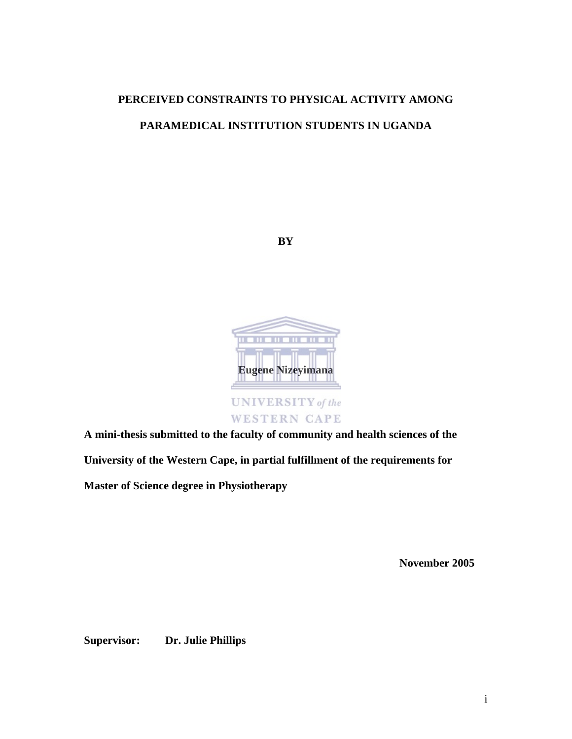# **PERCEIVED CONSTRAINTS TO PHYSICAL ACTIVITY AMONG PARAMEDICAL INSTITUTION STUDENTS IN UGANDA**





**WESTERN CAPE** 

**A mini-thesis submitted to the faculty of community and health sciences of the** 

**University of the Western Cape, in partial fulfillment of the requirements for** 

**Master of Science degree in Physiotherapy** 

**November 2005** 

**Supervisor: Dr. Julie Phillips**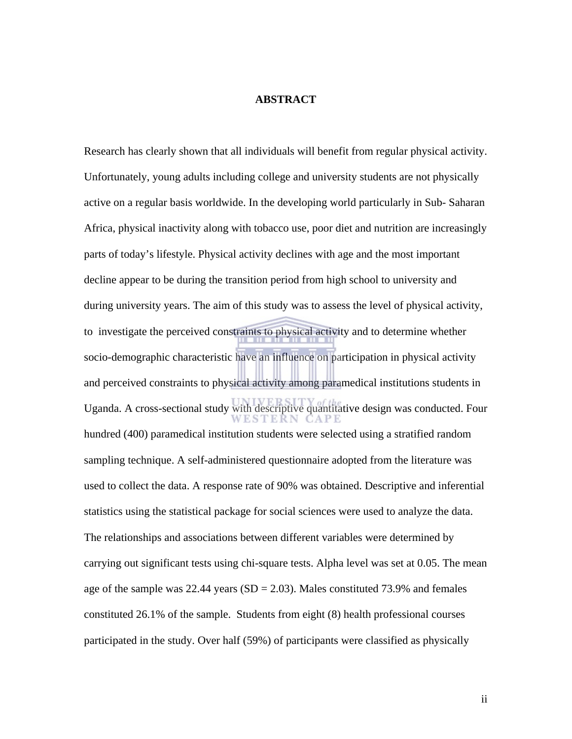#### **ABSTRACT**

Research has clearly shown that all individuals will benefit from regular physical activity. Unfortunately, young adults including college and university students are not physically active on a regular basis worldwide. In the developing world particularly in Sub- Saharan Africa, physical inactivity along with tobacco use, poor diet and nutrition are increasingly parts of today's lifestyle. Physical activity declines with age and the most important decline appear to be during the transition period from high school to university and during university years. The aim of this study was to assess the level of physical activity, to investigate the perceived constraints to physical activity and to determine whether socio-demographic characteristic have an influence on participation in physical activity and perceived constraints to physical activity among paramedical institutions students in Uganda. A cross-sectional study with descriptive quantitative design was conducted. Four hundred (400) paramedical institution students were selected using a stratified random sampling technique. A self-administered questionnaire adopted from the literature was used to collect the data. A response rate of 90% was obtained. Descriptive and inferential statistics using the statistical package for social sciences were used to analyze the data. The relationships and associations between different variables were determined by carrying out significant tests using chi-square tests. Alpha level was set at 0.05. The mean age of the sample was  $22.44$  years (SD = 2.03). Males constituted 73.9% and females constituted 26.1% of the sample. Students from eight (8) health professional courses participated in the study. Over half (59%) of participants were classified as physically

ii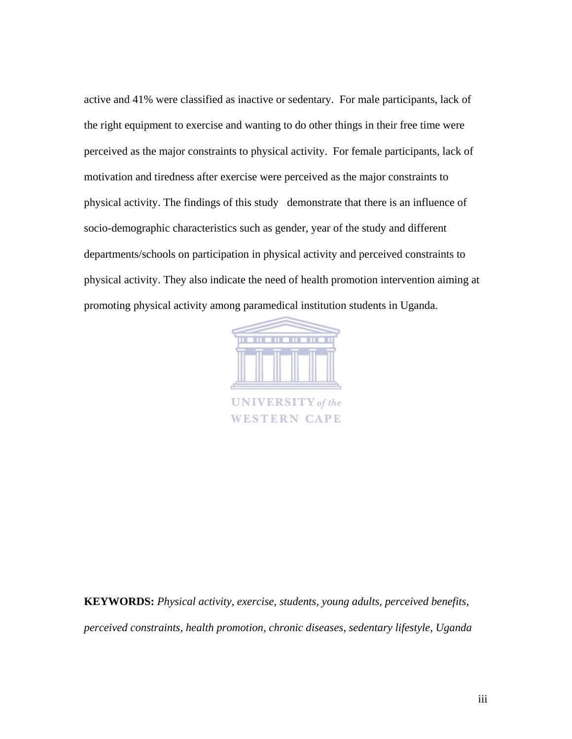active and 41% were classified as inactive or sedentary. For male participants, lack of the right equipment to exercise and wanting to do other things in their free time were perceived as the major constraints to physical activity. For female participants, lack of motivation and tiredness after exercise were perceived as the major constraints to physical activity. The findings of this study demonstrate that there is an influence of socio-demographic characteristics such as gender, year of the study and different departments/schools on participation in physical activity and perceived constraints to physical activity. They also indicate the need of health promotion intervention aiming at promoting physical activity among paramedical institution students in Uganda.



**WESTERN CAPE** 

**KEYWORDS:** *Physical activity, exercise, students, young adults, perceived benefits, perceived constraints, health promotion, chronic diseases, sedentary lifestyle, Uganda*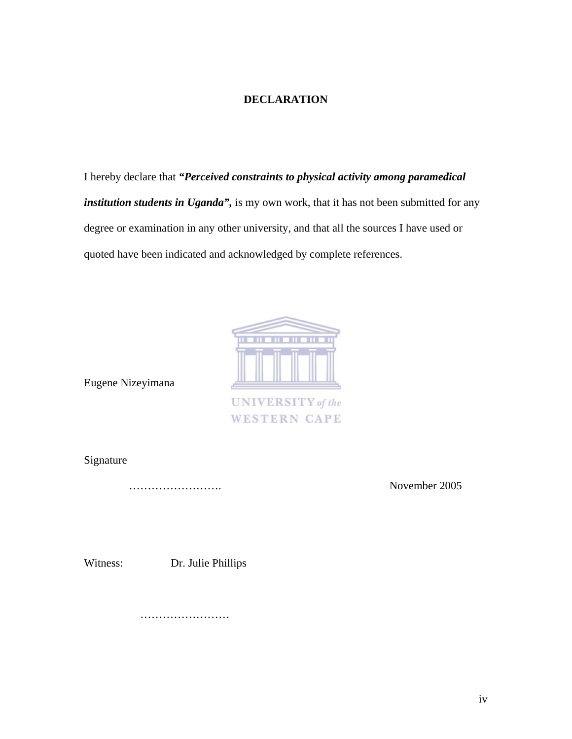#### **DECLARATION**

I hereby declare that *"Perceived constraints to physical activity among paramedical institution students in Uganda",* is my own work, that it has not been submitted for any degree or examination in any other university, and that all the sources I have used or quoted have been indicated and acknowledged by complete references.



**WESTERN CAPE** 

Eugene Nizeyimana

Signature

……………………. November 2005

Witness: Dr. Julie Phillips

………………………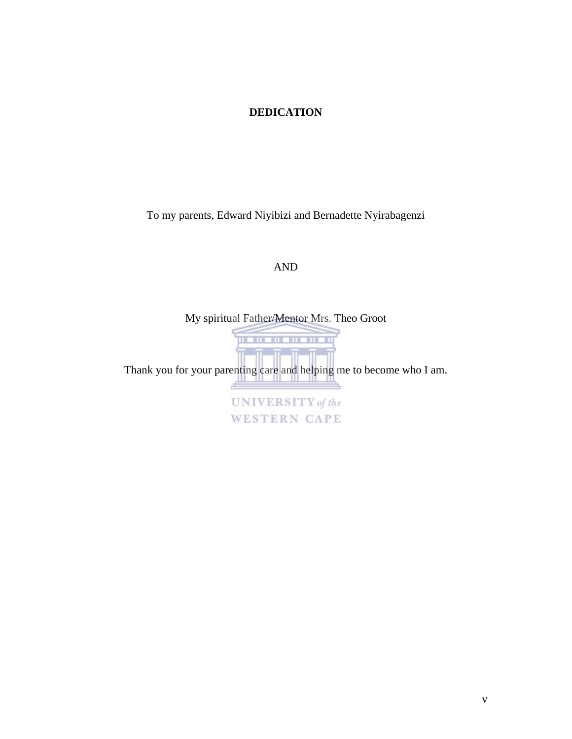#### **DEDICATION**

To my parents, Edward Niyibizi and Bernadette Nyirabagenzi

#### AND

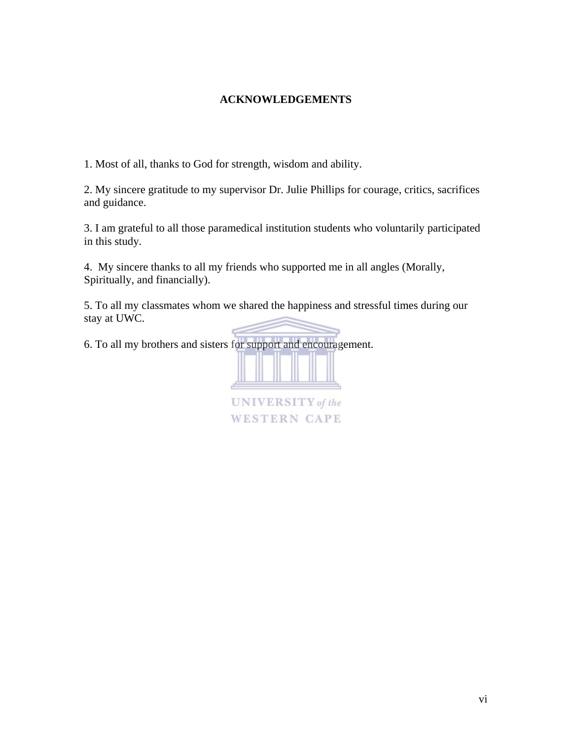#### **ACKNOWLEDGEMENTS**

1. Most of all, thanks to God for strength, wisdom and ability.

2. My sincere gratitude to my supervisor Dr. Julie Phillips for courage, critics, sacrifices and guidance.

3. I am grateful to all those paramedical institution students who voluntarily participated in this study.

4. My sincere thanks to all my friends who supported me in all angles (Morally, Spiritually, and financially).

5. To all my classmates whom we shared the happiness and stressful times during our stay at UWC.

6. To all my brothers and sisters for support and encouragement.



**UNIVERSITY** of the **WESTERN CAPE**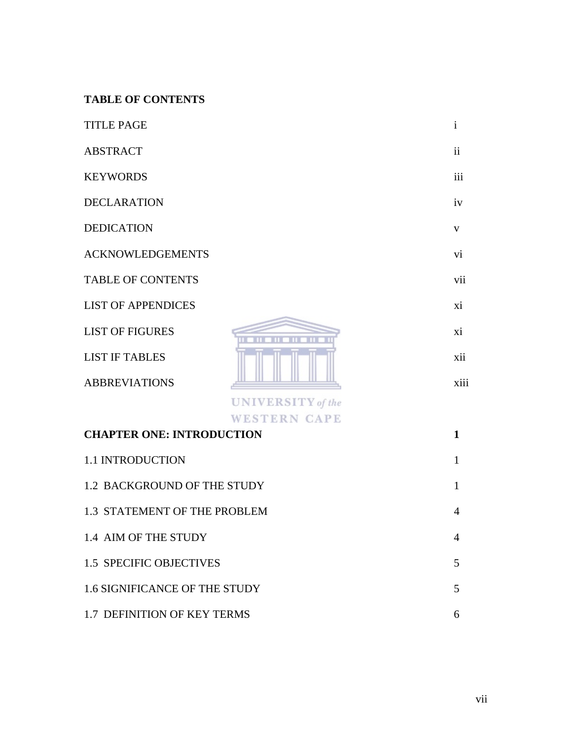# **TABLE OF CONTENTS**

| <b>TITLE PAGE</b>                    |                                                 | $\mathbf{i}$        |
|--------------------------------------|-------------------------------------------------|---------------------|
| <b>ABSTRACT</b>                      |                                                 | $\ddot{\mathbf{i}}$ |
| <b>KEYWORDS</b>                      |                                                 | iii                 |
| <b>DECLARATION</b>                   |                                                 | iv                  |
| <b>DEDICATION</b>                    |                                                 | V                   |
| <b>ACKNOWLEDGEMENTS</b>              |                                                 | vi                  |
| <b>TABLE OF CONTENTS</b>             |                                                 | vii                 |
| <b>LIST OF APPENDICES</b>            |                                                 | xi                  |
| <b>LIST OF FIGURES</b>               |                                                 | xi                  |
| <b>LIST IF TABLES</b>                |                                                 | xii                 |
| <b>ABBREVIATIONS</b>                 |                                                 | xiii                |
|                                      | <b>UNIVERSITY</b> of the<br><b>WESTERN CAPE</b> |                     |
| <b>CHAPTER ONE: INTRODUCTION</b>     |                                                 | $\mathbf{1}$        |
| 1.1 INTRODUCTION                     |                                                 | $\mathbf{1}$        |
| 1.2 BACKGROUND OF THE STUDY          |                                                 | 1                   |
| 1.3 STATEMENT OF THE PROBLEM         |                                                 | 4                   |
| 1.4 AIM OF THE STUDY                 |                                                 | 4                   |
| <b>1.5 SPECIFIC OBJECTIVES</b>       |                                                 | 5                   |
| <b>1.6 SIGNIFICANCE OF THE STUDY</b> |                                                 | 5                   |
| 1.7 DEFINITION OF KEY TERMS          |                                                 | 6                   |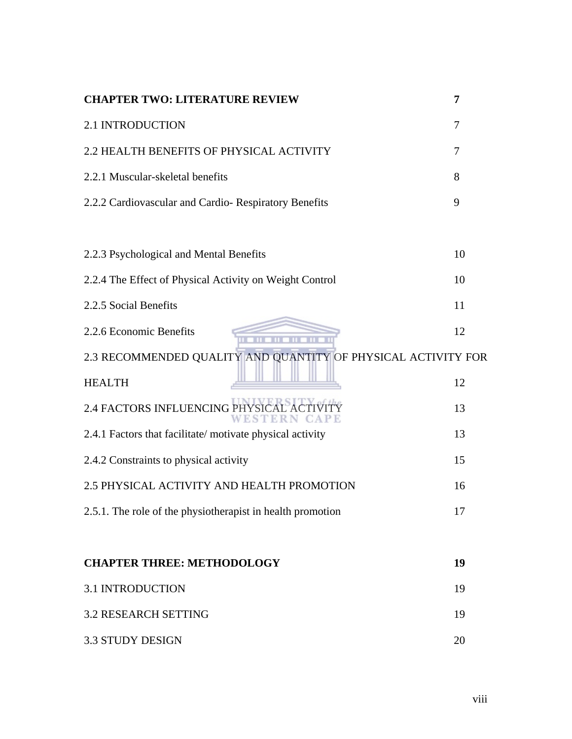| <b>CHAPTER TWO: LITERATURE REVIEW</b>                         | 7  |
|---------------------------------------------------------------|----|
| 2.1 INTRODUCTION                                              | 7  |
| 2.2 HEALTH BENEFITS OF PHYSICAL ACTIVITY                      | 7  |
| 2.2.1 Muscular-skeletal benefits                              | 8  |
| 2.2.2 Cardiovascular and Cardio-Respiratory Benefits          | 9  |
|                                                               |    |
| 2.2.3 Psychological and Mental Benefits                       | 10 |
| 2.2.4 The Effect of Physical Activity on Weight Control       | 10 |
| 2.2.5 Social Benefits                                         | 11 |
| 2.2.6 Economic Benefits                                       | 12 |
| 2.3 RECOMMENDED QUALITY AND QUANTITY OF PHYSICAL ACTIVITY FOR |    |
| <b>HEALTH</b>                                                 | 12 |
| 2.4 FACTORS INFLUENCING P<br>EST                              | 13 |
| 2.4.1 Factors that facilitate/ motivate physical activity     | 13 |
| 2.4.2 Constraints to physical activity                        | 15 |
| 2.5 PHYSICAL ACTIVITY AND HEALTH PROMOTION                    | 16 |
| 2.5.1. The role of the physiotherapist in health promotion    |    |
|                                                               |    |
| <b>CHAPTER THREE: METHODOLOGY</b>                             | 19 |
| <b>3.1 INTRODUCTION</b>                                       | 19 |
| <b>3.2 RESEARCH SETTING</b>                                   | 19 |
| <b>3.3 STUDY DESIGN</b>                                       | 20 |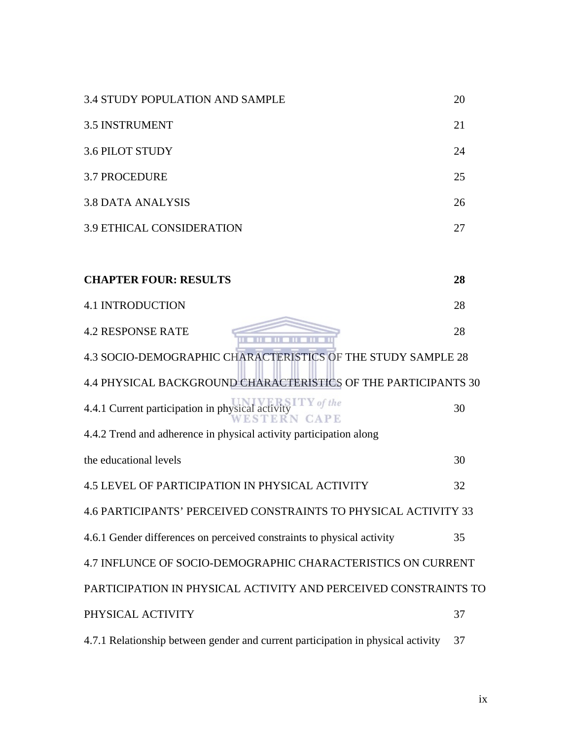| <b>3.4 STUDY POPULATION AND SAMPLE</b>                                           | 20 |
|----------------------------------------------------------------------------------|----|
| <b>3.5 INSTRUMENT</b>                                                            | 21 |
| <b>3.6 PILOT STUDY</b>                                                           | 24 |
| <b>3.7 PROCEDURE</b>                                                             | 25 |
| <b>3.8 DATA ANALYSIS</b>                                                         | 26 |
| <b>3.9 ETHICAL CONSIDERATION</b>                                                 | 27 |
| <b>CHAPTER FOUR: RESULTS</b>                                                     | 28 |
|                                                                                  |    |
| <b>4.1 INTRODUCTION</b>                                                          | 28 |
| <b>4.2 RESPONSE RATE</b>                                                         | 28 |
| 4.3 SOCIO-DEMOGRAPHIC CHARACTERISTICS OF THE STUDY SAMPLE 28                     |    |
| 4.4 PHYSICAL BACKGROUND CHARACTERISTICS OF THE PARTICIPANTS 30                   |    |
| 4.4.1 Current participation in physical act<br>EN CAPE                           | 30 |
| 4.4.2 Trend and adherence in physical activity participation along               |    |
| the educational levels                                                           | 30 |
| <b>4.5 LEVEL OF PARTICIPATION IN PHYSICAL ACTIVITY</b>                           | 32 |
| 4.6 PARTICIPANTS' PERCEIVED CONSTRAINTS TO PHYSICAL ACTIVITY 33                  |    |
| 4.6.1 Gender differences on perceived constraints to physical activity           | 35 |
| 4.7 INFLUNCE OF SOCIO-DEMOGRAPHIC CHARACTERISTICS ON CURRENT                     |    |
| PARTICIPATION IN PHYSICAL ACTIVITY AND PERCEIVED CONSTRAINTS TO                  |    |
| PHYSICAL ACTIVITY                                                                | 37 |
| 4.7.1 Relationship between gender and current participation in physical activity | 37 |

ix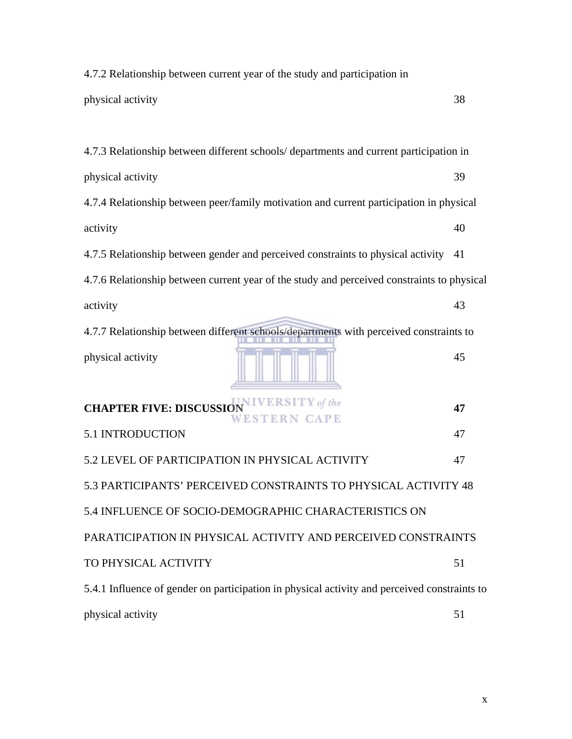| 4.7.2 Relationship between current year of the study and participation in                    |    |  |
|----------------------------------------------------------------------------------------------|----|--|
| physical activity                                                                            | 38 |  |
|                                                                                              |    |  |
| 4.7.3 Relationship between different schools/departments and current participation in        |    |  |
| physical activity                                                                            | 39 |  |
| 4.7.4 Relationship between peer/family motivation and current participation in physical      |    |  |
| activity                                                                                     | 40 |  |
| 4.7.5 Relationship between gender and perceived constraints to physical activity             | 41 |  |
| 4.7.6 Relationship between current year of the study and perceived constraints to physical   |    |  |
| activity                                                                                     | 43 |  |
| 4.7.7 Relationship between different schools/departments with perceived constraints to       |    |  |
| physical activity                                                                            | 45 |  |
| <b>CHAPTER FIVE: DISCUSSION IVERSITY</b> of the<br>WESTERN CAPE                              | 47 |  |
| <b>5.1 INTRODUCTION</b>                                                                      | 47 |  |
| 5.2 LEVEL OF PARTICIPATION IN PHYSICAL ACTIVITY                                              | 47 |  |
| 5.3 PARTICIPANTS' PERCEIVED CONSTRAINTS TO PHYSICAL ACTIVITY 48                              |    |  |
| 5.4 INFLUENCE OF SOCIO-DEMOGRAPHIC CHARACTERISTICS ON                                        |    |  |
| PARATICIPATION IN PHYSICAL ACTIVITY AND PERCEIVED CONSTRAINTS                                |    |  |
| TO PHYSICAL ACTIVITY                                                                         | 51 |  |
| 5.4.1 Influence of gender on participation in physical activity and perceived constraints to |    |  |
| physical activity                                                                            | 51 |  |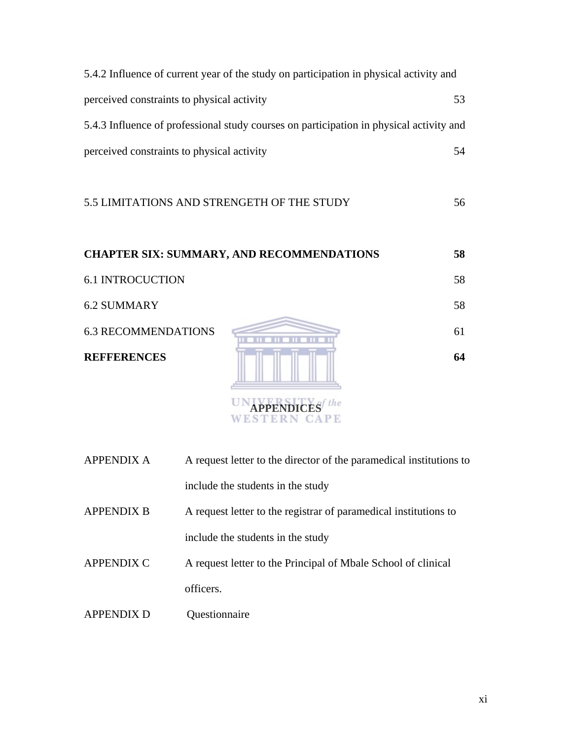| 5.4.2 Influence of current year of the study on participation in physical activity and  |    |
|-----------------------------------------------------------------------------------------|----|
| perceived constraints to physical activity                                              | 53 |
| 5.4.3 Influence of professional study courses on participation in physical activity and |    |
| perceived constraints to physical activity                                              | 54 |

# 5.5 LIMITATIONS AND STRENGETH OF THE STUDY 56

|                            | <b>CHAPTER SIX: SUMMARY, AND RECOMMENDATIONS</b> | 58 |
|----------------------------|--------------------------------------------------|----|
| <b>6.1 INTROCUCTION</b>    |                                                  | 58 |
| <b>6.2 SUMMARY</b>         |                                                  | 58 |
| <b>6.3 RECOMMENDATIONS</b> |                                                  | 61 |
| <b>REFFERENCES</b>         |                                                  | 64 |

| <b>APPENDIX A</b> | A request letter to the director of the paramedical institutions to |
|-------------------|---------------------------------------------------------------------|
|                   | include the students in the study                                   |
| <b>APPENDIX B</b> | A request letter to the registrar of paramedical institutions to    |
|                   | include the students in the study                                   |
| <b>APPENDIX C</b> | A request letter to the Principal of Mbale School of clinical       |
|                   | officers.                                                           |
| <b>APPENDIX D</b> | Ouestionnaire                                                       |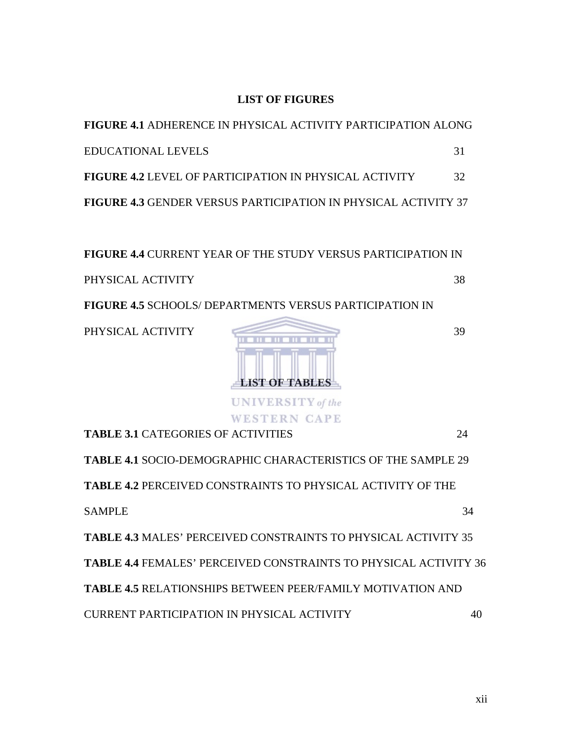### **LIST OF FIGURES**

| <b>FIGURE 4.1 ADHERENCE IN PHYSICAL ACTIVITY PARTICIPATION ALONG</b>  |    |
|-----------------------------------------------------------------------|----|
| <b>EDUCATIONAL LEVELS</b>                                             | 31 |
| <b>FIGURE 4.2 LEVEL OF PARTICIPATION IN PHYSICAL ACTIVITY</b>         | 32 |
| <b>FIGURE 4.3 GENDER VERSUS PARTICIPATION IN PHYSICAL ACTIVITY 37</b> |    |

**FIGURE 4.4** CURRENT YEAR OF THE STUDY VERSUS PARTICIPATION IN PHYSICAL ACTIVITY 38

**FIGURE 4.5** SCHOOLS/ DEPARTMENTS VERSUS PARTICIPATION IN



**TABLE 3.1** CATEGORIES OF ACTIVITIES 24 **TABLE 4.1** SOCIO-DEMOGRAPHIC CHARACTERISTICS OF THE SAMPLE 29 **TABLE 4.2** PERCEIVED CONSTRAINTS TO PHYSICAL ACTIVITY OF THE SAMPLE 34 **TABLE 4.3** MALES' PERCEIVED CONSTRAINTS TO PHYSICAL ACTIVITY 35 **TABLE 4.4** FEMALES' PERCEIVED CONSTRAINTS TO PHYSICAL ACTIVITY 36 **TABLE 4.5** RELATIONSHIPS BETWEEN PEER/FAMILY MOTIVATION AND CURRENT PARTICIPATION IN PHYSICAL ACTIVITY 40

xii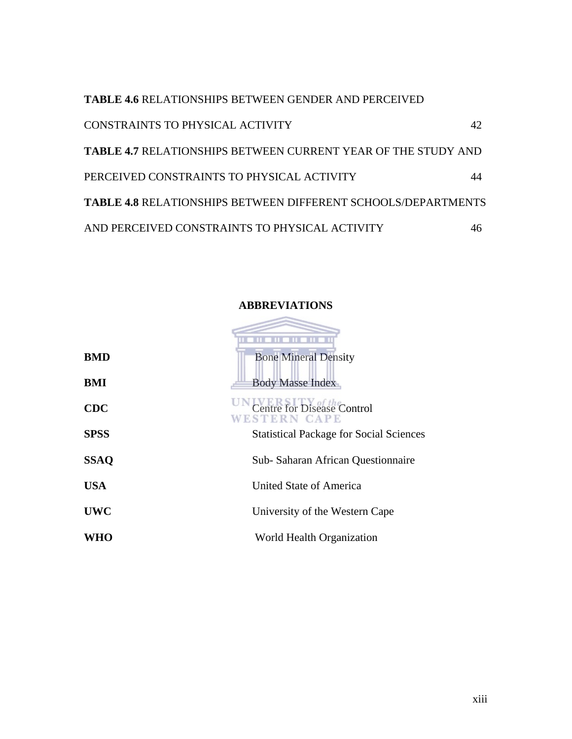**TABLE 4.6** RELATIONSHIPS BETWEEN GENDER AND PERCEIVED CONSTRAINTS TO PHYSICAL ACTIVITY 42 **TABLE 4.7** RELATIONSHIPS BETWEEN CURRENT YEAR OF THE STUDY AND PERCEIVED CONSTRAINTS TO PHYSICAL ACTIVITY 44 **TABLE 4.8** RELATIONSHIPS BETWEEN DIFFERENT SCHOOLS/DEPARTMENTS AND PERCEIVED CONSTRAINTS TO PHYSICAL ACTIVITY 46



#### **ABBREVIATIONS**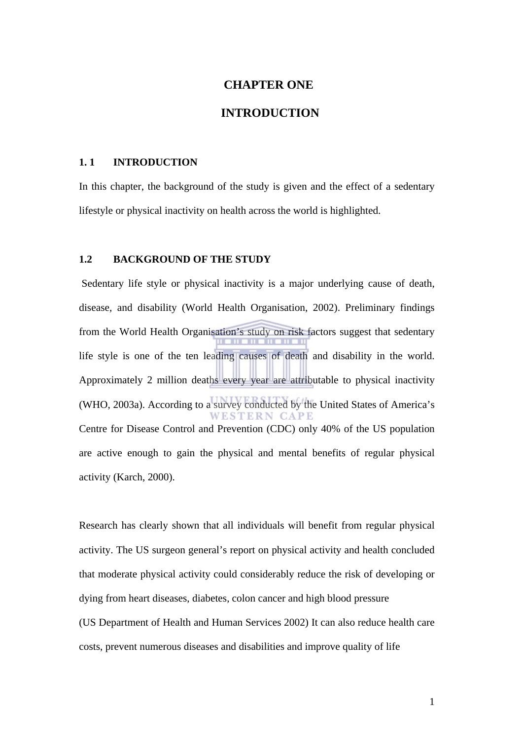#### **CHAPTER ONE**

### **INTRODUCTION**

#### **1. 1 INTRODUCTION**

In this chapter, the background of the study is given and the effect of a sedentary lifestyle or physical inactivity on health across the world is highlighted.

#### **1.2 BACKGROUND OF THE STUDY**

 Sedentary life style or physical inactivity is a major underlying cause of death, disease, and disability (World Health Organisation, 2002). Preliminary findings from the World Health Organisation's study on risk factors suggest that sedentary life style is one of the ten leading causes of death and disability in the world. Approximately 2 million deaths every year are attributable to physical inactivity (WHO, 2003a). According to a survey conducted by the United States of America's Centre for Disease Control and Prevention (CDC) only 40% of the US population are active enough to gain the physical and mental benefits of regular physical activity (Karch, 2000).

Research has clearly shown that all individuals will benefit from regular physical activity. The US surgeon general's report on physical activity and health concluded that moderate physical activity could considerably reduce the risk of developing or dying from heart diseases, diabetes, colon cancer and high blood pressure (US Department of Health and Human Services 2002) It can also reduce health care costs, prevent numerous diseases and disabilities and improve quality of life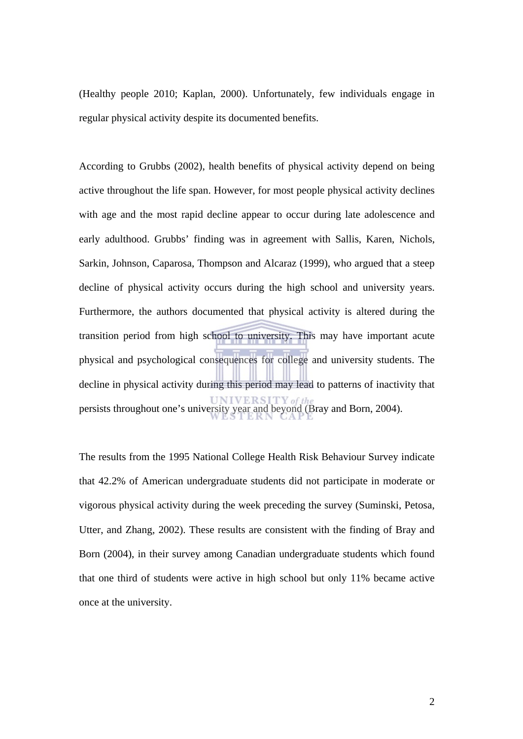(Healthy people 2010; Kaplan, 2000). Unfortunately, few individuals engage in regular physical activity despite its documented benefits.

According to Grubbs (2002), health benefits of physical activity depend on being active throughout the life span. However, for most people physical activity declines with age and the most rapid decline appear to occur during late adolescence and early adulthood. Grubbs' finding was in agreement with Sallis, Karen, Nichols, Sarkin, Johnson, Caparosa, Thompson and Alcaraz (1999), who argued that a steep decline of physical activity occurs during the high school and university years. Furthermore, the authors documented that physical activity is altered during the transition period from high school to university. This may have important acute physical and psychological consequences for college and university students. The decline in physical activity during this period may lead to patterns of inactivity that persists throughout one's university year and beyond (Bray and Born, 2004).

The results from the 1995 National College Health Risk Behaviour Survey indicate that 42.2% of American undergraduate students did not participate in moderate or vigorous physical activity during the week preceding the survey (Suminski, Petosa, Utter, and Zhang, 2002). These results are consistent with the finding of Bray and Born (2004), in their survey among Canadian undergraduate students which found that one third of students were active in high school but only 11% became active once at the university.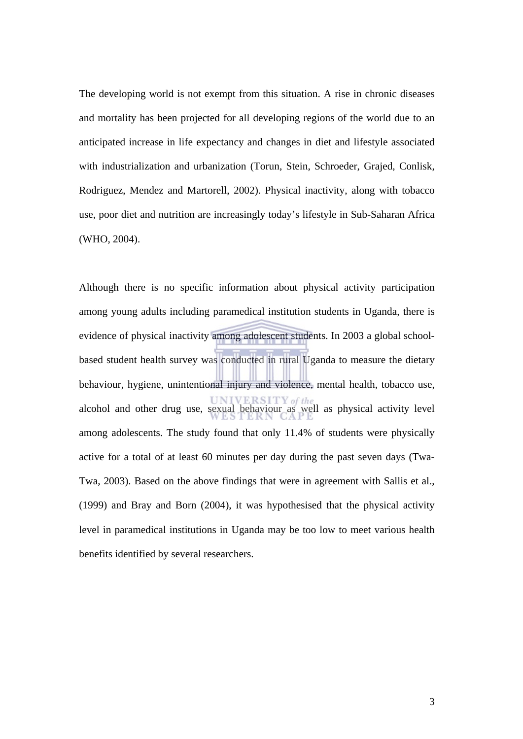The developing world is not exempt from this situation. A rise in chronic diseases and mortality has been projected for all developing regions of the world due to an anticipated increase in life expectancy and changes in diet and lifestyle associated with industrialization and urbanization (Torun, Stein, Schroeder, Grajed, Conlisk, Rodriguez, Mendez and Martorell, 2002). Physical inactivity, along with tobacco use, poor diet and nutrition are increasingly today's lifestyle in Sub-Saharan Africa (WHO, 2004).

Although there is no specific information about physical activity participation among young adults including paramedical institution students in Uganda, there is evidence of physical inactivity among adolescent students. In 2003 a global schoolbased student health survey was conducted in rural Uganda to measure the dietary behaviour, hygiene, unintentional injury and violence, mental health, tobacco use, alcohol and other drug use, sexual behaviour as well as physical activity level among adolescents. The study found that only 11.4% of students were physically active for a total of at least 60 minutes per day during the past seven days (Twa-Twa, 2003). Based on the above findings that were in agreement with Sallis et al., (1999) and Bray and Born (2004), it was hypothesised that the physical activity level in paramedical institutions in Uganda may be too low to meet various health benefits identified by several researchers.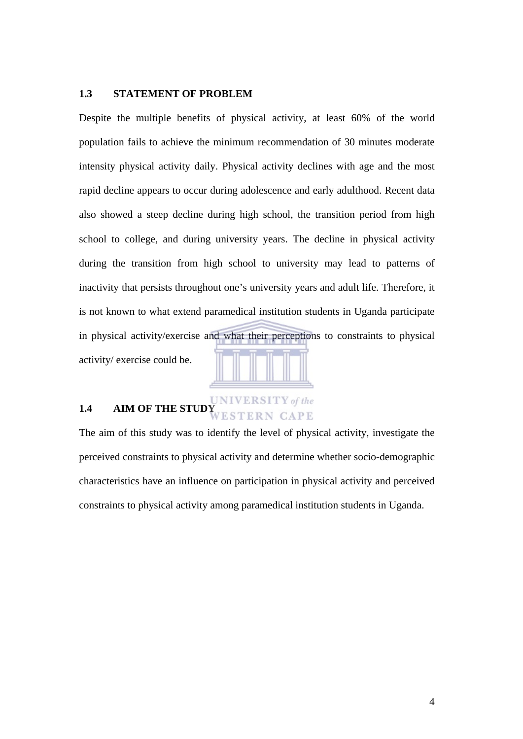#### **1.3 STATEMENT OF PROBLEM**

Despite the multiple benefits of physical activity, at least 60% of the world population fails to achieve the minimum recommendation of 30 minutes moderate intensity physical activity daily. Physical activity declines with age and the most rapid decline appears to occur during adolescence and early adulthood. Recent data also showed a steep decline during high school, the transition period from high school to college, and during university years. The decline in physical activity during the transition from high school to university may lead to patterns of inactivity that persists throughout one's university years and adult life. Therefore, it is not known to what extend paramedical institution students in Uganda participate in physical activity/exercise and what their perceptions to constraints to physical activity/ exercise could be.

# **1.4** AIM OF THE STUDY **AIM OF THE STUDY**

The aim of this study was to identify the level of physical activity, investigate the perceived constraints to physical activity and determine whether socio-demographic characteristics have an influence on participation in physical activity and perceived constraints to physical activity among paramedical institution students in Uganda.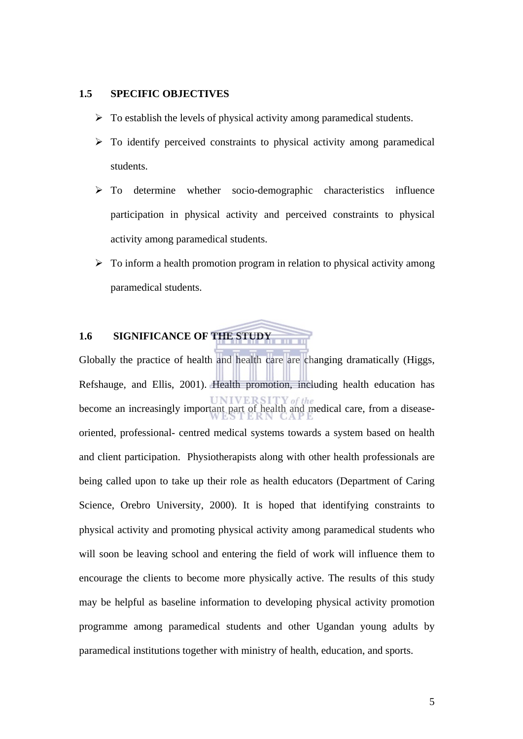#### **1.5 SPECIFIC OBJECTIVES**

- $\triangleright$  To establish the levels of physical activity among paramedical students.
- $\triangleright$  To identify perceived constraints to physical activity among paramedical students.
- ¾ To determine whether socio-demographic characteristics influence participation in physical activity and perceived constraints to physical activity among paramedical students.
- $\triangleright$  To inform a health promotion program in relation to physical activity among paramedical students.

# **1.6 SIGNIFICANCE OF THE STUDY**

Globally the practice of health and health care are changing dramatically (Higgs, Refshauge, and Ellis, 2001). Health promotion, including health education has become an increasingly important part of health and medical care, from a diseaseoriented, professional- centred medical systems towards a system based on health and client participation. Physiotherapists along with other health professionals are being called upon to take up their role as health educators (Department of Caring Science, Orebro University, 2000). It is hoped that identifying constraints to physical activity and promoting physical activity among paramedical students who will soon be leaving school and entering the field of work will influence them to encourage the clients to become more physically active. The results of this study may be helpful as baseline information to developing physical activity promotion programme among paramedical students and other Ugandan young adults by paramedical institutions together with ministry of health, education, and sports.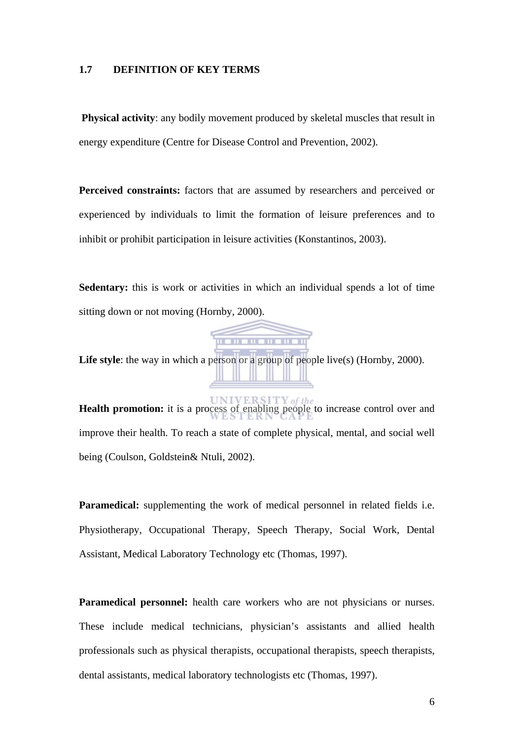#### **1.7 DEFINITION OF KEY TERMS**

**Physical activity:** any bodily movement produced by skeletal muscles that result in energy expenditure (Centre for Disease Control and Prevention, 2002).

**Perceived constraints:** factors that are assumed by researchers and perceived or experienced by individuals to limit the formation of leisure preferences and to inhibit or prohibit participation in leisure activities (Konstantinos, 2003).

**Sedentary:** this is work or activities in which an individual spends a lot of time sitting down or not moving (Hornby, 2000).



Life style: the way in which a person or a group of people live(s) (Hornby, 2000).

**Health promotion:** it is a process of enabling people to increase control over and improve their health. To reach a state of complete physical, mental, and social well being (Coulson, Goldstein& Ntuli, 2002).

**Paramedical:** supplementing the work of medical personnel in related fields i.e. Physiotherapy, Occupational Therapy, Speech Therapy, Social Work, Dental Assistant, Medical Laboratory Technology etc (Thomas, 1997).

**Paramedical personnel:** health care workers who are not physicians or nurses. These include medical technicians, physician's assistants and allied health professionals such as physical therapists, occupational therapists, speech therapists, dental assistants, medical laboratory technologists etc (Thomas, 1997).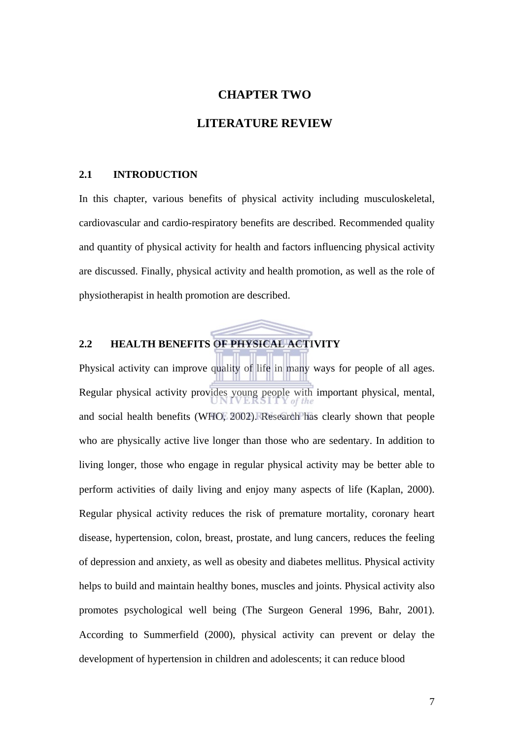# **CHAPTER TWO LITERATURE REVIEW**

#### **2.1 INTRODUCTION**

In this chapter, various benefits of physical activity including musculoskeletal, cardiovascular and cardio-respiratory benefits are described. Recommended quality and quantity of physical activity for health and factors influencing physical activity are discussed. Finally, physical activity and health promotion, as well as the role of physiotherapist in health promotion are described.

## **2.2 HEALTH BENEFITS OF PHYSICAL ACTIVITY**

Physical activity can improve quality of life in many ways for people of all ages. Regular physical activity provides young people with important physical, mental, and social health benefits (WHO, 2002). Research has clearly shown that people who are physically active live longer than those who are sedentary. In addition to living longer, those who engage in regular physical activity may be better able to perform activities of daily living and enjoy many aspects of life (Kaplan, 2000). Regular physical activity reduces the risk of premature mortality, coronary heart disease, hypertension, colon, breast, prostate, and lung cancers, reduces the feeling of depression and anxiety, as well as obesity and diabetes mellitus. Physical activity helps to build and maintain healthy bones, muscles and joints. Physical activity also promotes psychological well being (The Surgeon General 1996, Bahr, 2001). According to Summerfield (2000), physical activity can prevent or delay the development of hypertension in children and adolescents; it can reduce blood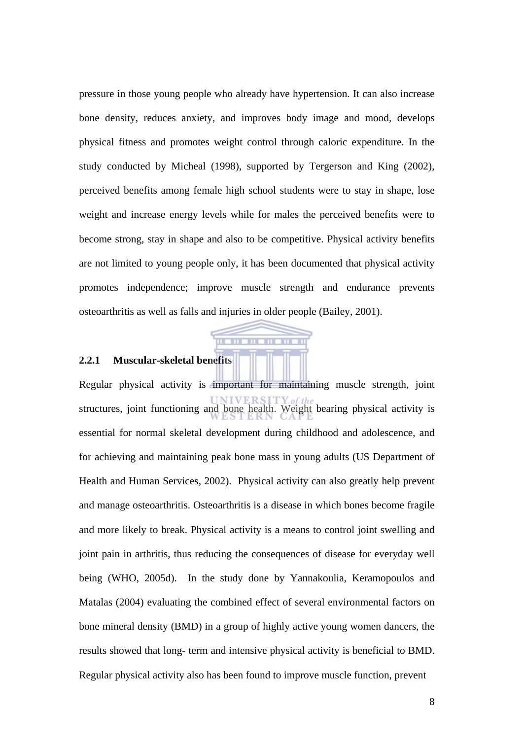pressure in those young people who already have hypertension. It can also increase bone density, reduces anxiety, and improves body image and mood, develops physical fitness and promotes weight control through caloric expenditure. In the study conducted by Micheal (1998), supported by Tergerson and King (2002), perceived benefits among female high school students were to stay in shape, lose weight and increase energy levels while for males the perceived benefits were to become strong, stay in shape and also to be competitive. Physical activity benefits are not limited to young people only, it has been documented that physical activity promotes independence; improve muscle strength and endurance prevents osteoarthritis as well as falls and injuries in older people (Bailey, 2001).

m

#### **2.2.1 Muscular-skeletal benefits**

Regular physical activity is important for maintaining muscle strength, joint structures, joint functioning and bone health. Weight bearing physical activity is essential for normal skeletal development during childhood and adolescence, and for achieving and maintaining peak bone mass in young adults (US Department of Health and Human Services, 2002). Physical activity can also greatly help prevent and manage osteoarthritis. Osteoarthritis is a disease in which bones become fragile and more likely to break. Physical activity is a means to control joint swelling and joint pain in arthritis, thus reducing the consequences of disease for everyday well being (WHO, 2005d). In the study done by Yannakoulia, Keramopoulos and Matalas (2004) evaluating the combined effect of several environmental factors on bone mineral density (BMD) in a group of highly active young women dancers, the results showed that long- term and intensive physical activity is beneficial to BMD. Regular physical activity also has been found to improve muscle function, prevent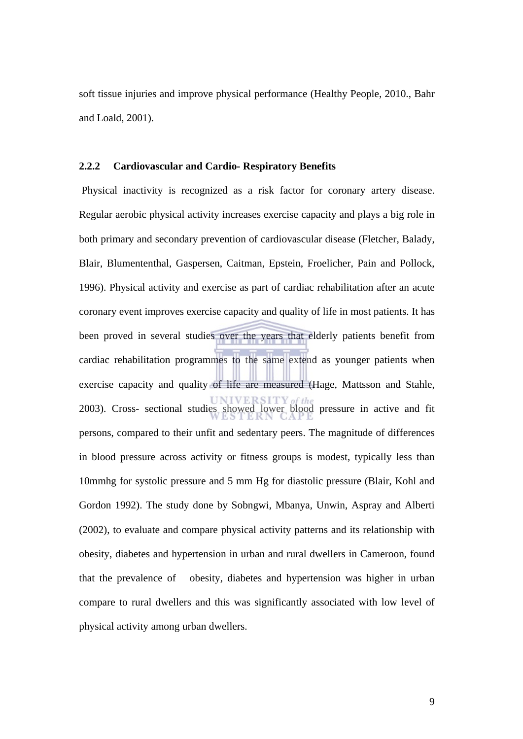soft tissue injuries and improve physical performance (Healthy People, 2010., Bahr and Loald, 2001).

#### **2.2.2 Cardiovascular and Cardio- Respiratory Benefits**

 Physical inactivity is recognized as a risk factor for coronary artery disease. Regular aerobic physical activity increases exercise capacity and plays a big role in both primary and secondary prevention of cardiovascular disease (Fletcher, Balady, Blair, Blumententhal, Gaspersen, Caitman, Epstein, Froelicher, Pain and Pollock, 1996). Physical activity and exercise as part of cardiac rehabilitation after an acute coronary event improves exercise capacity and quality of life in most patients. It has been proved in several studies over the years that elderly patients benefit from cardiac rehabilitation programmes to the same extend as younger patients when exercise capacity and quality of life are measured (Hage, Mattsson and Stahle, 2003). Cross- sectional studies showed lower blood pressure in active and fit persons, compared to their unfit and sedentary peers. The magnitude of differences in blood pressure across activity or fitness groups is modest, typically less than 10mmhg for systolic pressure and 5 mm Hg for diastolic pressure (Blair, Kohl and Gordon 1992). The study done by Sobngwi, Mbanya, Unwin, Aspray and Alberti (2002), to evaluate and compare physical activity patterns and its relationship with obesity, diabetes and hypertension in urban and rural dwellers in Cameroon, found that the prevalence of obesity, diabetes and hypertension was higher in urban compare to rural dwellers and this was significantly associated with low level of physical activity among urban dwellers.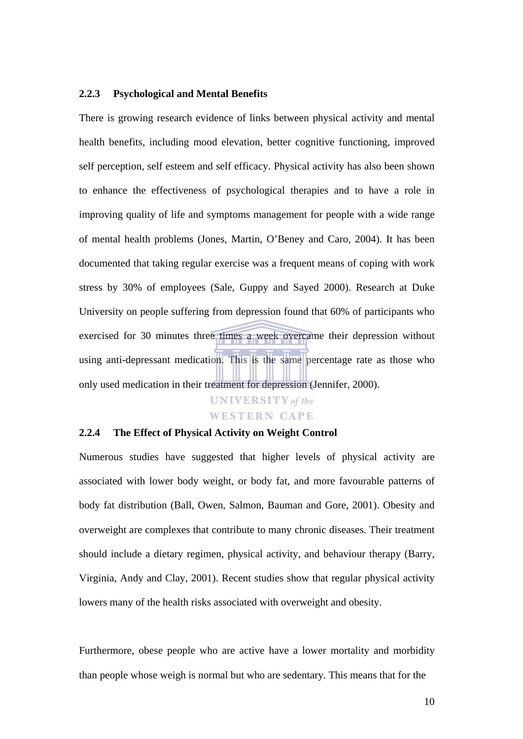#### **2.2.3 Psychological and Mental Benefits**

There is growing research evidence of links between physical activity and mental health benefits, including mood elevation, better cognitive functioning, improved self perception, self esteem and self efficacy. Physical activity has also been shown to enhance the effectiveness of psychological therapies and to have a role in improving quality of life and symptoms management for people with a wide range of mental health problems (Jones, Martin, O'Beney and Caro, 2004). It has been documented that taking regular exercise was a frequent means of coping with work stress by 30% of employees (Sale, Guppy and Sayed 2000). Research at Duke University on people suffering from depression found that 60% of participants who exercised for 30 minutes three times a week overcame their depression without using anti-depressant medication. This is the same percentage rate as those who only used medication in their treatment for depression (Jennifer, 2000).

# **UNIVERSITY** of the **WESTERN CAPE**

### **2.2.4 The Effect of Physical Activity on Weight Control**

Numerous studies have suggested that higher levels of physical activity are associated with lower body weight, or body fat, and more favourable patterns of body fat distribution (Ball, Owen, Salmon, Bauman and Gore, 2001). Obesity and overweight are complexes that contribute to many chronic diseases. Their treatment should include a dietary regimen, physical activity, and behaviour therapy (Barry, Virginia, Andy and Clay, 2001). Recent studies show that regular physical activity lowers many of the health risks associated with overweight and obesity.

Furthermore, obese people who are active have a lower mortality and morbidity than people whose weigh is normal but who are sedentary. This means that for the

10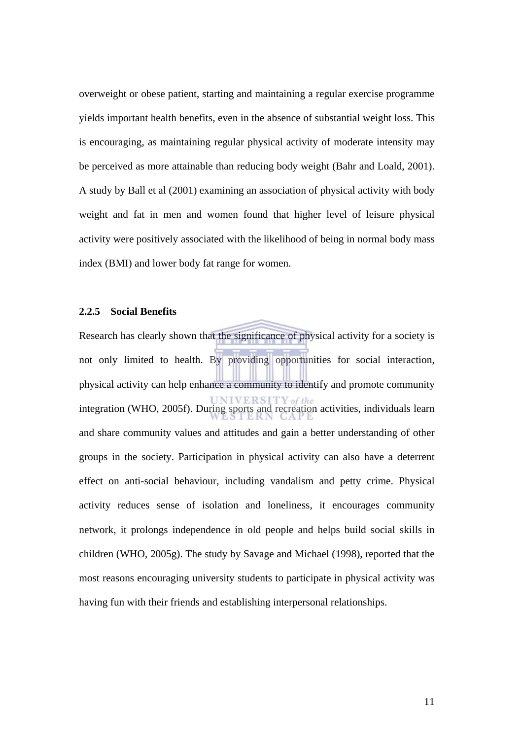overweight or obese patient, starting and maintaining a regular exercise programme yields important health benefits, even in the absence of substantial weight loss. This is encouraging, as maintaining regular physical activity of moderate intensity may be perceived as more attainable than reducing body weight (Bahr and Loald, 2001). A study by Ball et al (2001) examining an association of physical activity with body weight and fat in men and women found that higher level of leisure physical activity were positively associated with the likelihood of being in normal body mass index (BMI) and lower body fat range for women.

#### **2.2.5 Social Benefits**

Research has clearly shown that the significance of physical activity for a society is not only limited to health. By providing opportunities for social interaction, physical activity can help enhance a community to identify and promote community integration (WHO, 2005f). During sports and recreation activities, individuals learn and share community values and attitudes and gain a better understanding of other groups in the society. Participation in physical activity can also have a deterrent effect on anti-social behaviour, including vandalism and petty crime. Physical activity reduces sense of isolation and loneliness, it encourages community network, it prolongs independence in old people and helps build social skills in children (WHO, 2005g). The study by Savage and Michael (1998), reported that the most reasons encouraging university students to participate in physical activity was having fun with their friends and establishing interpersonal relationships.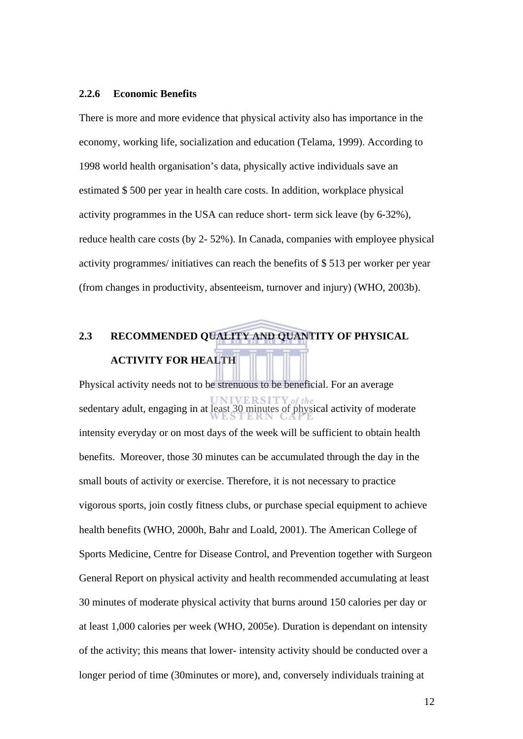#### **2.2.6 Economic Benefits**

There is more and more evidence that physical activity also has importance in the economy, working life, socialization and education (Telama, 1999). According to 1998 world health organisation's data, physically active individuals save an estimated \$ 500 per year in health care costs. In addition, workplace physical activity programmes in the USA can reduce short- term sick leave (by 6-32%), reduce health care costs (by 2- 52%). In Canada, companies with employee physical activity programmes/ initiatives can reach the benefits of \$ 513 per worker per year (from changes in productivity, absenteeism, turnover and injury) (WHO, 2003b).

# **2.3 RECOMMENDED QUALITY AND QUANTITY OF PHYSICAL**

### **ACTIVITY FOR HEALTH**

Physical activity needs not to be strenuous to be beneficial. For an average sedentary adult, engaging in at least 30 minutes of physical activity of moderate intensity everyday or on most days of the week will be sufficient to obtain health benefits. Moreover, those 30 minutes can be accumulated through the day in the small bouts of activity or exercise. Therefore, it is not necessary to practice vigorous sports, join costly fitness clubs, or purchase special equipment to achieve health benefits (WHO, 2000h, Bahr and Loald, 2001). The American College of Sports Medicine, Centre for Disease Control, and Prevention together with Surgeon General Report on physical activity and health recommended accumulating at least 30 minutes of moderate physical activity that burns around 150 calories per day or at least 1,000 calories per week (WHO, 2005e). Duration is dependant on intensity of the activity; this means that lower- intensity activity should be conducted over a longer period of time (30minutes or more), and, conversely individuals training at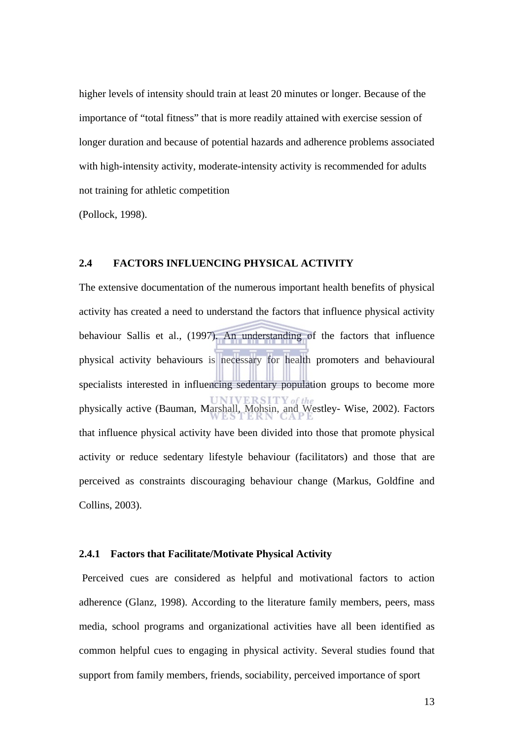higher levels of intensity should train at least 20 minutes or longer. Because of the importance of "total fitness" that is more readily attained with exercise session of longer duration and because of potential hazards and adherence problems associated with high-intensity activity, moderate-intensity activity is recommended for adults not training for athletic competition

(Pollock, 1998).

#### **2.4 FACTORS INFLUENCING PHYSICAL ACTIVITY**

The extensive documentation of the numerous important health benefits of physical activity has created a need to understand the factors that influence physical activity behaviour Sallis et al., (1997). An understanding of the factors that influence physical activity behaviours is necessary for health promoters and behavioural specialists interested in influencing sedentary population groups to become more physically active (Bauman, Marshall, Mohsin, and Westley- Wise, 2002). Factors that influence physical activity have been divided into those that promote physical activity or reduce sedentary lifestyle behaviour (facilitators) and those that are perceived as constraints discouraging behaviour change (Markus, Goldfine and Collins, 2003).

#### **2.4.1 Factors that Facilitate/Motivate Physical Activity**

Perceived cues are considered as helpful and motivational factors to action adherence (Glanz, 1998). According to the literature family members, peers, mass media, school programs and organizational activities have all been identified as common helpful cues to engaging in physical activity. Several studies found that support from family members, friends, sociability, perceived importance of sport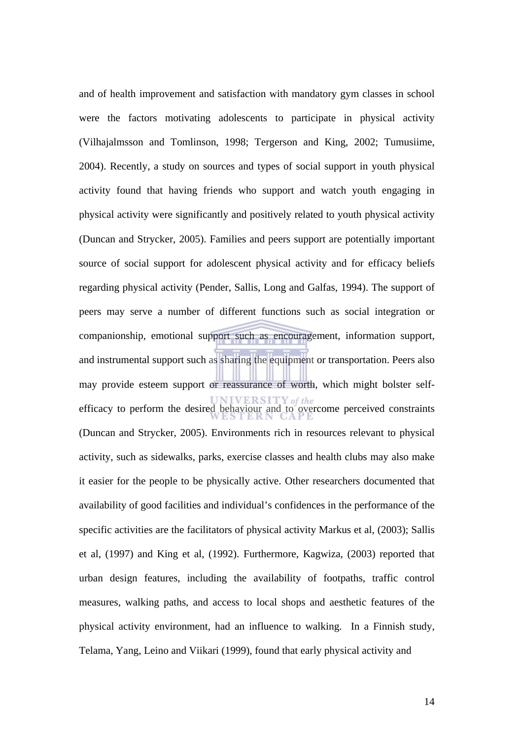and of health improvement and satisfaction with mandatory gym classes in school were the factors motivating adolescents to participate in physical activity (Vilhajalmsson and Tomlinson, 1998; Tergerson and King, 2002; Tumusiime, 2004). Recently, a study on sources and types of social support in youth physical activity found that having friends who support and watch youth engaging in physical activity were significantly and positively related to youth physical activity (Duncan and Strycker, 2005). Families and peers support are potentially important source of social support for adolescent physical activity and for efficacy beliefs regarding physical activity (Pender, Sallis, Long and Galfas, 1994). The support of peers may serve a number of different functions such as social integration or companionship, emotional support such as encouragement, information support, and instrumental support such as sharing the equipment or transportation. Peers also may provide esteem support or reassurance of worth, which might bolster selfefficacy to perform the desired behaviour and to overcome perceived constraints (Duncan and Strycker, 2005). Environments rich in resources relevant to physical activity, such as sidewalks, parks, exercise classes and health clubs may also make it easier for the people to be physically active. Other researchers documented that availability of good facilities and individual's confidences in the performance of the specific activities are the facilitators of physical activity Markus et al, (2003); Sallis et al, (1997) and King et al, (1992). Furthermore, Kagwiza, (2003) reported that urban design features, including the availability of footpaths, traffic control measures, walking paths, and access to local shops and aesthetic features of the physical activity environment, had an influence to walking. In a Finnish study, Telama, Yang, Leino and Viikari (1999), found that early physical activity and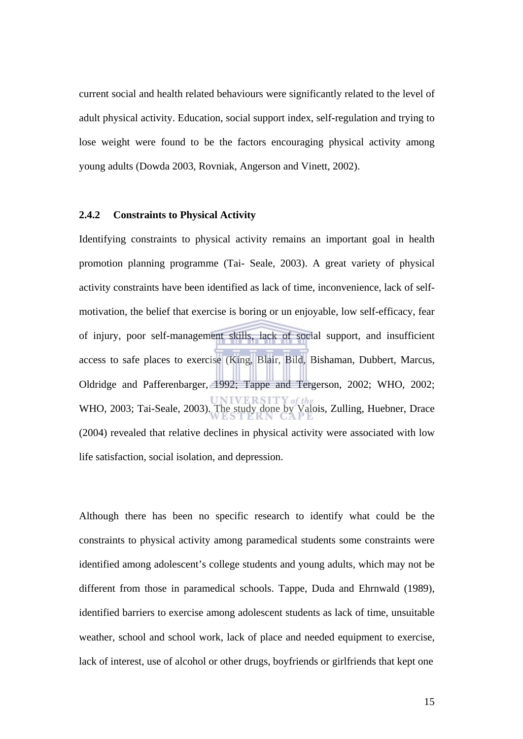current social and health related behaviours were significantly related to the level of adult physical activity. Education, social support index, self-regulation and trying to lose weight were found to be the factors encouraging physical activity among young adults (Dowda 2003, Rovniak, Angerson and Vinett, 2002).

#### **2.4.2 Constraints to Physical Activity**

Identifying constraints to physical activity remains an important goal in health promotion planning programme (Tai- Seale, 2003). A great variety of physical activity constraints have been identified as lack of time, inconvenience, lack of selfmotivation, the belief that exercise is boring or un enjoyable, low self-efficacy, fear of injury, poor self-management skills, lack of social support, and insufficient access to safe places to exercise (King, Blair, Bild, Bishaman, Dubbert, Marcus, Oldridge and Pafferenbarger, 1992; Tappe and Tergerson, 2002; WHO, 2002; WHO, 2003; Tai-Seale, 2003). The study done by Valois, Zulling, Huebner, Drace (2004) revealed that relative declines in physical activity were associated with low life satisfaction, social isolation, and depression.

Although there has been no specific research to identify what could be the constraints to physical activity among paramedical students some constraints were identified among adolescent's college students and young adults, which may not be different from those in paramedical schools. Tappe, Duda and Ehrnwald (1989), identified barriers to exercise among adolescent students as lack of time, unsuitable weather, school and school work, lack of place and needed equipment to exercise, lack of interest, use of alcohol or other drugs, boyfriends or girlfriends that kept one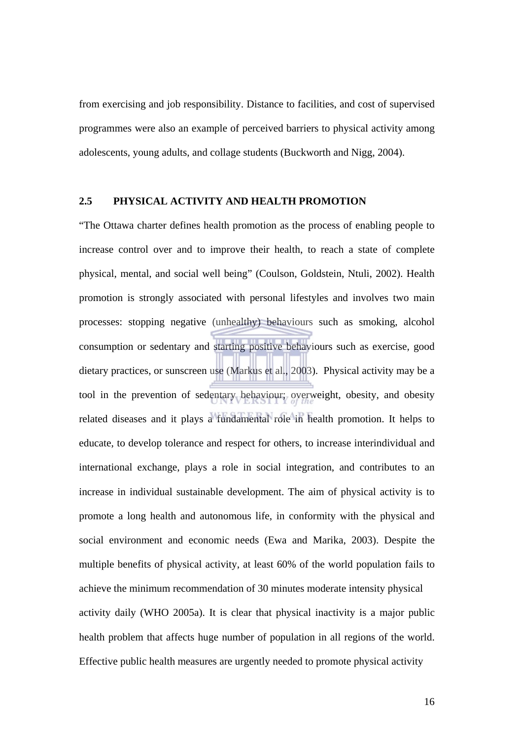from exercising and job responsibility. Distance to facilities, and cost of supervised programmes were also an example of perceived barriers to physical activity among adolescents, young adults, and collage students (Buckworth and Nigg, 2004).

#### **2.5 PHYSICAL ACTIVITY AND HEALTH PROMOTION**

"The Ottawa charter defines health promotion as the process of enabling people to increase control over and to improve their health, to reach a state of complete physical, mental, and social well being" (Coulson, Goldstein, Ntuli, 2002). Health promotion is strongly associated with personal lifestyles and involves two main processes: stopping negative (unhealthy) behaviours such as smoking, alcohol consumption or sedentary and starting positive behaviours such as exercise, good dietary practices, or sunscreen use (Markus et al., 2003). Physical activity may be a tool in the prevention of sedentary behaviour; overweight, obesity, and obesity related diseases and it plays a fundamental role in health promotion. It helps to educate, to develop tolerance and respect for others, to increase interindividual and international exchange, plays a role in social integration, and contributes to an increase in individual sustainable development. The aim of physical activity is to promote a long health and autonomous life, in conformity with the physical and social environment and economic needs (Ewa and Marika, 2003). Despite the multiple benefits of physical activity, at least 60% of the world population fails to achieve the minimum recommendation of 30 minutes moderate intensity physical activity daily (WHO 2005a). It is clear that physical inactivity is a major public health problem that affects huge number of population in all regions of the world. Effective public health measures are urgently needed to promote physical activity

16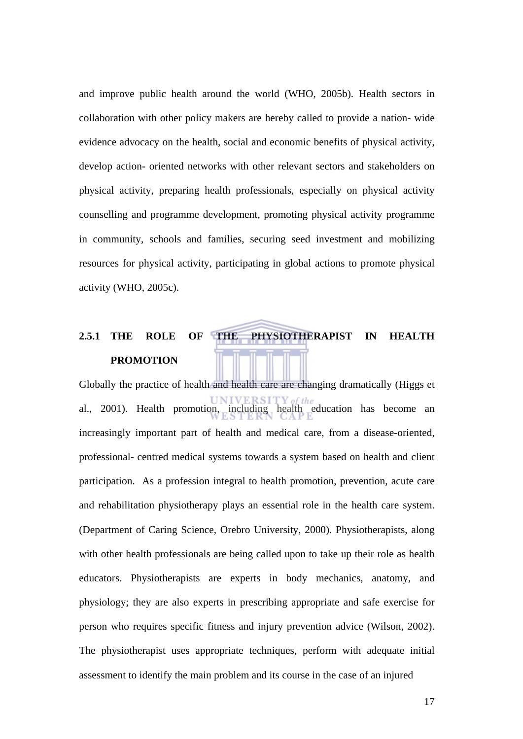and improve public health around the world (WHO, 2005b). Health sectors in collaboration with other policy makers are hereby called to provide a nation- wide evidence advocacy on the health, social and economic benefits of physical activity, develop action- oriented networks with other relevant sectors and stakeholders on physical activity, preparing health professionals, especially on physical activity counselling and programme development, promoting physical activity programme in community, schools and families, securing seed investment and mobilizing resources for physical activity, participating in global actions to promote physical activity (WHO, 2005c).

# **2.5.1 THE ROLE OF THE PHYSIOTHERAPIST IN HEALTH PROMOTION**

Globally the practice of health and health care are changing dramatically (Higgs et al., 2001). Health promotion, including health education has become an increasingly important part of health and medical care, from a disease-oriented, professional- centred medical systems towards a system based on health and client participation. As a profession integral to health promotion, prevention, acute care and rehabilitation physiotherapy plays an essential role in the health care system. (Department of Caring Science, Orebro University, 2000). Physiotherapists, along with other health professionals are being called upon to take up their role as health educators. Physiotherapists are experts in body mechanics, anatomy, and physiology; they are also experts in prescribing appropriate and safe exercise for person who requires specific fitness and injury prevention advice (Wilson, 2002). The physiotherapist uses appropriate techniques, perform with adequate initial assessment to identify the main problem and its course in the case of an injured

17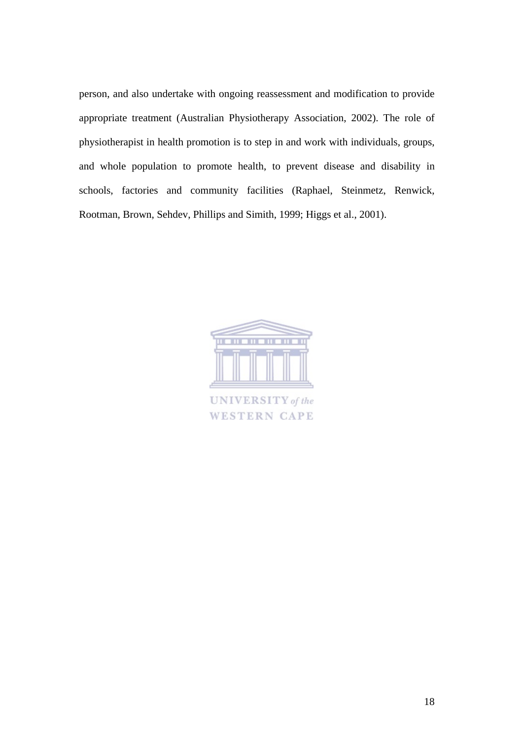person, and also undertake with ongoing reassessment and modification to provide appropriate treatment (Australian Physiotherapy Association, 2002). The role of physiotherapist in health promotion is to step in and work with individuals, groups, and whole population to promote health, to prevent disease and disability in schools, factories and community facilities (Raphael, Steinmetz, Renwick, Rootman, Brown, Sehdev, Phillips and Simith, 1999; Higgs et al., 2001).

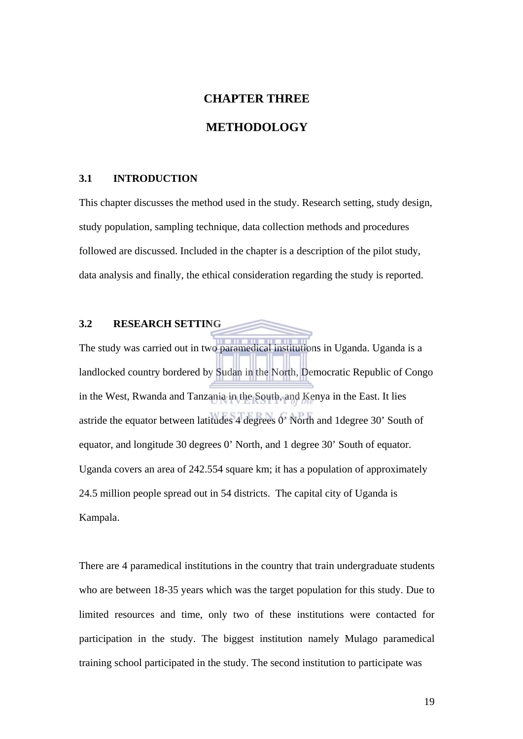# **CHAPTER THREE METHODOLOGY**

#### **3.1 INTRODUCTION**

This chapter discusses the method used in the study. Research setting, study design, study population, sampling technique, data collection methods and procedures followed are discussed. Included in the chapter is a description of the pilot study, data analysis and finally, the ethical consideration regarding the study is reported.

### **3.2 RESEARCH SETTING**

The study was carried out in two paramedical institutions in Uganda. Uganda is a landlocked country bordered by Sudan in the North, Democratic Republic of Congo in the West, Rwanda and Tanzania in the South, and Kenya in the East. It lies astride the equator between latitudes 4 degrees 0' North and 1degree 30' South of equator, and longitude 30 degrees 0' North, and 1 degree 30' South of equator. Uganda covers an area of 242.554 square km; it has a population of approximately 24.5 million people spread out in 54 districts. The capital city of Uganda is Kampala.

There are 4 paramedical institutions in the country that train undergraduate students who are between 18-35 years which was the target population for this study. Due to limited resources and time, only two of these institutions were contacted for participation in the study. The biggest institution namely Mulago paramedical training school participated in the study. The second institution to participate was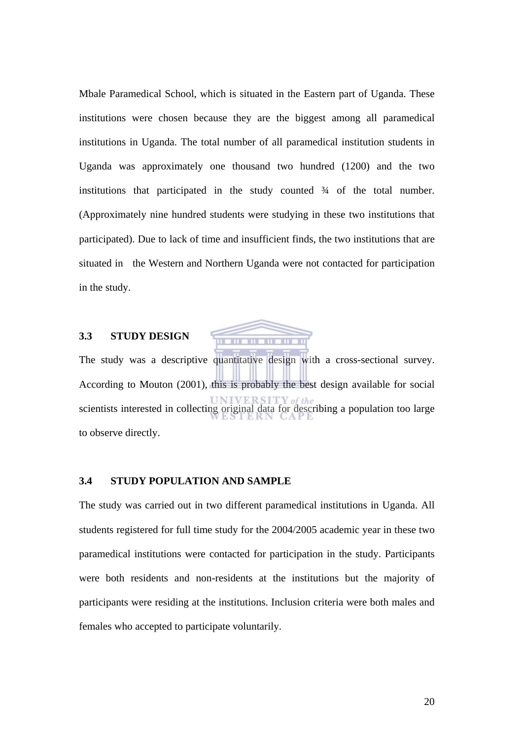Mbale Paramedical School, which is situated in the Eastern part of Uganda. These institutions were chosen because they are the biggest among all paramedical institutions in Uganda. The total number of all paramedical institution students in Uganda was approximately one thousand two hundred (1200) and the two institutions that participated in the study counted ¾ of the total number. (Approximately nine hundred students were studying in these two institutions that participated). Due to lack of time and insufficient finds, the two institutions that are situated in the Western and Northern Uganda were not contacted for participation in the study.

#### **3.3 STUDY DESIGN**



The study was a descriptive quantitative design with a cross-sectional survey. According to Mouton (2001), this is probably the best design available for social scientists interested in collecting original data for describing a population too large to observe directly.

#### **3.4 STUDY POPULATION AND SAMPLE**

The study was carried out in two different paramedical institutions in Uganda. All students registered for full time study for the 2004/2005 academic year in these two paramedical institutions were contacted for participation in the study. Participants were both residents and non-residents at the institutions but the majority of participants were residing at the institutions. Inclusion criteria were both males and females who accepted to participate voluntarily.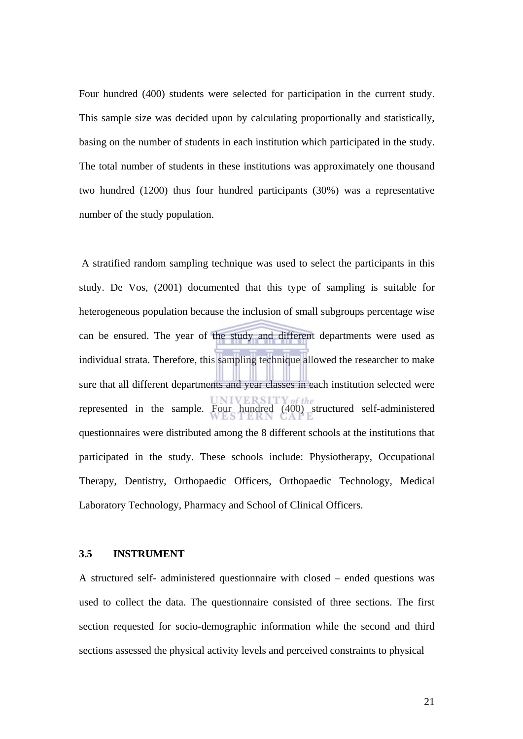Four hundred (400) students were selected for participation in the current study. This sample size was decided upon by calculating proportionally and statistically, basing on the number of students in each institution which participated in the study. The total number of students in these institutions was approximately one thousand two hundred (1200) thus four hundred participants (30%) was a representative number of the study population.

 A stratified random sampling technique was used to select the participants in this study. De Vos, (2001) documented that this type of sampling is suitable for heterogeneous population because the inclusion of small subgroups percentage wise can be ensured. The year of the study and different departments were used as individual strata. Therefore, this sampling technique allowed the researcher to make sure that all different departments and year classes in each institution selected were represented in the sample. Four hundred (400) structured self-administered questionnaires were distributed among the 8 different schools at the institutions that participated in the study. These schools include: Physiotherapy, Occupational Therapy, Dentistry, Orthopaedic Officers, Orthopaedic Technology, Medical Laboratory Technology, Pharmacy and School of Clinical Officers.

#### **3.5 INSTRUMENT**

A structured self- administered questionnaire with closed – ended questions was used to collect the data. The questionnaire consisted of three sections. The first section requested for socio-demographic information while the second and third sections assessed the physical activity levels and perceived constraints to physical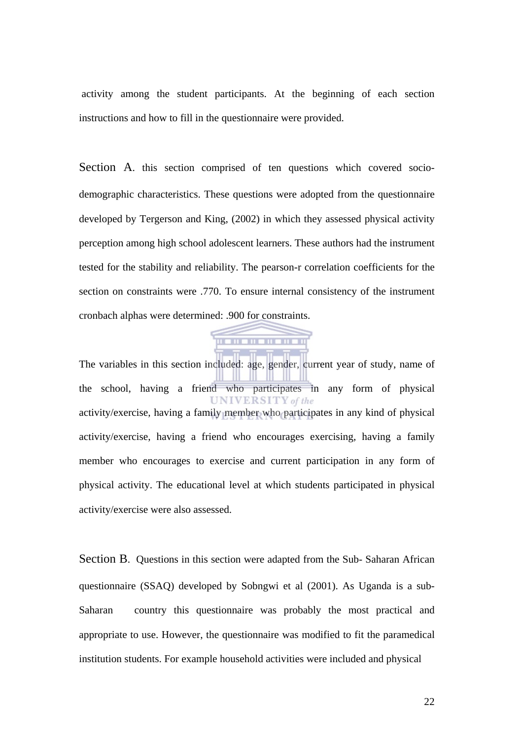activity among the student participants. At the beginning of each section instructions and how to fill in the questionnaire were provided.

Section A. this section comprised of ten questions which covered sociodemographic characteristics. These questions were adopted from the questionnaire developed by Tergerson and King, (2002) in which they assessed physical activity perception among high school adolescent learners. These authors had the instrument tested for the stability and reliability. The pearson-r correlation coefficients for the section on constraints were .770. To ensure internal consistency of the instrument cronbach alphas were determined: .900 for constraints.

The variables in this section included: age, gender, current year of study, name of the school, having a friend who participates in any form of physical **UNIVERSITY** of the activity/exercise, having a family member who participates in any kind of physical activity/exercise, having a friend who encourages exercising, having a family member who encourages to exercise and current participation in any form of physical activity. The educational level at which students participated in physical activity/exercise were also assessed.

. . . . . . . . . . . .

Section B. Questions in this section were adapted from the Sub- Saharan African questionnaire (SSAQ) developed by Sobngwi et al (2001). As Uganda is a sub-Saharan country this questionnaire was probably the most practical and appropriate to use. However, the questionnaire was modified to fit the paramedical institution students. For example household activities were included and physical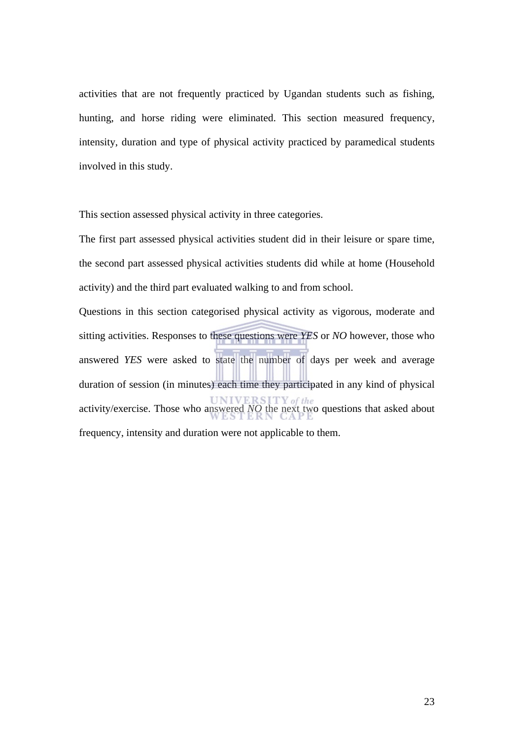activities that are not frequently practiced by Ugandan students such as fishing, hunting, and horse riding were eliminated. This section measured frequency, intensity, duration and type of physical activity practiced by paramedical students involved in this study.

This section assessed physical activity in three categories.

The first part assessed physical activities student did in their leisure or spare time, the second part assessed physical activities students did while at home (Household activity) and the third part evaluated walking to and from school.

Questions in this section categorised physical activity as vigorous, moderate and sitting activities. Responses to these questions were *YES* or *NO* however, those who answered *YES* were asked to state the number of days per week and average duration of session (in minutes) each time they participated in any kind of physical activity/exercise. Those who answered *NO* the next two questions that asked about frequency, intensity and duration were not applicable to them.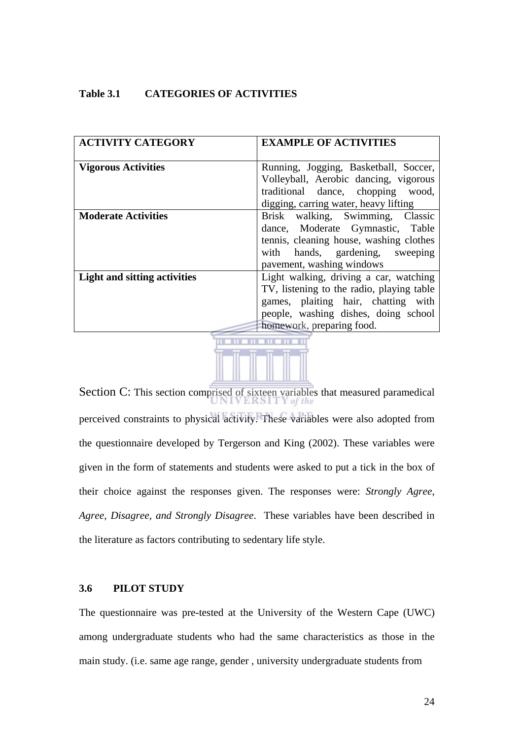#### **Table 3.1 CATEGORIES OF ACTIVITIES**

| <b>ACTIVITY CATEGORY</b>            | <b>EXAMPLE OF ACTIVITIES</b>                                                                                                                                                                    |
|-------------------------------------|-------------------------------------------------------------------------------------------------------------------------------------------------------------------------------------------------|
| <b>Vigorous Activities</b>          | Running, Jogging, Basketball, Soccer,<br>Volleyball, Aerobic dancing, vigorous<br>traditional dance, chopping wood,<br>digging, carring water, heavy lifting                                    |
| <b>Moderate Activities</b>          | Brisk walking, Swimming, Classic<br>dance, Moderate Gymnastic, Table<br>tennis, cleaning house, washing clothes<br>with hands, gardening, sweeping<br>pavement, washing windows                 |
| <b>Light and sitting activities</b> | Light walking, driving a car, watching<br>TV, listening to the radio, playing table<br>games, plaiting hair, chatting with<br>people, washing dishes, doing school<br>homework, preparing food. |



Section C: This section comprised of sixteen variables that measured paramedical perceived constraints to physical activity. These variables were also adopted from the questionnaire developed by Tergerson and King (2002). These variables were given in the form of statements and students were asked to put a tick in the box of their choice against the responses given. The responses were: *Strongly Agree, Agree, Disagree, and Strongly Disagree*. These variables have been described in the literature as factors contributing to sedentary life style.

#### **3.6 PILOT STUDY**

The questionnaire was pre-tested at the University of the Western Cape (UWC) among undergraduate students who had the same characteristics as those in the main study. (i.e. same age range, gender , university undergraduate students from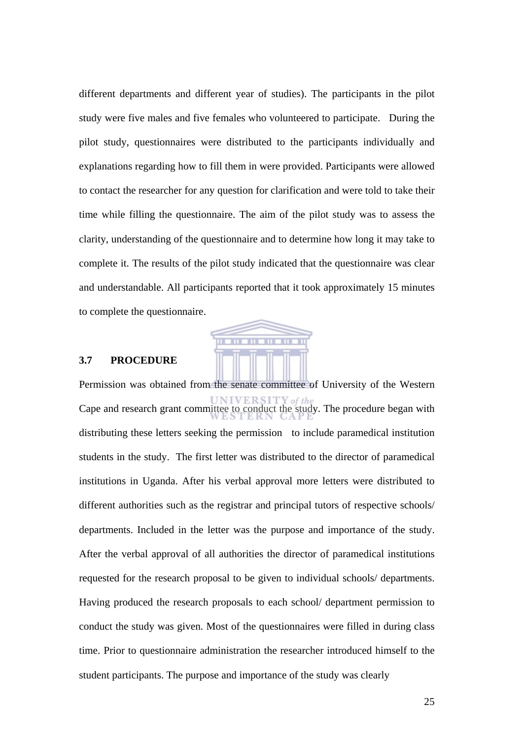different departments and different year of studies). The participants in the pilot study were five males and five females who volunteered to participate. During the pilot study, questionnaires were distributed to the participants individually and explanations regarding how to fill them in were provided. Participants were allowed to contact the researcher for any question for clarification and were told to take their time while filling the questionnaire. The aim of the pilot study was to assess the clarity, understanding of the questionnaire and to determine how long it may take to complete it. The results of the pilot study indicated that the questionnaire was clear and understandable. All participants reported that it took approximately 15 minutes to complete the questionnaire.



#### **3.7 PROCEDURE**

Permission was obtained from the senate committee of University of the Western Cape and research grant committee to conduct the study. The procedure began with distributing these letters seeking the permission to include paramedical institution students in the study. The first letter was distributed to the director of paramedical institutions in Uganda. After his verbal approval more letters were distributed to different authorities such as the registrar and principal tutors of respective schools/ departments. Included in the letter was the purpose and importance of the study. After the verbal approval of all authorities the director of paramedical institutions requested for the research proposal to be given to individual schools/ departments. Having produced the research proposals to each school/ department permission to conduct the study was given. Most of the questionnaires were filled in during class time. Prior to questionnaire administration the researcher introduced himself to the student participants. The purpose and importance of the study was clearly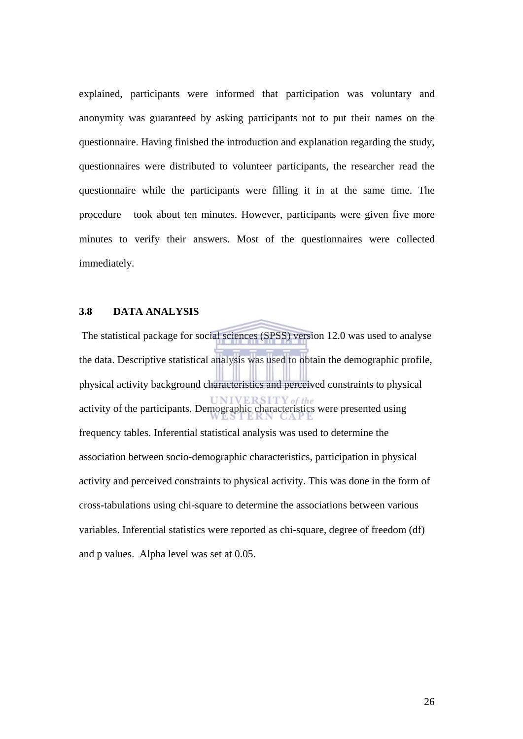explained, participants were informed that participation was voluntary and anonymity was guaranteed by asking participants not to put their names on the questionnaire. Having finished the introduction and explanation regarding the study, questionnaires were distributed to volunteer participants, the researcher read the questionnaire while the participants were filling it in at the same time. The procedure took about ten minutes. However, participants were given five more minutes to verify their answers. Most of the questionnaires were collected immediately.

## **3.8 DATA ANALYSIS**

The statistical package for social sciences (SPSS) version 12.0 was used to analyse the data. Descriptive statistical analysis was used to obtain the demographic profile, physical activity background characteristics and perceived constraints to physical activity of the participants. Demographic characteristics were presented using frequency tables. Inferential statistical analysis was used to determine the association between socio-demographic characteristics, participation in physical activity and perceived constraints to physical activity. This was done in the form of cross-tabulations using chi-square to determine the associations between various variables. Inferential statistics were reported as chi-square, degree of freedom (df) and p values. Alpha level was set at 0.05.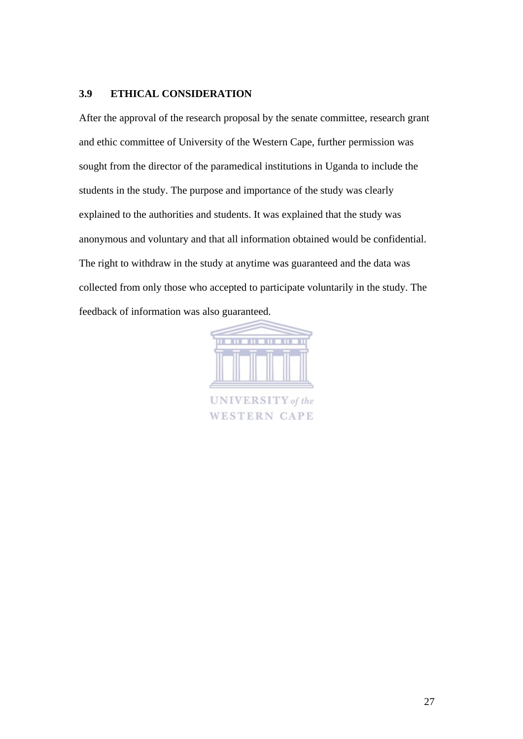# **3.9 ETHICAL CONSIDERATION**

After the approval of the research proposal by the senate committee, research grant and ethic committee of University of the Western Cape, further permission was sought from the director of the paramedical institutions in Uganda to include the students in the study. The purpose and importance of the study was clearly explained to the authorities and students. It was explained that the study was anonymous and voluntary and that all information obtained would be confidential. The right to withdraw in the study at anytime was guaranteed and the data was collected from only those who accepted to participate voluntarily in the study. The feedback of information was also guaranteed.



**WESTERN CAPE**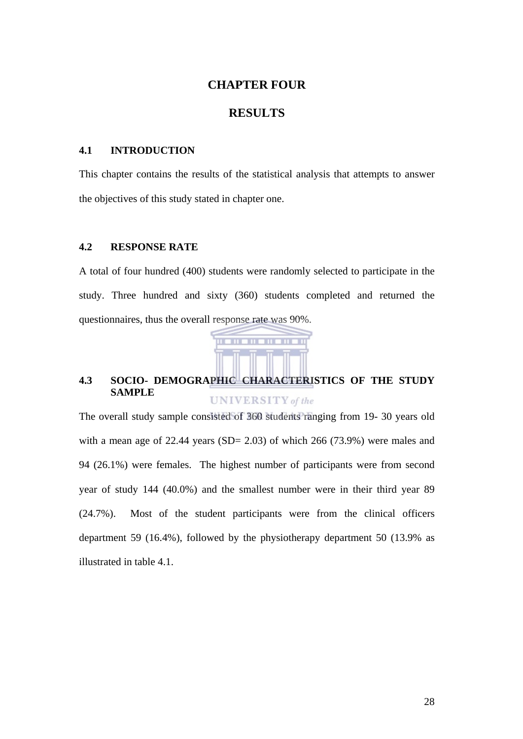# **CHAPTER FOUR**

# **RESULTS**

#### **4.1 INTRODUCTION**

This chapter contains the results of the statistical analysis that attempts to answer the objectives of this study stated in chapter one.

# **4.2 RESPONSE RATE**

A total of four hundred (400) students were randomly selected to participate in the study. Three hundred and sixty (360) students completed and returned the questionnaires, thus the overall response rate was 90%.



#### **4.3 SOCIO- DEMOGRAPHIC CHARACTERISTICS OF THE STUDY SAMPLE UNIVERSITY** of the

The overall study sample consisted of 360 students ranging from 19- 30 years old with a mean age of  $22.44$  years (SD= 2.03) of which 266 (73.9%) were males and 94 (26.1%) were females. The highest number of participants were from second year of study 144 (40.0%) and the smallest number were in their third year 89 (24.7%). Most of the student participants were from the clinical officers department 59 (16.4%), followed by the physiotherapy department 50 (13.9% as illustrated in table 4.1.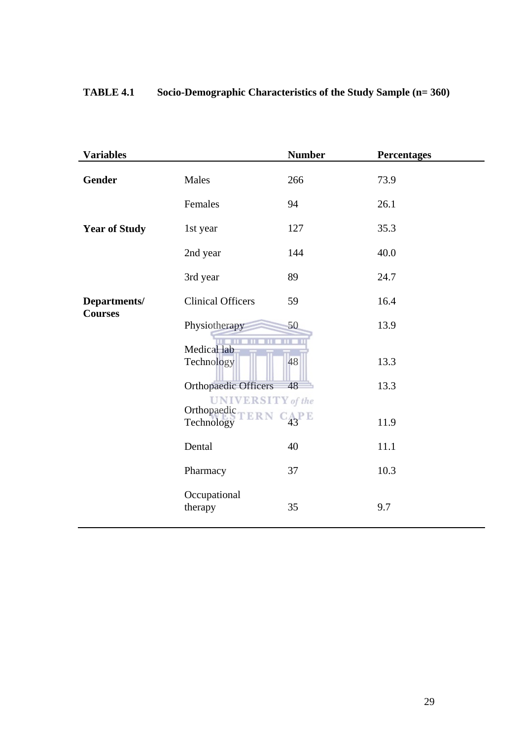# **TABLE 4.1 Socio-Demographic Characteristics of the Study Sample (n= 360)**

| <b>Variables</b>     |                                         | <b>Number</b> | <b>Percentages</b> |
|----------------------|-----------------------------------------|---------------|--------------------|
| <b>Gender</b>        | Males                                   | 266           | 73.9               |
|                      | Females                                 | 94            | 26.1               |
| <b>Year of Study</b> | 1st year                                | 127           | 35.3               |
|                      | 2nd year                                | 144           | 40.0               |
|                      | 3rd year                                | 89            | 24.7               |
| Departments/         | <b>Clinical Officers</b>                | 59            | 16.4               |
| <b>Courses</b>       | Physiotherapy                           | 50            | 13.9               |
|                      | Medical lab                             |               |                    |
|                      | Technology                              | 48            | 13.3               |
|                      | <b>Orthopaedic Officers</b>             | 48            | 13.3               |
|                      | <b>UNIVERSITY</b> of the<br>Orthopaedic |               |                    |
|                      | <b>ERN</b><br>Technology                | $C_{43}$ PE   | 11.9               |
|                      | Dental                                  | 40            | 11.1               |
|                      | Pharmacy                                | 37            | 10.3               |
|                      | Occupational<br>therapy                 | 35            | 9.7                |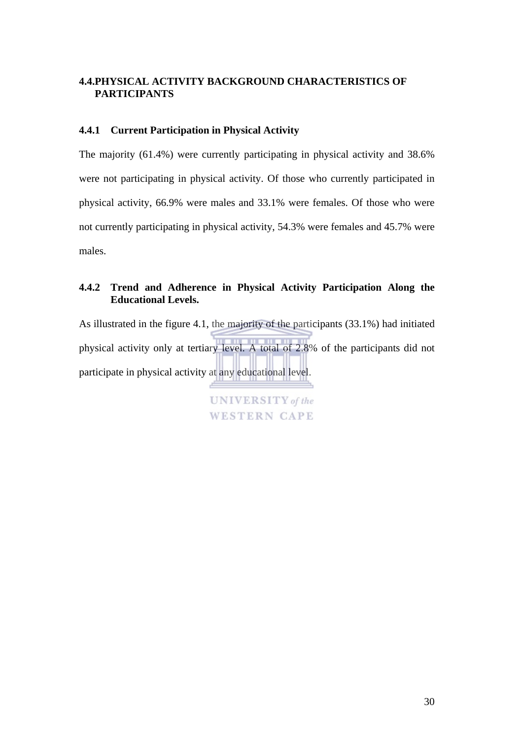# **4.4.PHYSICAL ACTIVITY BACKGROUND CHARACTERISTICS OF PARTICIPANTS**

# **4.4.1 Current Participation in Physical Activity**

The majority (61.4%) were currently participating in physical activity and 38.6% were not participating in physical activity. Of those who currently participated in physical activity, 66.9% were males and 33.1% were females. Of those who were not currently participating in physical activity, 54.3% were females and 45.7% were males.

# **4.4.2 Trend and Adherence in Physical Activity Participation Along the Educational Levels.**

As illustrated in the figure 4.1, the majority of the participants (33.1%) had initiated physical activity only at tertiary level. A total of 2.8% of the participants did not participate in physical activity at any educational level.

> **UNIVERSITY** of the **WESTERN CAPE**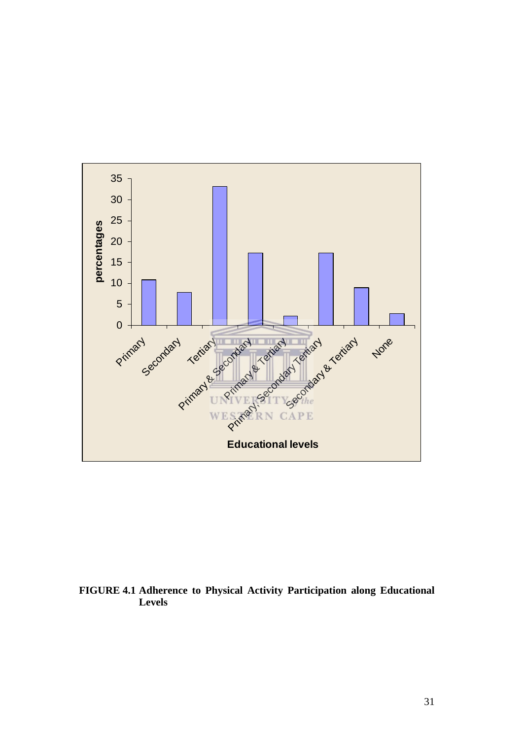

# **FIGURE 4.1 Adherence to Physical Activity Participation along Educational Levels**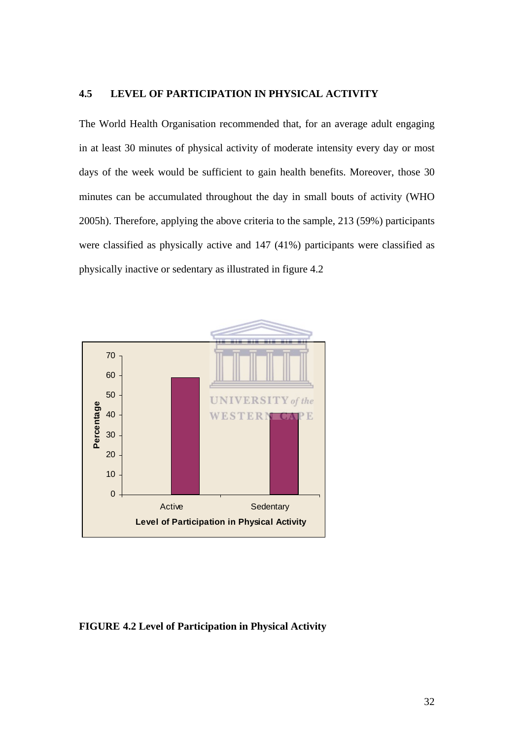## **4.5 LEVEL OF PARTICIPATION IN PHYSICAL ACTIVITY**

The World Health Organisation recommended that, for an average adult engaging in at least 30 minutes of physical activity of moderate intensity every day or most days of the week would be sufficient to gain health benefits. Moreover, those 30 minutes can be accumulated throughout the day in small bouts of activity (WHO 2005h). Therefore, applying the above criteria to the sample, 213 (59%) participants were classified as physically active and 147 (41%) participants were classified as physically inactive or sedentary as illustrated in figure 4.2



#### **FIGURE 4.2 Level of Participation in Physical Activity**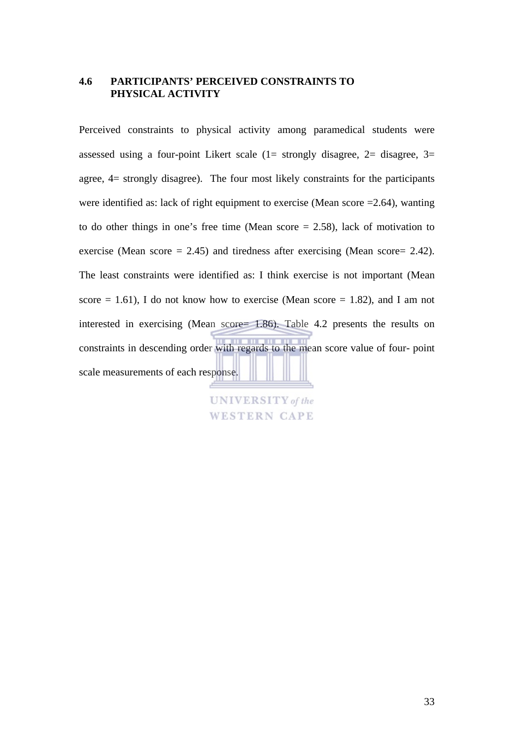## **4.6 PARTICIPANTS' PERCEIVED CONSTRAINTS TO PHYSICAL ACTIVITY**

Perceived constraints to physical activity among paramedical students were assessed using a four-point Likert scale  $(1=$  strongly disagree,  $2=$  disagree,  $3=$ agree, 4= strongly disagree). The four most likely constraints for the participants were identified as: lack of right equipment to exercise (Mean score =2.64), wanting to do other things in one's free time (Mean score = 2.58), lack of motivation to exercise (Mean score  $= 2.45$ ) and tiredness after exercising (Mean score  $= 2.42$ ). The least constraints were identified as: I think exercise is not important (Mean score  $= 1.61$ ), I do not know how to exercise (Mean score  $= 1.82$ ), and I am not interested in exercising (Mean score= 1.86). Table 4.2 presents the results on constraints in descending order with regards to the mean score value of four- point scale measurements of each response.

> **UNIVERSITY** of the **WESTERN CAPE**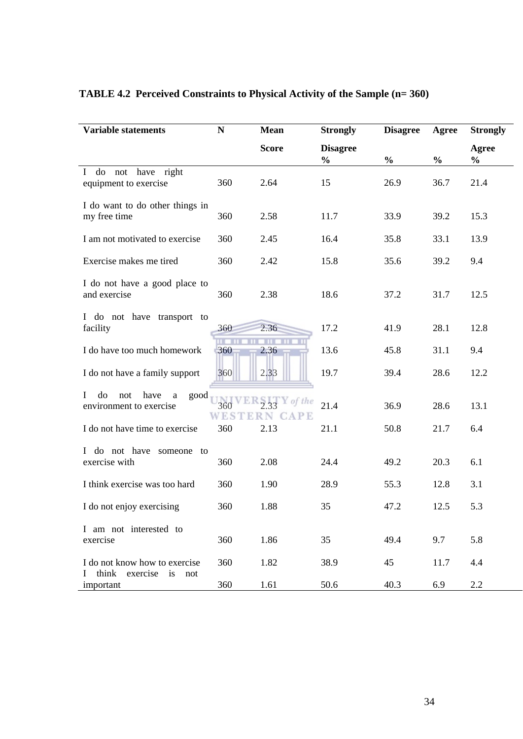| <b>Variable statements</b>                                            | ${\bf N}$         | <b>Mean</b>                | <b>Strongly</b>                  | <b>Disagree</b> | Agree         | <b>Strongly</b>        |
|-----------------------------------------------------------------------|-------------------|----------------------------|----------------------------------|-----------------|---------------|------------------------|
|                                                                       |                   | <b>Score</b>               | <b>Disagree</b><br>$\frac{0}{0}$ | $\frac{0}{0}$   | $\frac{0}{0}$ | Agree<br>$\frac{0}{0}$ |
| do not have right<br>$\mathbf{I}$<br>equipment to exercise            | 360               | 2.64                       | 15                               | 26.9            | 36.7          | 21.4                   |
| I do want to do other things in<br>my free time                       | 360               | 2.58                       | 11.7                             | 33.9            | 39.2          | 15.3                   |
| I am not motivated to exercise                                        | 360               | 2.45                       | 16.4                             | 35.8            | 33.1          | 13.9                   |
| Exercise makes me tired                                               | 360               | 2.42                       | 15.8                             | 35.6            | 39.2          | 9.4                    |
| I do not have a good place to<br>and exercise                         | 360               | 2.38                       | 18.6                             | 37.2            | 31.7          | 12.5                   |
| I do not have transport to<br>facility                                | 360               | 2.36                       | 17.2                             | 41.9            | 28.1          | 12.8                   |
| I do have too much homework                                           | 360               | <b>TTT</b><br>2.36         | 13.6                             | 45.8            | 31.1          | 9.4                    |
| I do not have a family support                                        | 360               | 2.33                       | 19.7                             | 39.4            | 28.6          | 12.2                   |
| do<br>have<br>not<br>$\bf{l}$<br>good<br>a<br>environment to exercise | 360<br><b>WES</b> | of the<br><b>CAPE</b><br>N | 21.4                             | 36.9            | 28.6          | 13.1                   |
| I do not have time to exercise                                        | 360               | 2.13                       | 21.1                             | 50.8            | 21.7          | 6.4                    |
| I do not have someone to<br>exercise with                             | 360               | 2.08                       | 24.4                             | 49.2            | 20.3          | 6.1                    |
| I think exercise was too hard                                         | 360               | 1.90                       | 28.9                             | 55.3            | 12.8          | 3.1                    |
| I do not enjoy exercising                                             | 360               | 1.88                       | 35                               | 47.2            | 12.5          | 5.3                    |
| I am not interested to<br>exercise                                    | 360               | 1.86                       | 35                               | 49.4            | 9.7           | 5.8                    |
| I do not know how to exercise                                         | 360               | 1.82                       | 38.9                             | 45              | 11.7          | 4.4                    |
| think exercise is<br>L<br>not<br>important                            | 360               | 1.61                       | 50.6                             | 40.3            | 6.9           | 2.2                    |

# **TABLE 4.2 Perceived Constraints to Physical Activity of the Sample (n= 360)**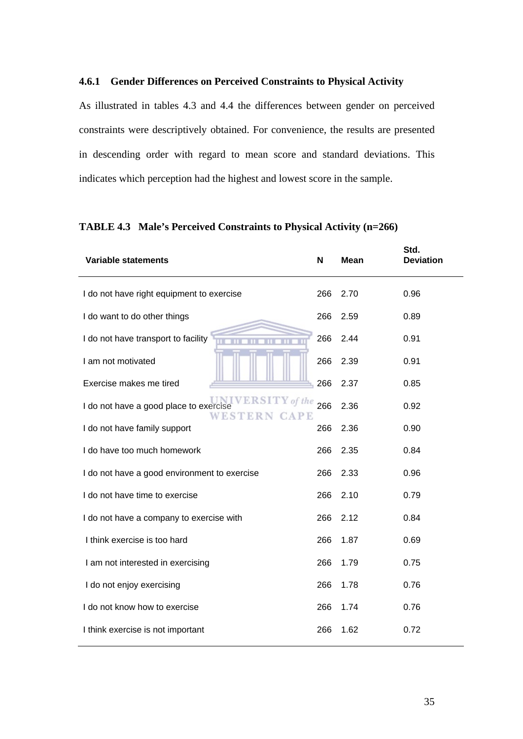#### **4.6.1 Gender Differences on Perceived Constraints to Physical Activity**

As illustrated in tables 4.3 and 4.4 the differences between gender on perceived constraints were descriptively obtained. For convenience, the results are presented in descending order with regard to mean score and standard deviations. This indicates which perception had the highest and lowest score in the sample.

| <b>Variable statements</b>                                                               | N   | <b>Mean</b> | Std.<br><b>Deviation</b> |
|------------------------------------------------------------------------------------------|-----|-------------|--------------------------|
| I do not have right equipment to exercise                                                | 266 | 2.70        | 0.96                     |
| I do want to do other things                                                             | 266 | 2.59        | 0.89                     |
| I do not have transport to facility                                                      | 266 | 2.44        | 0.91                     |
| I am not motivated                                                                       | 266 | 2.39        | 0.91                     |
| Exercise makes me tired                                                                  | 266 | 2.37        | 0.85                     |
| <b>ERSITY</b> of the<br>I do not have a good place to exercise<br>WESTERN<br><b>CAPE</b> | 266 | 2.36        | 0.92                     |
| I do not have family support                                                             | 266 | 2.36        | 0.90                     |
| I do have too much homework                                                              | 266 | 2.35        | 0.84                     |
| I do not have a good environment to exercise                                             | 266 | 2.33        | 0.96                     |
| I do not have time to exercise                                                           | 266 | 2.10        | 0.79                     |
| I do not have a company to exercise with                                                 | 266 | 2.12        | 0.84                     |
| I think exercise is too hard                                                             | 266 | 1.87        | 0.69                     |
| I am not interested in exercising                                                        | 266 | 1.79        | 0.75                     |
| I do not enjoy exercising                                                                | 266 | 1.78        | 0.76                     |
| I do not know how to exercise                                                            | 266 | 1.74        | 0.76                     |
| I think exercise is not important                                                        | 266 | 1.62        | 0.72                     |

# **TABLE 4.3 Male's Perceived Constraints to Physical Activity (n=266)**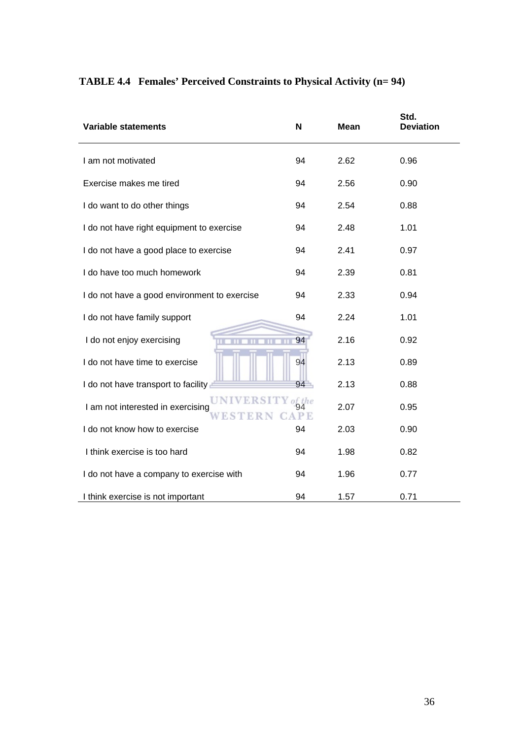| <b>Variable statements</b>                   | N      | <b>Mean</b> | Std.<br><b>Deviation</b> |
|----------------------------------------------|--------|-------------|--------------------------|
| I am not motivated                           | 94     | 2.62        | 0.96                     |
| Exercise makes me tired                      | 94     | 2.56        | 0.90                     |
| I do want to do other things                 | 94     | 2.54        | 0.88                     |
| I do not have right equipment to exercise    | 94     | 2.48        | 1.01                     |
| I do not have a good place to exercise       | 94     | 2.41        | 0.97                     |
| I do have too much homework                  | 94     | 2.39        | 0.81                     |
| I do not have a good environment to exercise | 94     | 2.33        | 0.94                     |
| I do not have family support                 | 94     | 2.24        | 1.01                     |
| I do not enjoy exercising                    | 94     | 2.16        | 0.92                     |
| I do not have time to exercise               | 94     | 2.13        | 0.89                     |
| I do not have transport to facility          | 94     | 2.13        | 0.88                     |
| I am not interested in exercising            | of the | 2.07        | 0.95                     |
| I do not know how to exercise                | 94     | 2.03        | 0.90                     |
| I think exercise is too hard                 | 94     | 1.98        | 0.82                     |
| I do not have a company to exercise with     | 94     | 1.96        | 0.77                     |
| I think exercise is not important            | 94     | 1.57        | 0.71                     |

# **TABLE 4.4 Females' Perceived Constraints to Physical Activity (n= 94)**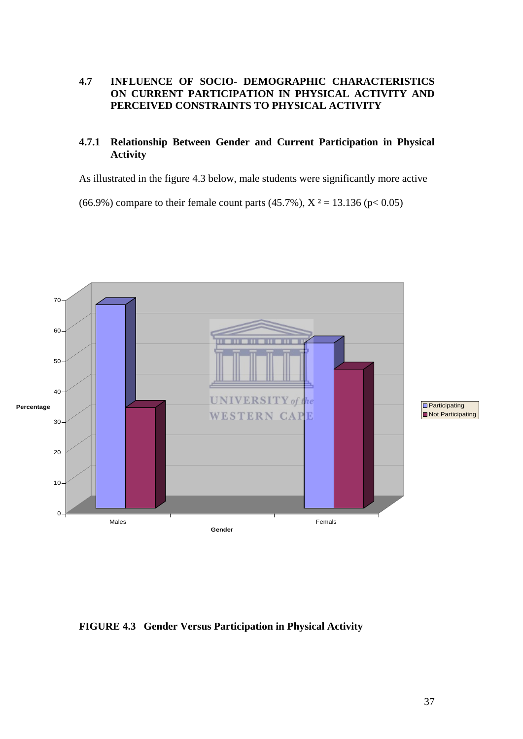## **4.7 INFLUENCE OF SOCIO- DEMOGRAPHIC CHARACTERISTICS ON CURRENT PARTICIPATION IN PHYSICAL ACTIVITY AND PERCEIVED CONSTRAINTS TO PHYSICAL ACTIVITY**

# **4.7.1 Relationship Between Gender and Current Participation in Physical Activity**

As illustrated in the figure 4.3 below, male students were significantly more active

(66.9%) compare to their female count parts (45.7%),  $X^2 = 13.136$  (p< 0.05)



## **FIGURE 4.3 Gender Versus Participation in Physical Activity**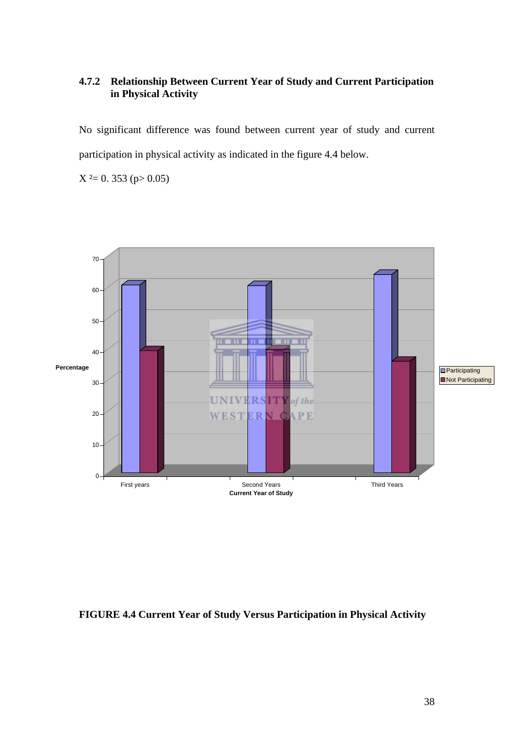# **4.7.2 Relationship Between Current Year of Study and Current Participation in Physical Activity**

No significant difference was found between current year of study and current participation in physical activity as indicated in the figure 4.4 below.

 $X^2 = 0.353$  (p> 0.05)



# **FIGURE 4.4 Current Year of Study Versus Participation in Physical Activity**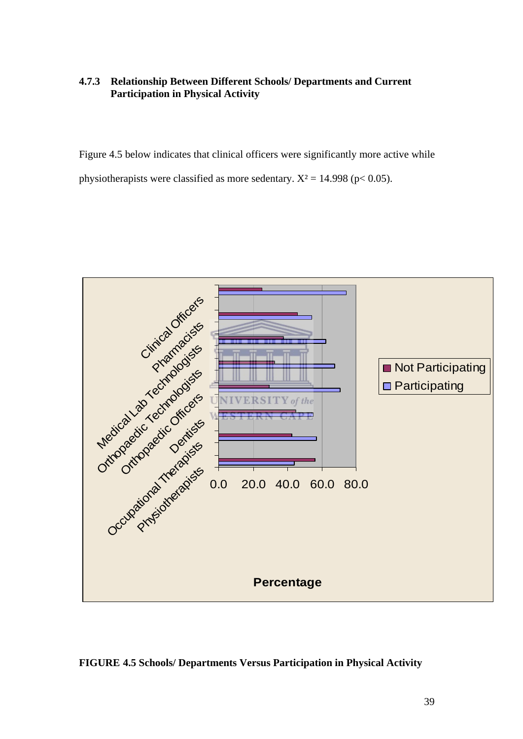## **4.7.3 Relationship Between Different Schools/ Departments and Current Participation in Physical Activity**

Figure 4.5 below indicates that clinical officers were significantly more active while physiotherapists were classified as more sedentary.  $X^2 = 14.998$  (p< 0.05).



**FIGURE 4.5 Schools/ Departments Versus Participation in Physical Activity**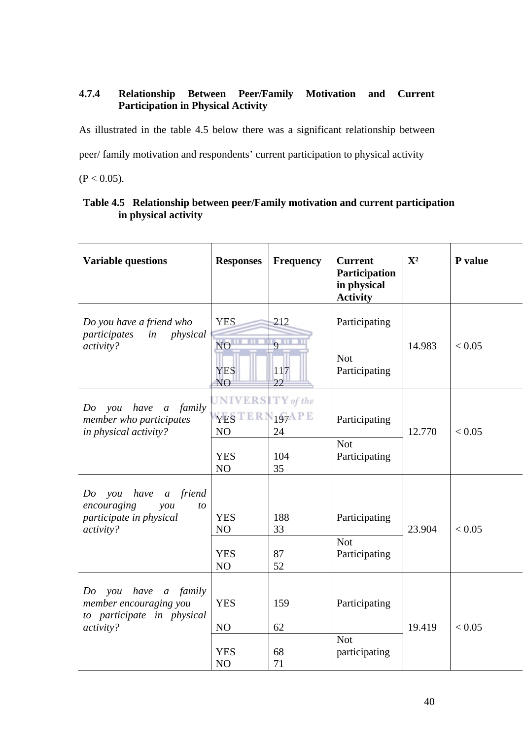# **4.7.4 Relationship Between Peer/Family Motivation and Current Participation in Physical Activity**

As illustrated in the table 4.5 below there was a significant relationship between

peer/ family motivation and respondents' current participation to physical activity

 $(P < 0.05)$ .

| <b>Variable questions</b>                                                                                                      | <b>Responses</b>                                         | <b>Frequency</b>                           | <b>Current</b><br>Participation<br>in physical<br><b>Activity</b> | ${\bf X}^2$ | P value |
|--------------------------------------------------------------------------------------------------------------------------------|----------------------------------------------------------|--------------------------------------------|-------------------------------------------------------------------|-------------|---------|
| Do you have a friend who<br>participates<br>physical<br>in<br>activity?                                                        | <b>YES</b><br><b>NO</b><br><b>YES</b><br>N <sub>O</sub>  | 212<br>$9^{\text{II}}$<br>117<br>22        | Participating<br><b>Not</b><br>Participating                      | 14.983      | < 0.05  |
| family<br>Do<br>have<br>you<br>$\boldsymbol{a}$<br>member who participates<br>in physical activity?                            | $UNIVERSITY$ of the<br>YESTERI<br>NO<br><b>YES</b><br>NO | $N_1$ <sub>97</sub> APE<br>24<br>104<br>35 | Participating<br><b>Not</b><br>Participating                      | 12.770      | < 0.05  |
| have<br>friend<br>Do<br>you<br>$\boldsymbol{a}$<br>encouraging<br>$\mathit{you}$<br>to<br>participate in physical<br>activity? | <b>YES</b><br>NO<br><b>YES</b><br>NO                     | 188<br>33<br>87<br>52                      | Participating<br><b>Not</b><br>Participating                      | 23.904      | < 0.05  |
| have<br>family<br>Do<br>you<br>$\mathfrak{a}$<br>member encouraging you<br>to participate in physical<br>activity?             | <b>YES</b><br>NO<br><b>YES</b><br>NO                     | 159<br>62<br>68<br>71                      | Participating<br><b>Not</b><br>participating                      | 19.419      | < 0.05  |

# **Table 4.5 Relationship between peer/Family motivation and current participation in physical activity**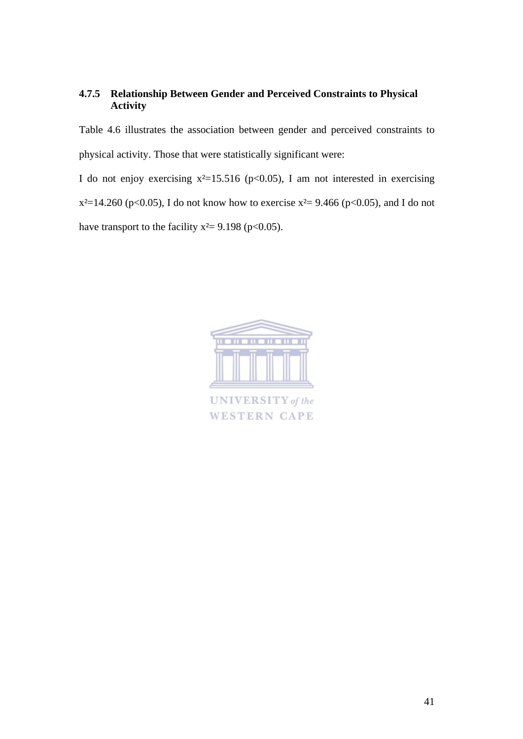# **4.7.5 Relationship Between Gender and Perceived Constraints to Physical Activity**

Table 4.6 illustrates the association between gender and perceived constraints to physical activity. Those that were statistically significant were:

I do not enjoy exercising  $x^2=15.516$  (p<0.05), I am not interested in exercising  $x^2=14.260$  (p<0.05), I do not know how to exercise  $x^2=9.466$  (p<0.05), and I do not have transport to the facility  $x^2 = 9.198$  (p<0.05).

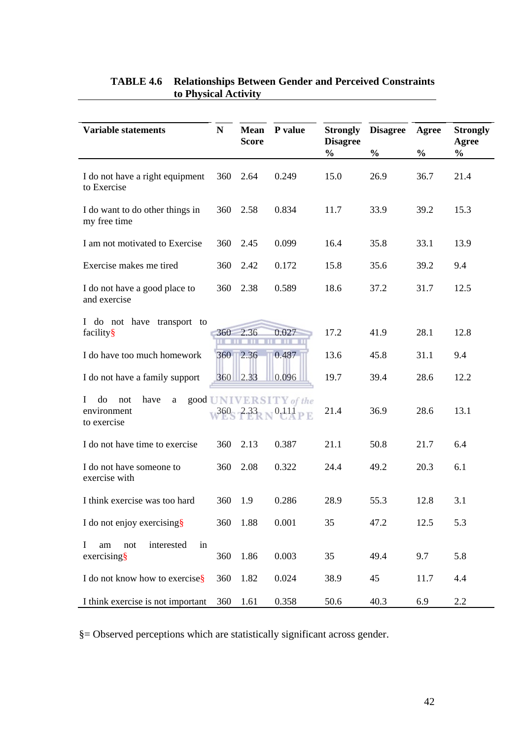| <b>Variable statements</b>                                | N   | <b>Mean</b>  | P value                             | <b>Strongly</b>                  | <b>Disagree</b> | Agree         | <b>Strongly</b>        |
|-----------------------------------------------------------|-----|--------------|-------------------------------------|----------------------------------|-----------------|---------------|------------------------|
|                                                           |     | <b>Score</b> |                                     | <b>Disagree</b><br>$\frac{0}{0}$ | $\frac{0}{0}$   | $\frac{0}{0}$ | Agree<br>$\frac{0}{0}$ |
| I do not have a right equipment<br>to Exercise            | 360 | 2.64         | 0.249                               | 15.0                             | 26.9            | 36.7          | 21.4                   |
| I do want to do other things in<br>my free time           | 360 | 2.58         | 0.834                               | 11.7                             | 33.9            | 39.2          | 15.3                   |
| I am not motivated to Exercise                            | 360 | 2.45         | 0.099                               | 16.4                             | 35.8            | 33.1          | 13.9                   |
| Exercise makes me tired                                   | 360 | 2.42         | 0.172                               | 15.8                             | 35.6            | 39.2          | 9.4                    |
| I do not have a good place to<br>and exercise             | 360 | 2.38         | 0.589                               | 18.6                             | 37.2            | 31.7          | 12.5                   |
| I do not have transport to<br>facility§                   | 360 | 2.36         | 0.027                               | 17.2                             | 41.9            | 28.1          | 12.8                   |
| I do have too much homework                               | 360 | 12.36        | 0.487                               | 13.6                             | 45.8            | 31.1          | 9.4                    |
| I do not have a family support                            |     | 360 2.33     | 0.096                               | 19.7                             | 39.4            | 28.6          | 12.2                   |
| do<br>Ι<br>not<br>have<br>a<br>environment<br>to exercise |     |              | good UNIVERSITY of the<br>$0dA$ P E | 21.4                             | 36.9            | 28.6          | 13.1                   |
| I do not have time to exercise                            | 360 | 2.13         | 0.387                               | 21.1                             | 50.8            | 21.7          | 6.4                    |
| I do not have someone to<br>exercise with                 | 360 | 2.08         | 0.322                               | 24.4                             | 49.2            | 20.3          | 6.1                    |
| I think exercise was too hard                             | 360 | 1.9          | 0.286                               | 28.9                             | 55.3            | 12.8          | 3.1                    |
| I do not enjoy exercising§                                | 360 | 1.88         | 0.001                               | 35                               | 47.2            | 12.5          | 5.3                    |
| interested<br>in<br>I<br>am<br>not<br>$exercising$ §      | 360 | 1.86         | 0.003                               | 35                               | 49.4            | 9.7           | 5.8                    |
| I do not know how to exercise§                            | 360 | 1.82         | 0.024                               | 38.9                             | 45              | 11.7          | 4.4                    |
| I think exercise is not important                         | 360 | 1.61         | 0.358                               | 50.6                             | 40.3            | 6.9           | 2.2                    |

# **TABLE 4.6 Relationships Between Gender and Perceived Constraints to Physical Activity**

§= Observed perceptions which are statistically significant across gender.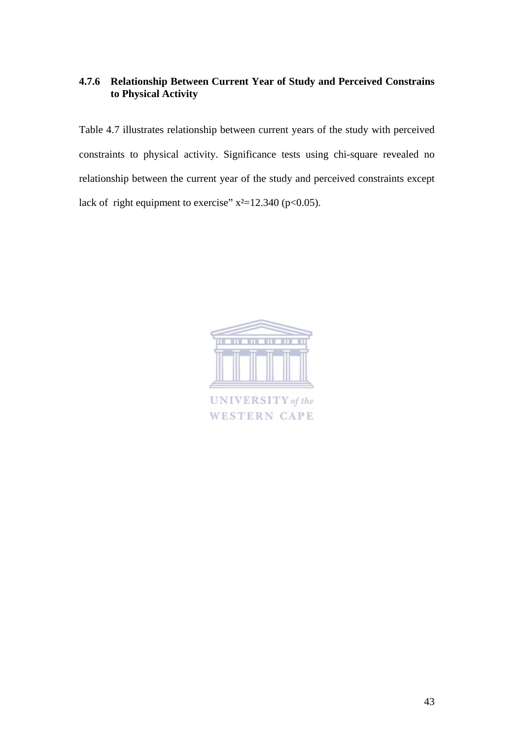# **4.7.6 Relationship Between Current Year of Study and Perceived Constrains to Physical Activity**

Table 4.7 illustrates relationship between current years of the study with perceived constraints to physical activity. Significance tests using chi-square revealed no relationship between the current year of the study and perceived constraints except lack of right equipment to exercise"  $x^2=12.340$  (p<0.05).

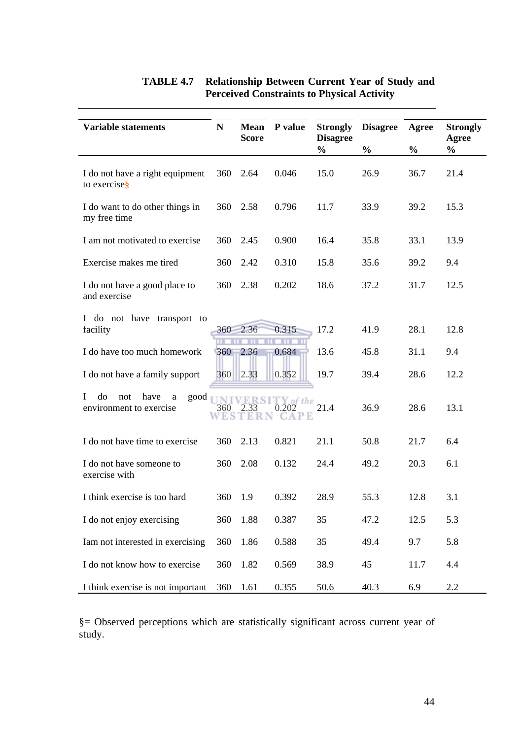| <b>Variable statements</b>                                                | $\mathbf N$ | <b>Mean</b>  | P value          | <b>Strongly</b>                  | <b>Disagree</b> | Agree         | <b>Strongly</b>        |
|---------------------------------------------------------------------------|-------------|--------------|------------------|----------------------------------|-----------------|---------------|------------------------|
|                                                                           |             | <b>Score</b> |                  | <b>Disagree</b><br>$\frac{0}{0}$ | $\frac{0}{0}$   | $\frac{0}{0}$ | Agree<br>$\frac{0}{0}$ |
| I do not have a right equipment<br>to exercise <sub>S</sub>               | 360         | 2.64         | 0.046            | 15.0                             | 26.9            | 36.7          | 21.4                   |
| I do want to do other things in<br>my free time                           | 360         | 2.58         | 0.796            | 11.7                             | 33.9            | 39.2          | 15.3                   |
| I am not motivated to exercise                                            | 360         | 2.45         | 0.900            | 16.4                             | 35.8            | 33.1          | 13.9                   |
| Exercise makes me tired                                                   | 360         | 2.42         | 0.310            | 15.8                             | 35.6            | 39.2          | 9.4                    |
| I do not have a good place to<br>and exercise                             | 360         | 2.38         | 0.202            | 18.6                             | 37.2            | 31.7          | 12.5                   |
| I do not have transport to<br>facility                                    |             | 360 2.36     | 0.315            | 17.2                             | 41.9            | 28.1          | 12.8                   |
| I do have too much homework                                               |             | 360 2.36     | 0.684            | 13.6                             | 45.8            | 31.1          | 9.4                    |
| I do not have a family support                                            | 360         | 2.33         | 0.352            | 19.7                             | 39.4            | 28.6          | 12.2                   |
| do<br>have<br>not<br>good<br>$\mathbf{I}$<br>a<br>environment to exercise | 360         | ккг          | of the<br>JA P K | 21.4                             | 36.9            | 28.6          | 13.1                   |
| I do not have time to exercise                                            | 360         | 2.13         | 0.821            | 21.1                             | 50.8            | 21.7          | 6.4                    |
| I do not have someone to<br>exercise with                                 | 360         | 2.08         | 0.132            | 24.4                             | 49.2            | 20.3          | 6.1                    |
| I think exercise is too hard                                              | 360         | 1.9          | 0.392            | 28.9                             | 55.3            | 12.8          | 3.1                    |
| I do not enjoy exercising                                                 | 360         | 1.88         | 0.387            | 35                               | 47.2            | 12.5          | 5.3                    |
| Iam not interested in exercising                                          | 360         | 1.86         | 0.588            | 35                               | 49.4            | 9.7           | 5.8                    |
| I do not know how to exercise                                             | 360         | 1.82         | 0.569            | 38.9                             | 45              | 11.7          | 4.4                    |
| I think exercise is not important                                         | 360         | 1.61         | 0.355            | 50.6                             | 40.3            | 6.9           | 2.2                    |

# **TABLE 4.7 Relationship Between Current Year of Study and Perceived Constraints to Physical Activity**

§= Observed perceptions which are statistically significant across current year of study.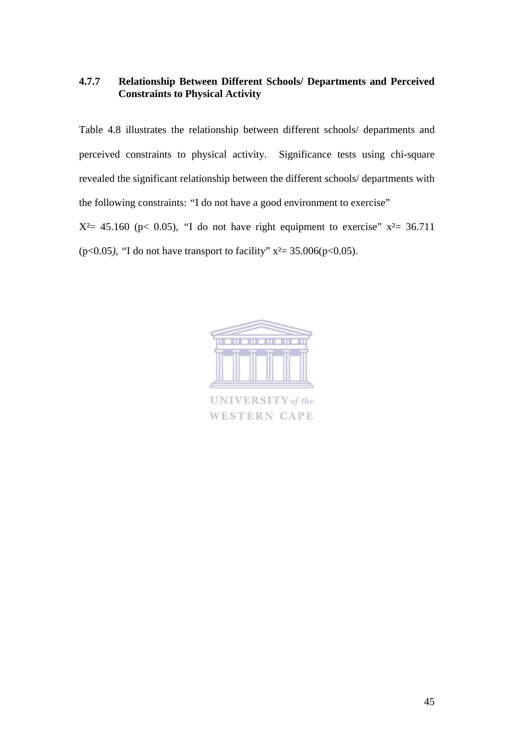## **4.7.7 Relationship Between Different Schools/ Departments and Perceived Constraints to Physical Activity**

Table 4.8 illustrates the relationship between different schools/ departments and perceived constraints to physical activity. Significance tests using chi-square revealed the significant relationship between the different schools/ departments with the following constraints: *"*I do not have a good environment to exercise"  $X^2=$  45.160 (p< 0.05), "I do not have right equipment to exercise"  $x^2=$  36.711

(p<0.05*), "*I do not have transport to facility" x²= 35.006(p<0.05).

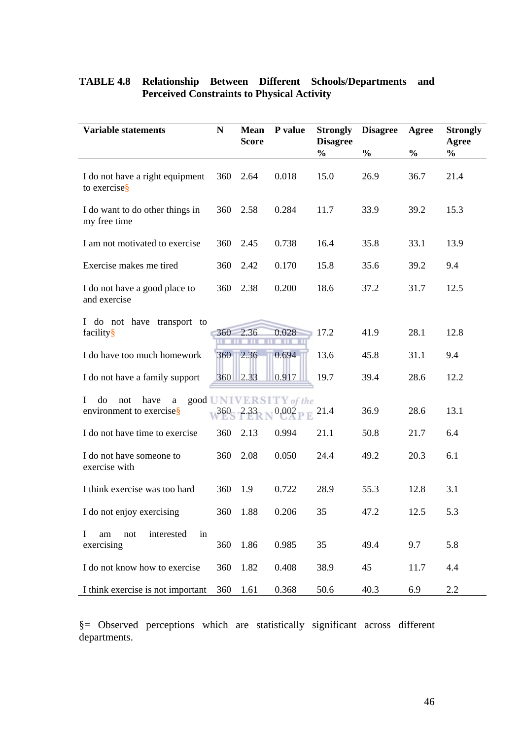| <b>Variable statements</b>                                  | ${\bf N}$ | Mean<br><b>Score</b> | P value                         | <b>Strongly</b><br><b>Disagree</b> | <b>Disagree</b> | Agree         | <b>Strongly</b><br>Agree |
|-------------------------------------------------------------|-----------|----------------------|---------------------------------|------------------------------------|-----------------|---------------|--------------------------|
|                                                             |           |                      |                                 | $\frac{0}{0}$                      | $\frac{0}{0}$   | $\frac{0}{0}$ | $\frac{0}{0}$            |
| I do not have a right equipment<br>to exercise <sup>§</sup> | 360       | 2.64                 | 0.018                           | 15.0                               | 26.9            | 36.7          | 21.4                     |
| I do want to do other things in<br>my free time             | 360       | 2.58                 | 0.284                           | 11.7                               | 33.9            | 39.2          | 15.3                     |
| I am not motivated to exercise                              | 360       | 2.45                 | 0.738                           | 16.4                               | 35.8            | 33.1          | 13.9                     |
| Exercise makes me tired                                     | 360       | 2.42                 | 0.170                           | 15.8                               | 35.6            | 39.2          | 9.4                      |
| I do not have a good place to<br>and exercise               | 360       | 2.38                 | 0.200                           | 18.6                               | 37.2            | 31.7          | 12.5                     |
| I do not have transport to<br>facility§                     | 360       | 2.36                 | 0.028                           | 17.2                               | 41.9            | 28.1          | 12.8                     |
| I do have too much homework                                 | 360       | 2.36                 | 0.694                           | 13.6                               | 45.8            | 31.1          | 9.4                      |
| I do not have a family support                              |           | 360 2.33             | 0.917                           | 19.7                               | 39.4            | 28.6          | 12.2                     |
| do<br>L<br>not<br>have<br>a<br>environment to exercise§     | 360       | 2.33                 | good UNIVERSITY of the<br>0.002 | 21.4                               | 36.9            | 28.6          | 13.1                     |
| I do not have time to exercise                              | 360       | 2.13                 | 0.994                           | 21.1                               | 50.8            | 21.7          | 6.4                      |
| I do not have someone to<br>exercise with                   | 360       | 2.08                 | 0.050                           | 24.4                               | 49.2            | 20.3          | 6.1                      |
| I think exercise was too hard                               | 360       | 1.9                  | 0.722                           | 28.9                               | 55.3            | 12.8          | 3.1                      |
| I do not enjoy exercising                                   | 360       | 1.88                 | 0.206                           | 35                                 | 47.2            | 12.5          | 5.3                      |
| in<br>interested<br>I<br>am<br>not<br>exercising            | 360       | 1.86                 | 0.985                           | 35                                 | 49.4            | 9.7           | 5.8                      |
| I do not know how to exercise                               | 360       | 1.82                 | 0.408                           | 38.9                               | 45              | 11.7          | 4.4                      |
| I think exercise is not important                           | 360       | 1.61                 | 0.368                           | 50.6                               | 40.3            | 6.9           | 2.2                      |

# **TABLE 4.8 Relationship Between Different Schools/Departments and Perceived Constraints to Physical Activity**

§= Observed perceptions which are statistically significant across different departments.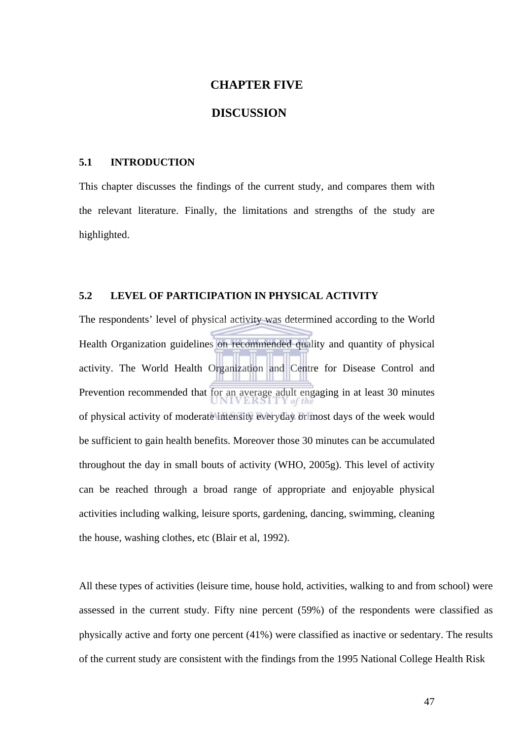#### **CHAPTER FIVE**

# **DISCUSSION**

#### **5.1 INTRODUCTION**

This chapter discusses the findings of the current study, and compares them with the relevant literature. Finally, the limitations and strengths of the study are highlighted.

## **5.2 LEVEL OF PARTICIPATION IN PHYSICAL ACTIVITY**

The respondents' level of physical activity was determined according to the World Health Organization guidelines on recommended quality and quantity of physical activity. The World Health Organization and Centre for Disease Control and Prevention recommended that for an average adult engaging in at least 30 minutes of physical activity of moderate intensity everyday or most days of the week would be sufficient to gain health benefits. Moreover those 30 minutes can be accumulated throughout the day in small bouts of activity (WHO, 2005g). This level of activity can be reached through a broad range of appropriate and enjoyable physical activities including walking, leisure sports, gardening, dancing, swimming, cleaning the house, washing clothes, etc (Blair et al, 1992).

All these types of activities (leisure time, house hold, activities, walking to and from school) were assessed in the current study. Fifty nine percent (59%) of the respondents were classified as physically active and forty one percent (41%) were classified as inactive or sedentary. The results of the current study are consistent with the findings from the 1995 National College Health Risk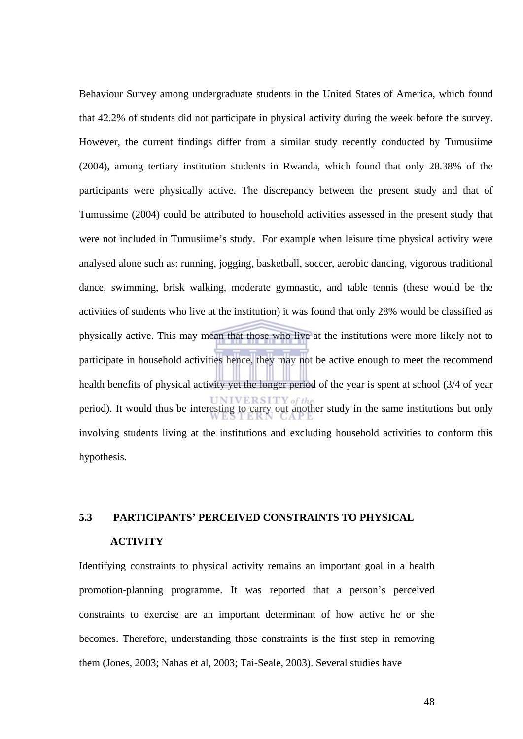Behaviour Survey among undergraduate students in the United States of America, which found that 42.2% of students did not participate in physical activity during the week before the survey. However, the current findings differ from a similar study recently conducted by Tumusiime (2004), among tertiary institution students in Rwanda, which found that only 28.38% of the participants were physically active. The discrepancy between the present study and that of Tumussime (2004) could be attributed to household activities assessed in the present study that were not included in Tumusiime's study. For example when leisure time physical activity were analysed alone such as: running, jogging, basketball, soccer, aerobic dancing, vigorous traditional dance, swimming, brisk walking, moderate gymnastic, and table tennis (these would be the activities of students who live at the institution) it was found that only 28% would be classified as physically active. This may mean that those who live at the institutions were more likely not to participate in household activities hence, they may not be active enough to meet the recommend health benefits of physical activity yet the longer period of the year is spent at school (3/4 of year period). It would thus be interesting to carry out another study in the same institutions but only involving students living at the institutions and excluding household activities to conform this hypothesis.

# **5.3 PARTICIPANTS' PERCEIVED CONSTRAINTS TO PHYSICAL**

# **ACTIVITY**

Identifying constraints to physical activity remains an important goal in a health promotion-planning programme. It was reported that a person's perceived constraints to exercise are an important determinant of how active he or she becomes. Therefore, understanding those constraints is the first step in removing them (Jones, 2003; Nahas et al, 2003; Tai-Seale, 2003). Several studies have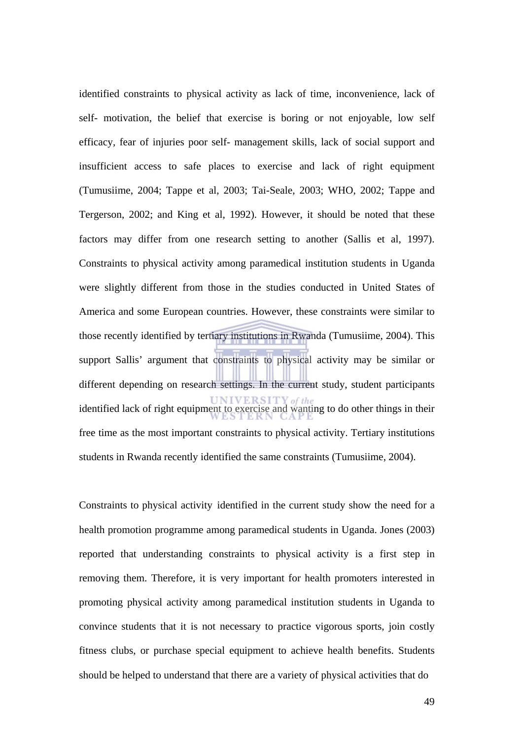identified constraints to physical activity as lack of time, inconvenience, lack of self- motivation, the belief that exercise is boring or not enjoyable, low self efficacy, fear of injuries poor self- management skills, lack of social support and insufficient access to safe places to exercise and lack of right equipment (Tumusiime, 2004; Tappe et al, 2003; Tai-Seale, 2003; WHO, 2002; Tappe and Tergerson, 2002; and King et al, 1992). However, it should be noted that these factors may differ from one research setting to another (Sallis et al, 1997). Constraints to physical activity among paramedical institution students in Uganda were slightly different from those in the studies conducted in United States of America and some European countries. However, these constraints were similar to those recently identified by tertiary institutions in Rwanda (Tumusiime, 2004). This support Sallis' argument that constraints to physical activity may be similar or different depending on research settings. In the current study, student participants identified lack of right equipment to exercise and wanting to do other things in their free time as the most important constraints to physical activity. Tertiary institutions students in Rwanda recently identified the same constraints (Tumusiime, 2004).

Constraints to physical activity identified in the current study show the need for a health promotion programme among paramedical students in Uganda. Jones (2003) reported that understanding constraints to physical activity is a first step in removing them. Therefore, it is very important for health promoters interested in promoting physical activity among paramedical institution students in Uganda to convince students that it is not necessary to practice vigorous sports, join costly fitness clubs, or purchase special equipment to achieve health benefits. Students should be helped to understand that there are a variety of physical activities that do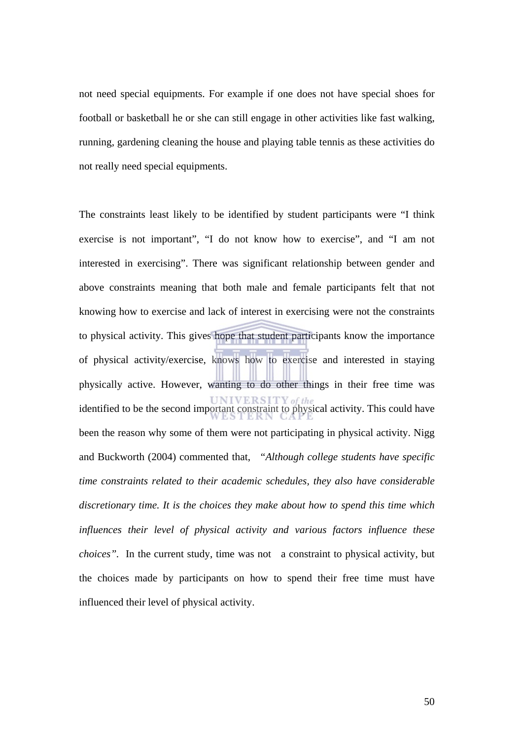not need special equipments. For example if one does not have special shoes for football or basketball he or she can still engage in other activities like fast walking, running, gardening cleaning the house and playing table tennis as these activities do not really need special equipments.

The constraints least likely to be identified by student participants were "I think exercise is not important", "I do not know how to exercise", and "I am not interested in exercising". There was significant relationship between gender and above constraints meaning that both male and female participants felt that not knowing how to exercise and lack of interest in exercising were not the constraints to physical activity. This gives hope that student participants know the importance of physical activity/exercise, knows how to exercise and interested in staying physically active. However, wanting to do other things in their free time was identified to be the second important constraint to physical activity. This could have been the reason why some of them were not participating in physical activity. Nigg and Buckworth (2004) commented that, "*Although college students have specific time constraints related to their academic schedules, they also have considerable discretionary time. It is the choices they make about how to spend this time which influences their level of physical activity and various factors influence these choices".* In the current study, time was not a constraint to physical activity, but the choices made by participants on how to spend their free time must have influenced their level of physical activity.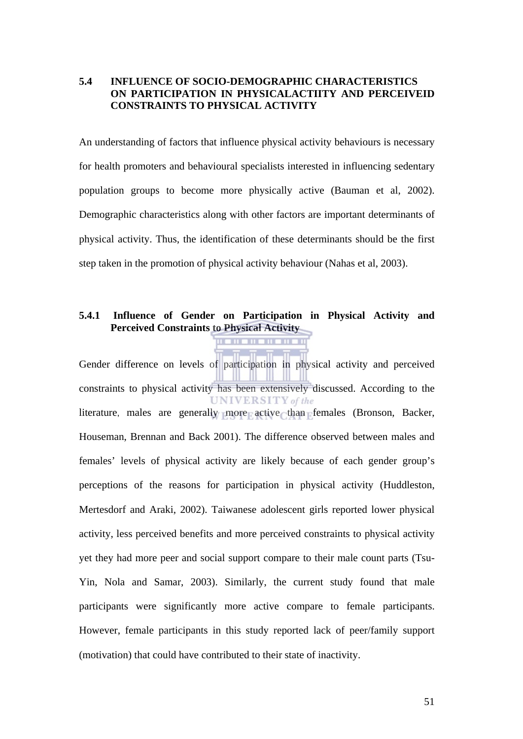## **5.4 INFLUENCE OF SOCIO-DEMOGRAPHIC CHARACTERISTICS ON PARTICIPATION IN PHYSICALACTIITY AND PERCEIVEID CONSTRAINTS TO PHYSICAL ACTIVITY**

An understanding of factors that influence physical activity behaviours is necessary for health promoters and behavioural specialists interested in influencing sedentary population groups to become more physically active (Bauman et al, 2002). Demographic characteristics along with other factors are important determinants of physical activity. Thus, the identification of these determinants should be the first step taken in the promotion of physical activity behaviour (Nahas et al, 2003).

#### **5.4.1 Influence of Gender on Participation in Physical Activity and Perceived Constraints to Physical Activity**

Gender difference on levels of participation in physical activity and perceived constraints to physical activity has been extensively discussed. According to the **UNIVERSITY** of the literature, males are generally more active than females (Bronson, Backer, Houseman, Brennan and Back 2001). The difference observed between males and females' levels of physical activity are likely because of each gender group's perceptions of the reasons for participation in physical activity (Huddleston, Mertesdorf and Araki, 2002). Taiwanese adolescent girls reported lower physical activity, less perceived benefits and more perceived constraints to physical activity yet they had more peer and social support compare to their male count parts (Tsu-Yin, Nola and Samar, 2003). Similarly, the current study found that male participants were significantly more active compare to female participants. However, female participants in this study reported lack of peer/family support (motivation) that could have contributed to their state of inactivity.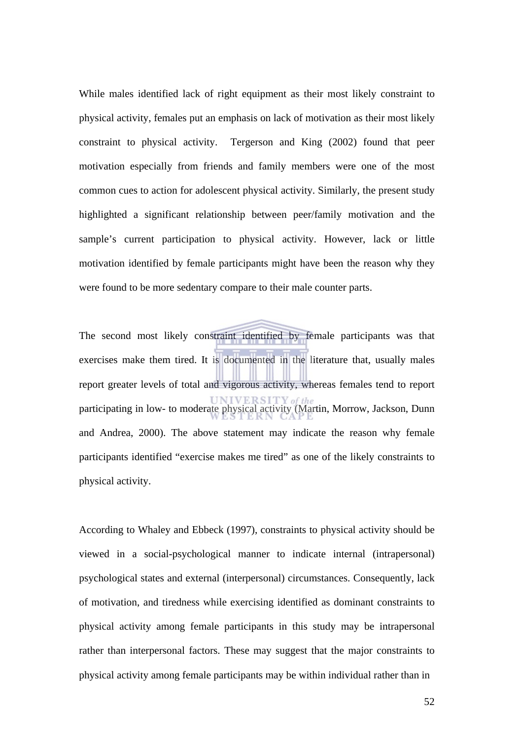While males identified lack of right equipment as their most likely constraint to physical activity, females put an emphasis on lack of motivation as their most likely constraint to physical activity. Tergerson and King (2002) found that peer motivation especially from friends and family members were one of the most common cues to action for adolescent physical activity. Similarly, the present study highlighted a significant relationship between peer/family motivation and the sample's current participation to physical activity. However, lack or little motivation identified by female participants might have been the reason why they were found to be more sedentary compare to their male counter parts.

The second most likely constraint identified by female participants was that exercises make them tired. It is documented in the literature that, usually males report greater levels of total and vigorous activity, whereas females tend to report participating in low- to moderate physical activity (Martin, Morrow, Jackson, Dunn and Andrea, 2000). The above statement may indicate the reason why female participants identified "exercise makes me tired" as one of the likely constraints to physical activity.

According to Whaley and Ebbeck (1997), constraints to physical activity should be viewed in a social-psychological manner to indicate internal (intrapersonal) psychological states and external (interpersonal) circumstances. Consequently, lack of motivation, and tiredness while exercising identified as dominant constraints to physical activity among female participants in this study may be intrapersonal rather than interpersonal factors. These may suggest that the major constraints to physical activity among female participants may be within individual rather than in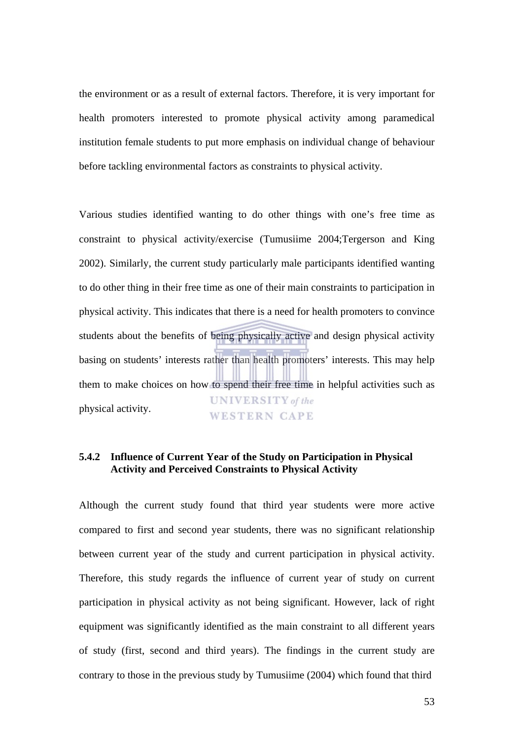the environment or as a result of external factors. Therefore, it is very important for health promoters interested to promote physical activity among paramedical institution female students to put more emphasis on individual change of behaviour before tackling environmental factors as constraints to physical activity.

Various studies identified wanting to do other things with one's free time as constraint to physical activity/exercise (Tumusiime 2004;Tergerson and King 2002). Similarly, the current study particularly male participants identified wanting to do other thing in their free time as one of their main constraints to participation in physical activity. This indicates that there is a need for health promoters to convince students about the benefits of being physically active and design physical activity basing on students' interests rather than health promoters' interests. This may help them to make choices on how to spend their free time in helpful activities such as **UNIVERSITY** of the physical activity. **WESTERN CAPE** 

#### **5.4.2 Influence of Current Year of the Study on Participation in Physical Activity and Perceived Constraints to Physical Activity**

Although the current study found that third year students were more active compared to first and second year students, there was no significant relationship between current year of the study and current participation in physical activity. Therefore, this study regards the influence of current year of study on current participation in physical activity as not being significant. However, lack of right equipment was significantly identified as the main constraint to all different years of study (first, second and third years). The findings in the current study are contrary to those in the previous study by Tumusiime (2004) which found that third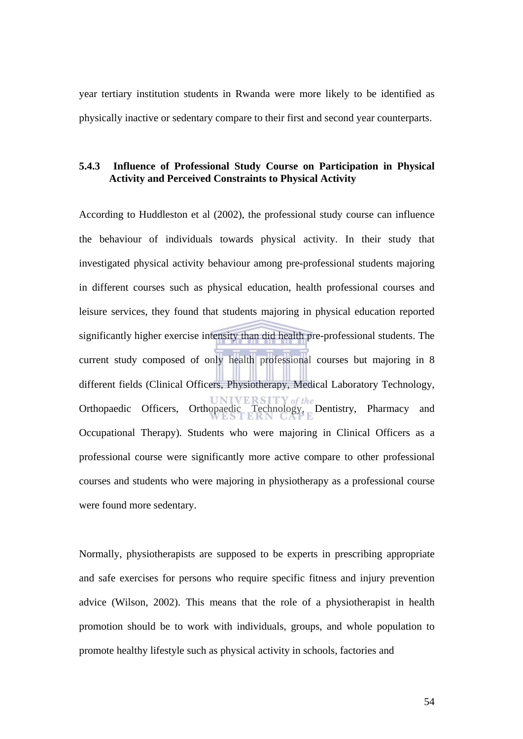year tertiary institution students in Rwanda were more likely to be identified as physically inactive or sedentary compare to their first and second year counterparts.

#### **5.4.3 Influence of Professional Study Course on Participation in Physical Activity and Perceived Constraints to Physical Activity**

According to Huddleston et al (2002), the professional study course can influence the behaviour of individuals towards physical activity. In their study that investigated physical activity behaviour among pre-professional students majoring in different courses such as physical education, health professional courses and leisure services, they found that students majoring in physical education reported significantly higher exercise intensity than did health pre-professional students. The current study composed of only health professional courses but majoring in 8 different fields (Clinical Officers, Physiotherapy, Medical Laboratory Technology, Orthopaedic Officers, Orthopaedic Technology, Dentistry, Pharmacy and Occupational Therapy). Students who were majoring in Clinical Officers as a professional course were significantly more active compare to other professional courses and students who were majoring in physiotherapy as a professional course were found more sedentary.

Normally, physiotherapists are supposed to be experts in prescribing appropriate and safe exercises for persons who require specific fitness and injury prevention advice (Wilson, 2002). This means that the role of a physiotherapist in health promotion should be to work with individuals, groups, and whole population to promote healthy lifestyle such as physical activity in schools, factories and

54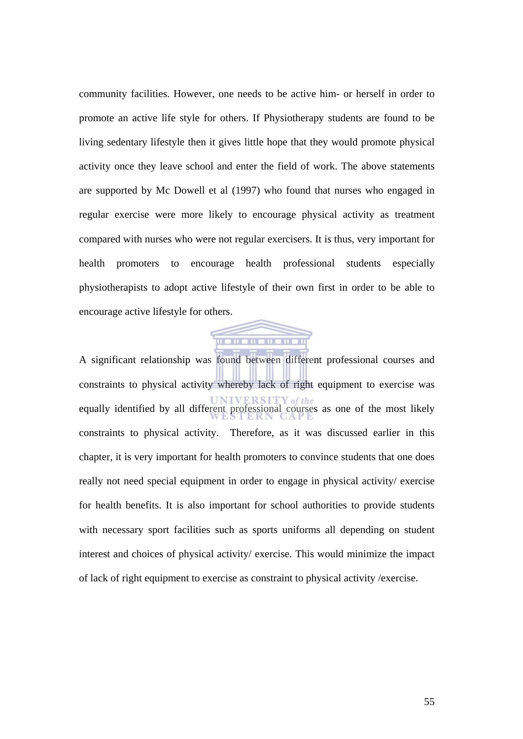community facilities. However, one needs to be active him- or herself in order to promote an active life style for others. If Physiotherapy students are found to be living sedentary lifestyle then it gives little hope that they would promote physical activity once they leave school and enter the field of work. The above statements are supported by Mc Dowell et al (1997) who found that nurses who engaged in regular exercise were more likely to encourage physical activity as treatment compared with nurses who were not regular exercisers. It is thus, very important for health promoters to encourage health professional students especially physiotherapists to adopt active lifestyle of their own first in order to be able to encourage active lifestyle for others.



A significant relationship was found between different professional courses and constraints to physical activity whereby lack of right equipment to exercise was equally identified by all different professional courses as one of the most likely constraints to physical activity. Therefore, as it was discussed earlier in this chapter, it is very important for health promoters to convince students that one does really not need special equipment in order to engage in physical activity/ exercise for health benefits. It is also important for school authorities to provide students with necessary sport facilities such as sports uniforms all depending on student interest and choices of physical activity/ exercise. This would minimize the impact of lack of right equipment to exercise as constraint to physical activity /exercise.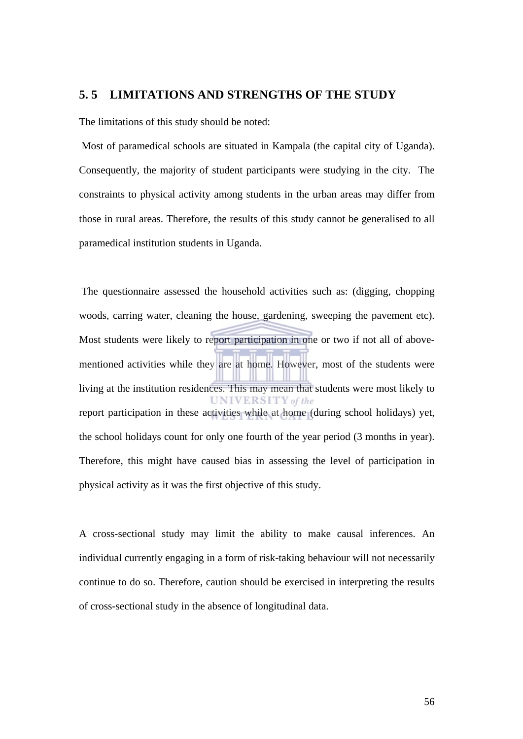#### **5. 5 LIMITATIONS AND STRENGTHS OF THE STUDY**

The limitations of this study should be noted:

 Most of paramedical schools are situated in Kampala (the capital city of Uganda). Consequently, the majority of student participants were studying in the city. The constraints to physical activity among students in the urban areas may differ from those in rural areas. Therefore, the results of this study cannot be generalised to all paramedical institution students in Uganda.

 The questionnaire assessed the household activities such as: (digging, chopping woods, carring water, cleaning the house, gardening, sweeping the pavement etc). Most students were likely to report participation in one or two if not all of abovementioned activities while they are at home. However, most of the students were living at the institution residences. This may mean that students were most likely to **UNIVERSITY** of the report participation in these activities while at home (during school holidays) yet, the school holidays count for only one fourth of the year period (3 months in year). Therefore, this might have caused bias in assessing the level of participation in physical activity as it was the first objective of this study.

A cross-sectional study may limit the ability to make causal inferences. An individual currently engaging in a form of risk-taking behaviour will not necessarily continue to do so. Therefore, caution should be exercised in interpreting the results of cross-sectional study in the absence of longitudinal data.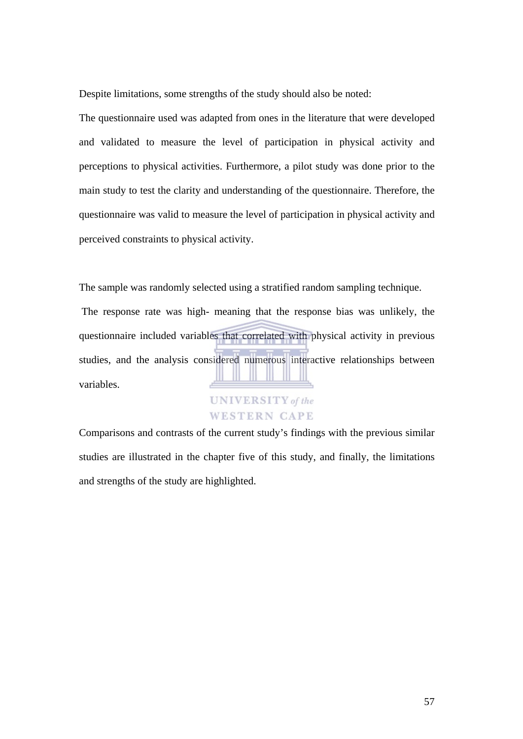Despite limitations, some strengths of the study should also be noted:

The questionnaire used was adapted from ones in the literature that were developed and validated to measure the level of participation in physical activity and perceptions to physical activities. Furthermore, a pilot study was done prior to the main study to test the clarity and understanding of the questionnaire. Therefore, the questionnaire was valid to measure the level of participation in physical activity and perceived constraints to physical activity.

The sample was randomly selected using a stratified random sampling technique.

 The response rate was high- meaning that the response bias was unlikely, the questionnaire included variables that correlated with physical activity in previous studies, and the analysis considered numerous interactive relationships between variables.

# **UNIVERSITY** of the **WESTERN CAPE**

Comparisons and contrasts of the current study's findings with the previous similar studies are illustrated in the chapter five of this study, and finally, the limitations and strengths of the study are highlighted.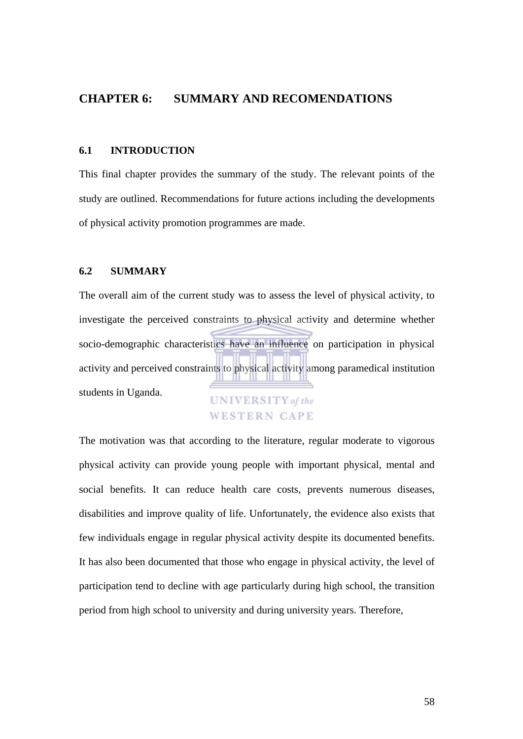# **CHAPTER 6: SUMMARY AND RECOMENDATIONS**

#### **6.1 INTRODUCTION**

This final chapter provides the summary of the study. The relevant points of the study are outlined. Recommendations for future actions including the developments of physical activity promotion programmes are made.

#### **6.2 SUMMARY**

The overall aim of the current study was to assess the level of physical activity, to investigate the perceived constraints to physical activity and determine whether socio-demographic characteristics have an influence on participation in physical activity and perceived constraints to physical activity among paramedical institution students in Uganda. **UNIVERSITY** of the

# **WESTERN CAPE**

The motivation was that according to the literature, regular moderate to vigorous physical activity can provide young people with important physical, mental and social benefits. It can reduce health care costs, prevents numerous diseases, disabilities and improve quality of life. Unfortunately, the evidence also exists that few individuals engage in regular physical activity despite its documented benefits. It has also been documented that those who engage in physical activity, the level of participation tend to decline with age particularly during high school, the transition period from high school to university and during university years. Therefore,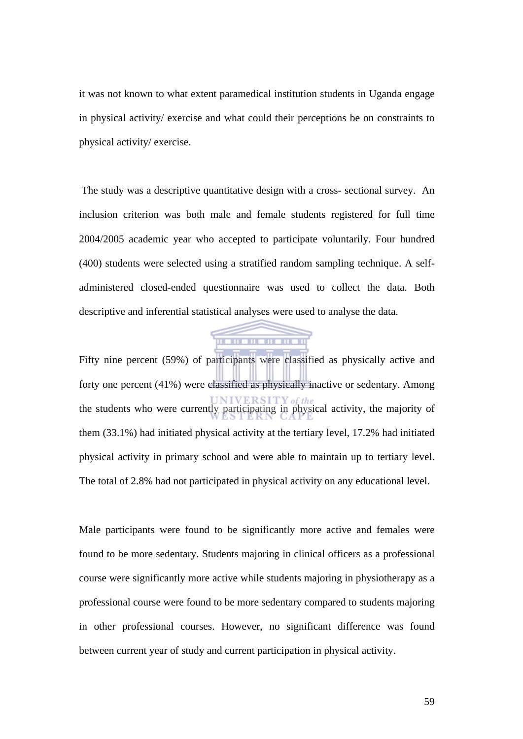it was not known to what extent paramedical institution students in Uganda engage in physical activity/ exercise and what could their perceptions be on constraints to physical activity/ exercise.

 The study was a descriptive quantitative design with a cross- sectional survey. An inclusion criterion was both male and female students registered for full time 2004/2005 academic year who accepted to participate voluntarily. Four hundred (400) students were selected using a stratified random sampling technique. A selfadministered closed-ended questionnaire was used to collect the data. Both descriptive and inferential statistical analyses were used to analyse the data.



Fifty nine percent (59%) of participants were classified as physically active and forty one percent (41%) were classified as physically inactive or sedentary. Among the students who were currently participating in physical activity, the majority of them (33.1%) had initiated physical activity at the tertiary level, 17.2% had initiated physical activity in primary school and were able to maintain up to tertiary level. The total of 2.8% had not participated in physical activity on any educational level.

Male participants were found to be significantly more active and females were found to be more sedentary. Students majoring in clinical officers as a professional course were significantly more active while students majoring in physiotherapy as a professional course were found to be more sedentary compared to students majoring in other professional courses. However, no significant difference was found between current year of study and current participation in physical activity.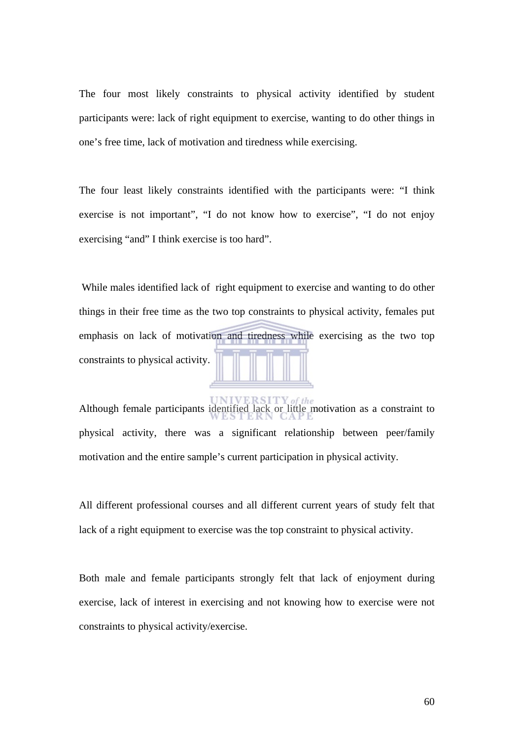The four most likely constraints to physical activity identified by student participants were: lack of right equipment to exercise, wanting to do other things in one's free time, lack of motivation and tiredness while exercising.

The four least likely constraints identified with the participants were: "I think exercise is not important", "I do not know how to exercise", "I do not enjoy exercising "and" I think exercise is too hard".

 While males identified lack of right equipment to exercise and wanting to do other things in their free time as the two top constraints to physical activity, females put emphasis on lack of motivation and tiredness while exercising as the two top constraints to physical activity.

Although female participants identified lack or little motivation as a constraint to physical activity, there was a significant relationship between peer/family motivation and the entire sample's current participation in physical activity.

All different professional courses and all different current years of study felt that lack of a right equipment to exercise was the top constraint to physical activity.

Both male and female participants strongly felt that lack of enjoyment during exercise, lack of interest in exercising and not knowing how to exercise were not constraints to physical activity/exercise.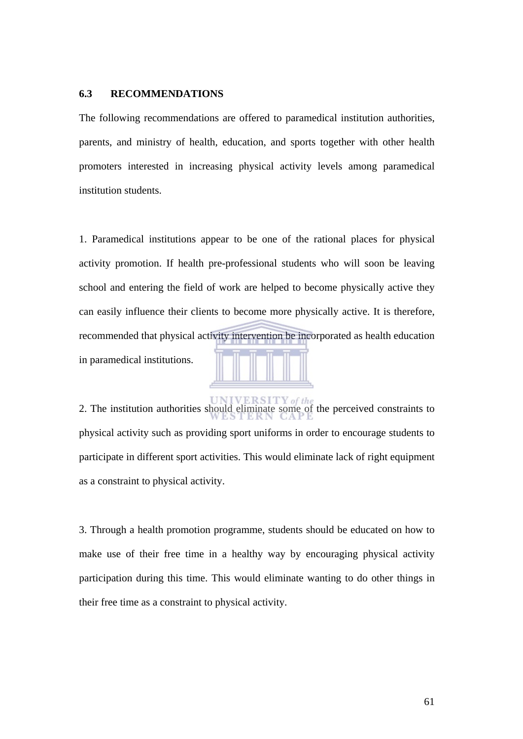#### **6.3 RECOMMENDATIONS**

The following recommendations are offered to paramedical institution authorities, parents, and ministry of health, education, and sports together with other health promoters interested in increasing physical activity levels among paramedical institution students.

1. Paramedical institutions appear to be one of the rational places for physical activity promotion. If health pre-professional students who will soon be leaving school and entering the field of work are helped to become physically active they can easily influence their clients to become more physically active. It is therefore, recommended that physical activity intervention be incorporated as health education 5 7 7 7 7 7 in paramedical institutions.

2. The institution authorities should eliminate some of the perceived constraints to physical activity such as providing sport uniforms in order to encourage students to participate in different sport activities. This would eliminate lack of right equipment as a constraint to physical activity.

3. Through a health promotion programme, students should be educated on how to make use of their free time in a healthy way by encouraging physical activity participation during this time. This would eliminate wanting to do other things in their free time as a constraint to physical activity.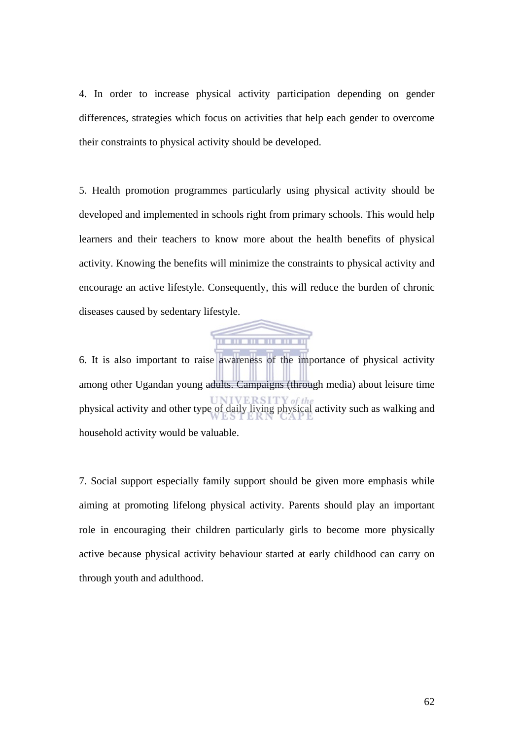4. In order to increase physical activity participation depending on gender differences, strategies which focus on activities that help each gender to overcome their constraints to physical activity should be developed.

5. Health promotion programmes particularly using physical activity should be developed and implemented in schools right from primary schools. This would help learners and their teachers to know more about the health benefits of physical activity. Knowing the benefits will minimize the constraints to physical activity and encourage an active lifestyle. Consequently, this will reduce the burden of chronic diseases caused by sedentary lifestyle.



6. It is also important to raise awareness of the importance of physical activity among other Ugandan young adults. Campaigns (through media) about leisure time physical activity and other type of daily living physical activity such as walking and household activity would be valuable.

7. Social support especially family support should be given more emphasis while aiming at promoting lifelong physical activity. Parents should play an important role in encouraging their children particularly girls to become more physically active because physical activity behaviour started at early childhood can carry on through youth and adulthood.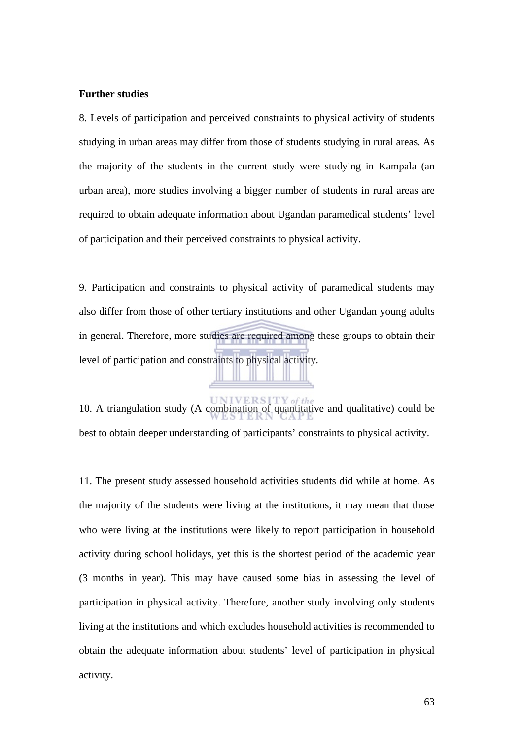#### **Further studies**

8. Levels of participation and perceived constraints to physical activity of students studying in urban areas may differ from those of students studying in rural areas. As the majority of the students in the current study were studying in Kampala (an urban area), more studies involving a bigger number of students in rural areas are required to obtain adequate information about Ugandan paramedical students' level of participation and their perceived constraints to physical activity.

9. Participation and constraints to physical activity of paramedical students may also differ from those of other tertiary institutions and other Ugandan young adults in general. Therefore, more studies are required among these groups to obtain their level of participation and constraints to physical activity.

10. A triangulation study (A combination of quantitative and qualitative) could be best to obtain deeper understanding of participants' constraints to physical activity.

11. The present study assessed household activities students did while at home. As the majority of the students were living at the institutions, it may mean that those who were living at the institutions were likely to report participation in household activity during school holidays, yet this is the shortest period of the academic year (3 months in year). This may have caused some bias in assessing the level of participation in physical activity. Therefore, another study involving only students living at the institutions and which excludes household activities is recommended to obtain the adequate information about students' level of participation in physical activity.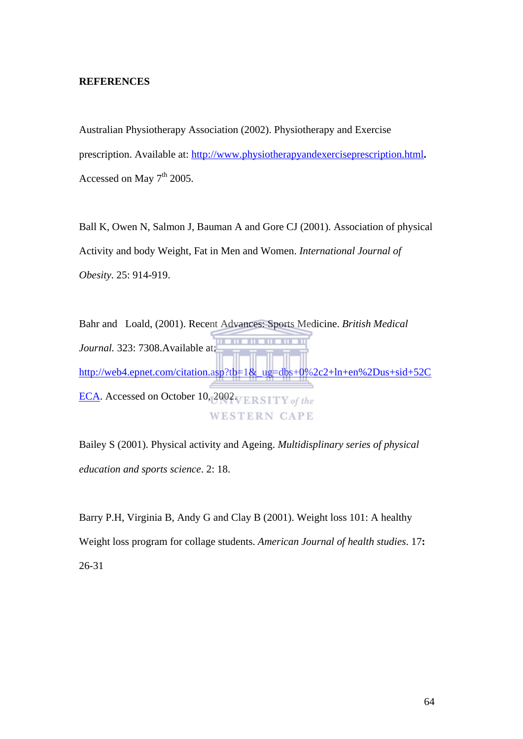#### **REFERENCES**

Australian Physiotherapy Association (2002). Physiotherapy and Exercise prescription. Available at: [http://www.physiotherapyandexerciseprescription.html](http://www.physiotherapyandexerciseprescription.html/)**.**  Accessed on May  $7<sup>th</sup>$  2005.

Ball K, Owen N, Salmon J, Bauman A and Gore CJ (2001). Association of physical Activity and body Weight, Fat in Men and Women. *International Journal of Obesity*. 25: 914-919.

```
Bahr and Loald, (2001). Recent Advances: Sports Medicine. British Medical
Journal. 323: 7308.Available at: 
http://web4.epnet.com/citation.asp?tb=1&_ug=dbs+0%2c2+ln+en%2Dus+sid+52C
ECA. Accessed on October 10, 2002 VERSITY of the
                           WESTERN CAPE
```
Bailey S (2001). Physical activity and Ageing. *Multidisplinary series of physical education and sports science*. 2: 18.

Barry P.H, Virginia B, Andy G and Clay B (2001). Weight loss 101: A healthy Weight loss program for collage students. *American Journal of health studies*. 17**:** 26-31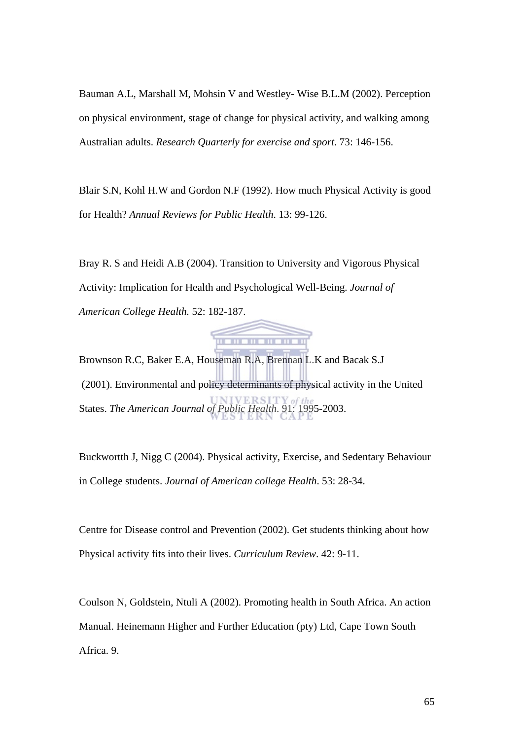Bauman A.L, Marshall M, Mohsin V and Westley- Wise B.L.M (2002). Perception on physical environment, stage of change for physical activity, and walking among Australian adults. *Research Quarterly for exercise and sport*. 73: 146-156.

Blair S.N, Kohl H.W and Gordon N.F (1992). How much Physical Activity is good for Health? *Annual Reviews for Public Health*. 13: 99-126.

Bray R. S and Heidi A.B (2004). Transition to University and Vigorous Physical Activity: Implication for Health and Psychological Well-Being. *Journal of American College Health.* 52: 182-187.



Brownson R.C, Baker E.A, Houseman R.A, Brennan L.K and Bacak S.J (2001). Environmental and policy determinants of physical activity in the United States. *The American Journal of Public Health*. 91: 1995-2003.

Buckwortth J, Nigg C (2004). Physical activity, Exercise, and Sedentary Behaviour in College students. *Journal of American college Health*. 53: 28-34.

Centre for Disease control and Prevention (2002). Get students thinking about how Physical activity fits into their lives. *Curriculum Review*. 42: 9-11.

Coulson N, Goldstein, Ntuli A (2002). Promoting health in South Africa. An action Manual. Heinemann Higher and Further Education (pty) Ltd, Cape Town South Africa. 9.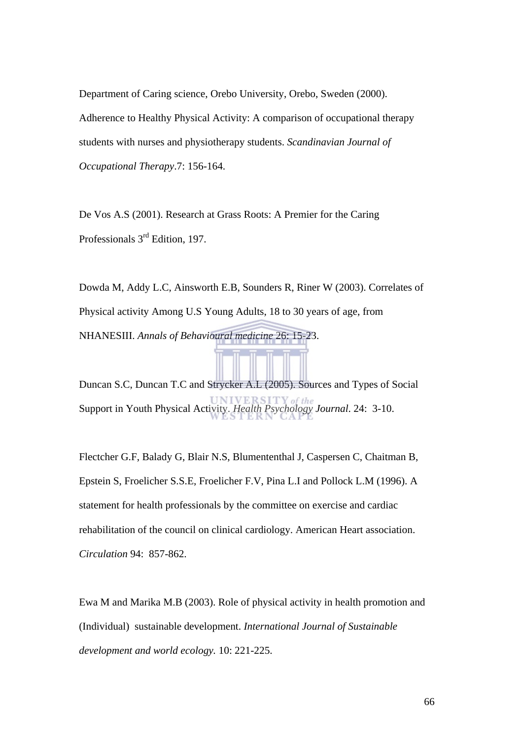Department of Caring science, Orebo University, Orebo, Sweden (2000). Adherence to Healthy Physical Activity: A comparison of occupational therapy students with nurses and physiotherapy students. *Scandinavian Journal of Occupational Therapy*.7: 156-164.

De Vos A.S (2001). Research at Grass Roots: A Premier for the Caring Professionals 3rd Edition, 197.

Dowda M, Addy L.C, Ainsworth E.B, Sounders R, Riner W (2003). Correlates of Physical activity Among U.S Young Adults, 18 to 30 years of age, from NHANESIII. *Annals of Behavioural medicine* 26: 15-23. Duncan S.C, Duncan T.C and Strycker A.L (2005). Sources and Types of Social Support in Youth Physical Activity. *Health Psychology Journal*. 24: 3-10.

Flectcher G.F, Balady G, Blair N.S, Blumententhal J, Caspersen C, Chaitman B, Epstein S, Froelicher S.S.E, Froelicher F.V, Pina L.I and Pollock L.M (1996). A statement for health professionals by the committee on exercise and cardiac rehabilitation of the council on clinical cardiology. American Heart association. *Circulation* 94: 857-862.

Ewa M and Marika M.B (2003). Role of physical activity in health promotion and (Individual) sustainable development. *International Journal of Sustainable development and world ecology.* 10: 221-225.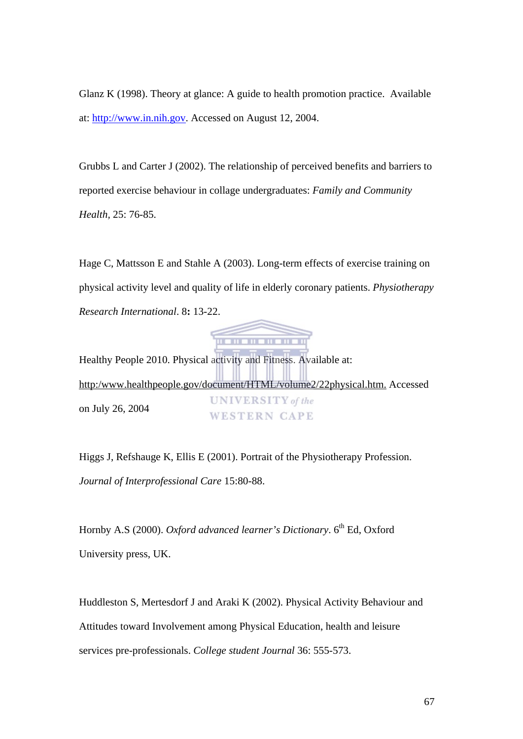Glanz K (1998). Theory at glance: A guide to health promotion practice. Available at: [http://www.in.nih.gov](http://www.in.nih.gov/). Accessed on August 12, 2004.

Grubbs L and Carter J (2002). The relationship of perceived benefits and barriers to reported exercise behaviour in collage undergraduates: *Family and Community Health,* 25: 76-85.

Hage C, Mattsson E and Stahle A (2003). Long-term effects of exercise training on physical activity level and quality of life in elderly coronary patients. *Physiotherapy Research International*. 8**:** 13-22.



Healthy People 2010. Physical activity and Fitness. Available at: http:/www.healthpeople.gov/document/HTML/volume2/22physical.htm. Accessed **UNIVERSITY** of the on July 26, 2004 **WESTERN CAPE** 

Higgs J, Refshauge K, Ellis E (2001). Portrait of the Physiotherapy Profession. *Journal of Interprofessional Care* 15:80-88.

Hornby A.S (2000). *Oxford advanced learner's Dictionary*. 6<sup>th</sup> Ed, Oxford University press, UK.

Huddleston S, Mertesdorf J and Araki K (2002). Physical Activity Behaviour and Attitudes toward Involvement among Physical Education, health and leisure services pre-professionals. *College student Journal* 36: 555-573.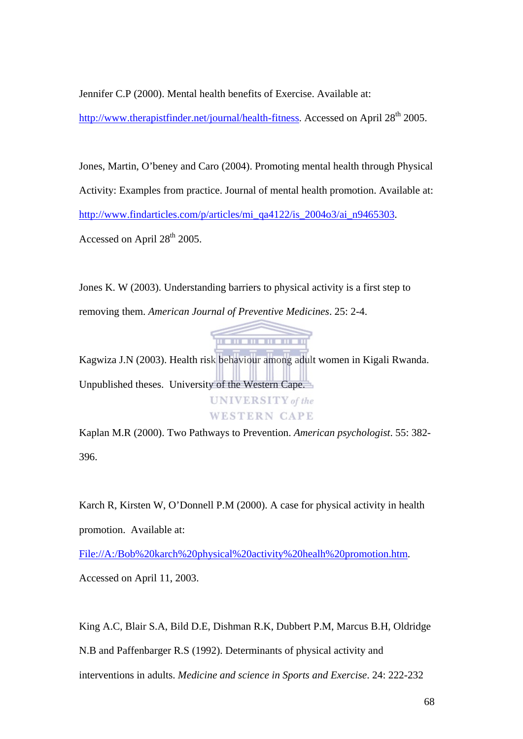Jennifer C.P (2000). Mental health benefits of Exercise. Available at:

[http://www.therapistfinder.net/journal/health-fitness.](http://www.therapistfinder.net/journal/health-fitness) Accessed on April 28<sup>th</sup> 2005.

Jones, Martin, O'beney and Caro (2004). Promoting mental health through Physical Activity: Examples from practice. Journal of mental health promotion. Available at: [http://www.findarticles.com/p/articles/mi\\_qa4122/is\\_2004o3/ai\\_n9465303](http://www.findarticles.com/p/articles/mi_qa4122/is_2004o3/ai_n9465303). Accessed on April  $28<sup>th</sup>$  2005.

Jones K. W (2003). Understanding barriers to physical activity is a first step to removing them. *American Journal of Preventive Medicines*. 25: 2-4.



Kagwiza J.N (2003). Health risk behaviour among adult women in Kigali Rwanda. Unpublished theses. University of the Western Cape.



Kaplan M.R (2000). Two Pathways to Prevention. *American psychologist*. 55: 382- 396.

Karch R, Kirsten W, O'Donnell P.M (2000). A case for physical activity in health promotion. Available at:

File://A:/Bob%20karch%20physical%20activity%20healh%20promotion.htm.

Accessed on April 11, 2003.

King A.C, Blair S.A, Bild D.E, Dishman R.K, Dubbert P.M, Marcus B.H, Oldridge N.B and Paffenbarger R.S (1992). Determinants of physical activity and interventions in adults. *Medicine and science in Sports and Exercise*. 24: 222-232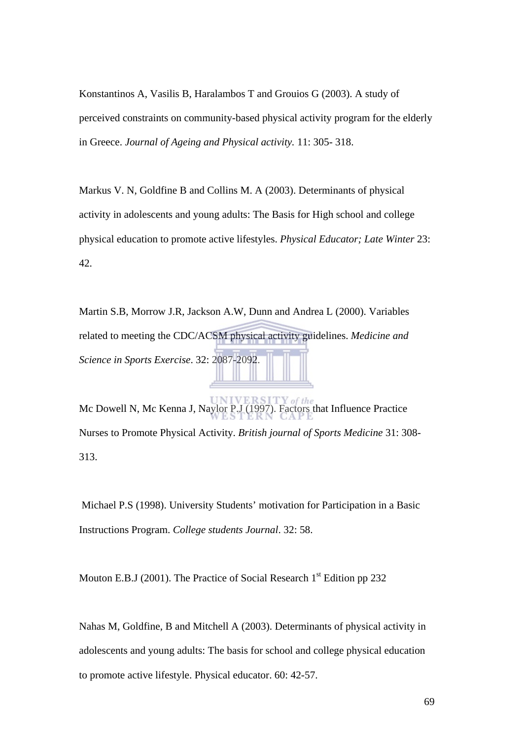Konstantinos A, Vasilis B, Haralambos T and Grouios G (2003). A study of perceived constraints on community-based physical activity program for the elderly in Greece. *Journal of Ageing and Physical activity.* 11: 305- 318.

Markus V. N, Goldfine B and Collins M. A (2003). Determinants of physical activity in adolescents and young adults: The Basis for High school and college physical education to promote active lifestyles. *Physical Educator; Late Winter* 23: 42.

Martin S.B, Morrow J.R, Jackson A.W, Dunn and Andrea L (2000). Variables related to meeting the CDC/ACSM physical activity guidelines. *Medicine and Science in Sports Exercise*. 32: 2087-2092.

Mc Dowell N, Mc Kenna J, Naylor P.J (1997). Factors that Influence Practice Nurses to Promote Physical Activity. *British journal of Sports Medicine* 31: 308- 313.

 Michael P.S (1998). University Students' motivation for Participation in a Basic Instructions Program. *College students Journal*. 32: 58.

Mouton E.B.J (2001). The Practice of Social Research  $1<sup>st</sup>$  Edition pp 232

Nahas M, Goldfine, B and Mitchell A (2003). Determinants of physical activity in adolescents and young adults: The basis for school and college physical education to promote active lifestyle. Physical educator. 60: 42-57.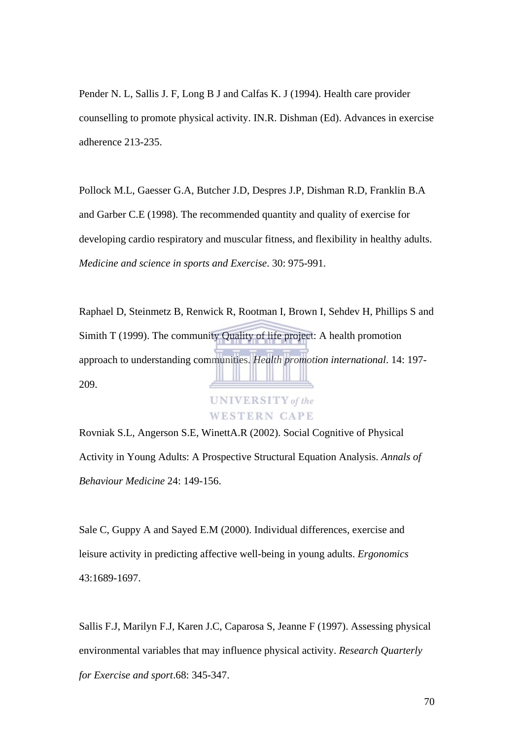Pender N. L, Sallis J. F, Long B J and Calfas K. J (1994). Health care provider counselling to promote physical activity. IN.R. Dishman (Ed). Advances in exercise adherence 213-235.

Pollock M.L, Gaesser G.A, Butcher J.D, Despres J.P, Dishman R.D, Franklin B.A and Garber C.E (1998). The recommended quantity and quality of exercise for developing cardio respiratory and muscular fitness, and flexibility in healthy adults. *Medicine and science in sports and Exercise*. 30: 975-991.

Raphael D, Steinmetz B, Renwick R, Rootman I, Brown I, Sehdev H, Phillips S and Simith T (1999). The community Quality of life project: A health promotion approach to understanding communities. *Health promotion international*. 14: 197- 209.



Rovniak S.L, Angerson S.E, WinettA.R (2002). Social Cognitive of Physical Activity in Young Adults: A Prospective Structural Equation Analysis. *Annals of Behaviour Medicine* 24: 149-156.

Sale C, Guppy A and Sayed E.M (2000). Individual differences, exercise and leisure activity in predicting affective well-being in young adults. *Ergonomics* 43:1689-1697.

Sallis F.J, Marilyn F.J, Karen J.C, Caparosa S, Jeanne F (1997). Assessing physical environmental variables that may influence physical activity. *Research Quarterly for Exercise and sport*.68: 345-347.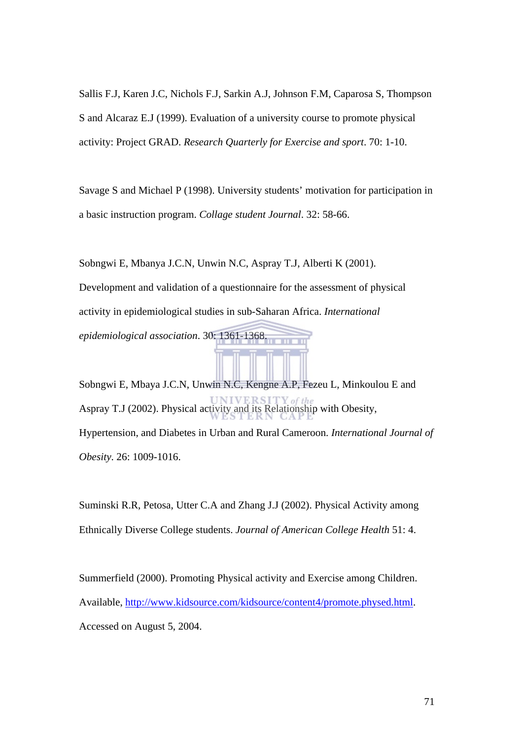Sallis F.J, Karen J.C, Nichols F.J, Sarkin A.J, Johnson F.M, Caparosa S, Thompson S and Alcaraz E.J (1999). Evaluation of a university course to promote physical activity: Project GRAD. *Research Quarterly for Exercise and sport*. 70: 1-10.

Savage S and Michael P (1998). University students' motivation for participation in a basic instruction program. *Collage student Journal*. 32: 58-66.

Sobngwi E, Mbanya J.C.N, Unwin N.C, Aspray T.J, Alberti K (2001).

Development and validation of a questionnaire for the assessment of physical activity in epidemiological studies in sub-Saharan Africa. *International* 

*epidemiological association*. 30: 1361-1368.

Sobngwi E, Mbaya J.C.N, Unwin N.C, Kengne A.P, Fezeu L, Minkoulou E and Aspray T.J (2002). Physical activity and its Relationship with Obesity, Hypertension, and Diabetes in Urban and Rural Cameroon. *International Journal of Obesity*. 26: 1009-1016.

Suminski R.R, Petosa, Utter C.A and Zhang J.J (2002). Physical Activity among Ethnically Diverse College students. *Journal of American College Health* 51: 4.

Summerfield (2000). Promoting Physical activity and Exercise among Children. Available, <http://www.kidsource.com/kidsource/content4/promote.physed.html>. Accessed on August 5, 2004.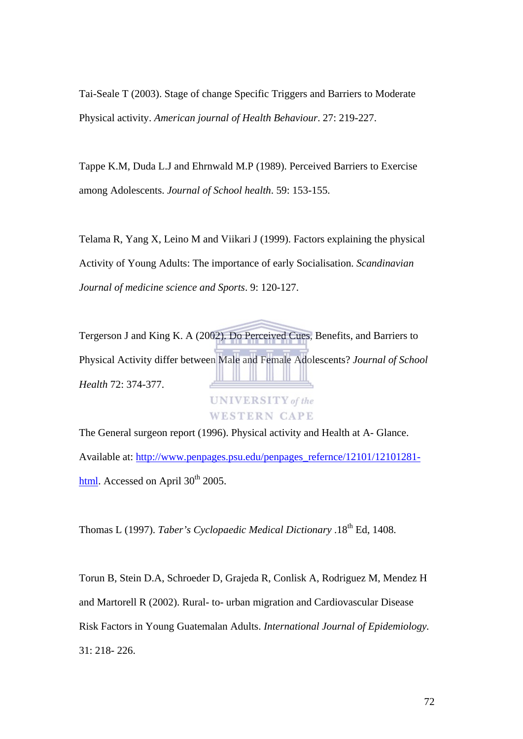Tai-Seale T (2003). Stage of change Specific Triggers and Barriers to Moderate Physical activity. *American journal of Health Behaviour*. 27: 219-227.

Tappe K.M, Duda L.J and Ehrnwald M.P (1989). Perceived Barriers to Exercise among Adolescents. *Journal of School health*. 59: 153-155.

Telama R, Yang X, Leino M and Viikari J (1999). Factors explaining the physical Activity of Young Adults: The importance of early Socialisation. *Scandinavian Journal of medicine science and Sports*. 9: 120-127.

Tergerson J and King K. A (2002). Do Perceived Cues, Benefits, and Barriers to Physical Activity differ between Male and Female Adolescents? *Journal of School Health* 72: 374-377. **UNIVERSITY** of the **WESTERN CAPE** 

The General surgeon report (1996). Physical activity and Health at A- Glance. Available at: [http://www.penpages.psu.edu/penpages\\_refernce/12101/12101281](http://www.penpages.psu.edu/penpages_refernce/12101/12101281-html) [html.](http://www.penpages.psu.edu/penpages_refernce/12101/12101281-html) Accessed on April 30<sup>th</sup> 2005.

Thomas L (1997). *Taber's Cyclopaedic Medical Dictionary* .18th Ed, 1408.

Torun B, Stein D.A, Schroeder D, Grajeda R, Conlisk A, Rodriguez M, Mendez H and Martorell R (2002). Rural- to- urban migration and Cardiovascular Disease Risk Factors in Young Guatemalan Adults. *International Journal of Epidemiology.* 31: 218- 226.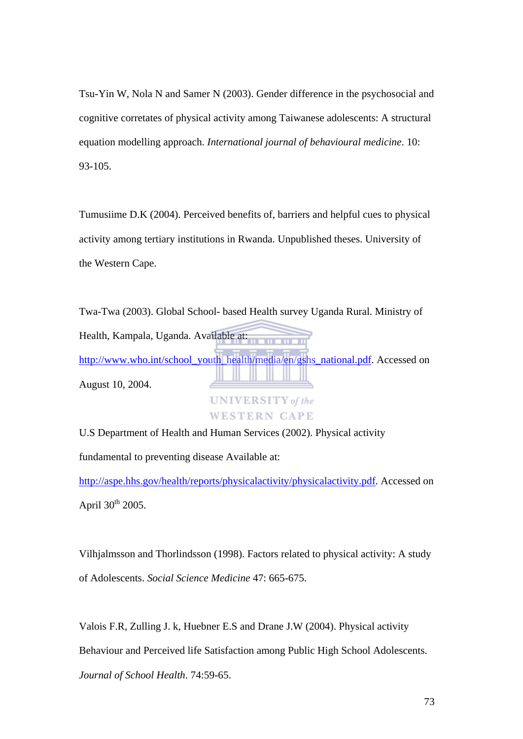Tsu-Yin W, Nola N and Samer N (2003). Gender difference in the psychosocial and cognitive corretates of physical activity among Taiwanese adolescents: A structural equation modelling approach. *International journal of behavioural medicine*. 10: 93-105.

Tumusiime D.K (2004). Perceived benefits of, barriers and helpful cues to physical activity among tertiary institutions in Rwanda. Unpublished theses. University of the Western Cape.

Twa-Twa (2003). Global School- based Health survey Uganda Rural. Ministry of Health, Kampala, Uganda. Available at: [http://www.who.int/school\\_youth\\_health/media/en/gshs\\_national.pdf.](http://www.who.int/school_youth_health/media/en/gshs_national.pdf) Accessed on August 10, 2004. **UNIVERSITY** of the

**WESTERN CAPE** 

U.S Department of Health and Human Services (2002). Physical activity

fundamental to preventing disease Available at:

[http://aspe.hhs.gov/health/reports/physicalactivity/physicalactivity.pdf.](http://aspe.hhs.gov/health/reports/physicalactivity/physicalactivity.pdf) Accessed on April  $30^{th}$  2005.

Vilhjalmsson and Thorlindsson (1998). Factors related to physical activity: A study of Adolescents. *Social Science Medicine* 47: 665-675.

Valois F.R, Zulling J. k, Huebner E.S and Drane J.W (2004). Physical activity Behaviour and Perceived life Satisfaction among Public High School Adolescents. *Journal of School Health*. 74:59-65.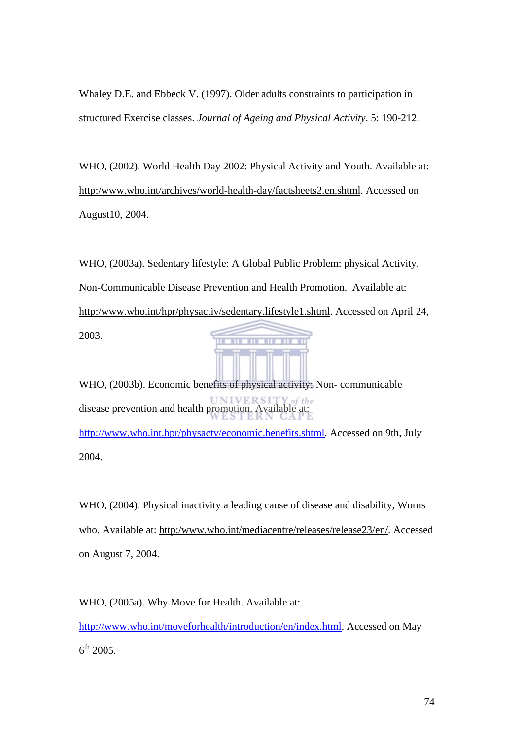Whaley D.E. and Ebbeck V. (1997). Older adults constraints to participation in structured Exercise classes. *Journal of Ageing and Physical Activity*. 5: 190-212.

WHO, (2002). World Health Day 2002: Physical Activity and Youth. Available at: http:/www.who.int/archives/world-health-day/factsheets2.en.shtml. Accessed on August10, 2004.

WHO, (2003a). Sedentary lifestyle: A Global Public Problem: physical Activity, Non-Communicable Disease Prevention and Health Promotion. Available at: http:/www.who.int/hpr/physactiv/sedentary.lifestyle1.shtml. Accessed on April 24, 2003. **THE RIB** m

WHO, (2003b). Economic benefits of physical activity: Non- communicable disease prevention and health promotion. Available at: [http://www.who.int.hpr/physactv/economic.benefits.shtml.](http://www.who.int.hpr/physactv/economic.benefits.shtml) Accessed on 9th, July 2004.

WHO, (2004). Physical inactivity a leading cause of disease and disability, Worns who. Available at: http:/www.who.int/mediacentre/releases/release23/en/. Accessed on August 7, 2004.

WHO, (2005a). Why Move for Health. Available at: [http://www.who.int/moveforhealth/introduction/en/index.html.](http://www.who.int/moveforhealth/introduction/en/index.html) Accessed on May  $6^{th}$  2005.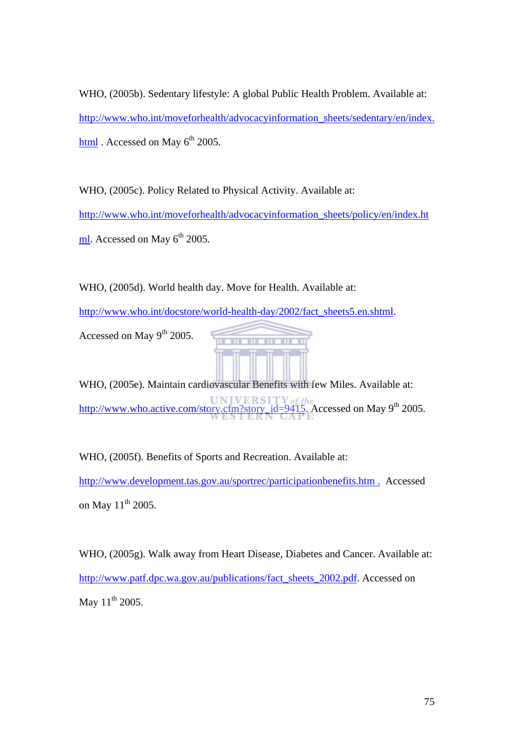WHO, (2005b). Sedentary lifestyle: A global Public Health Problem. Available at: [http://www.who.int/moveforhealth/advocacyinformation\\_sheets/sedentary/en/index.](http://www.who.int/moveforhealth/advocacyinformation_sheets/sedentary/en/index.html) [html](http://www.who.int/moveforhealth/advocacyinformation_sheets/sedentary/en/index.html) . Accessed on May 6<sup>th</sup> 2005.

WHO, (2005c). Policy Related to Physical Activity. Available at: [http://www.who.int/moveforhealth/advocacyinformation\\_sheets/policy/en/index.ht](http://www.who.int/moveforhealth/advocacyinformation_sheets/sedentary/en/index.html) [ml](http://www.who.int/moveforhealth/advocacyinformation_sheets/sedentary/en/index.html). Accessed on May  $6<sup>th</sup>$  2005.

WHO, (2005d). World health day. Move for Health. Available at:

[http://www.who.int/docstore/world-health-day/2002/fact\\_sheets5.en.shtml](http://www.who.int/docstore/world-health-day/2002/fact_sheets5.en.shtml).

Accessed on May  $9<sup>th</sup>$  2005.

WHO, (2005e). Maintain cardiovascular Benefits with few Miles. Available at: [http://www.who.active.com/story.cfm?story\\_id=9415](http://www.who.active.com/story.cfm?story_id=9415). Accessed on May 9<sup>th</sup> 2005.

WHO, (2005f). Benefits of Sports and Recreation. Available at: [http://www.development.tas.gov.au/sportrec/participationbenefits.htm .](http://www.development.tas.gov.au/sportrec/participationbenefits.htm%20.Acessed) Accessed on May  $11^{th}$  2005.

WHO, (2005g). Walk away from Heart Disease, Diabetes and Cancer. Available at: [http://www.patf.dpc.wa.gov.au/publications/fact\\_sheets\\_2002.pdf.](http://www.patf.dpc.wa.gov.au/publications/fact_sheets_2002.pdf) Accessed on May  $11^{th}$  2005.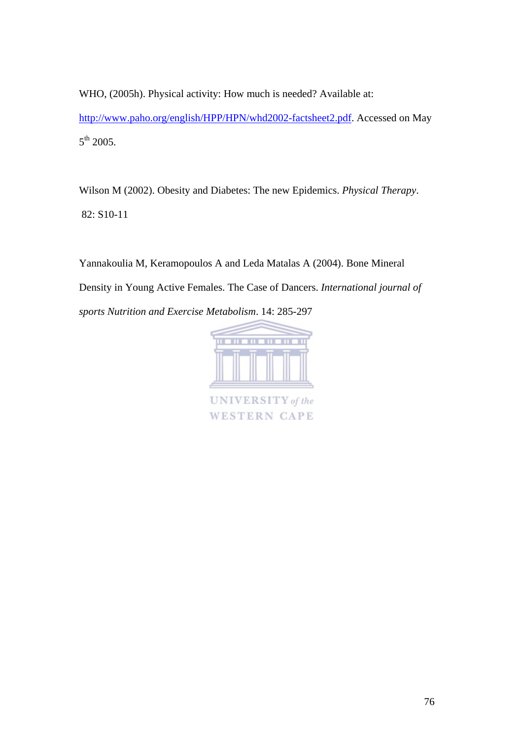WHO, (2005h). Physical activity: How much is needed? Available at: <http://www.paho.org/english/HPP/HPN/whd2002-factsheet2.pdf>. Accessed on May 5<sup>th</sup> 2005.

Wilson M (2002). Obesity and Diabetes: The new Epidemics. *Physical Therapy*. 82: S10-11

Yannakoulia M, Keramopoulos A and Leda Matalas A (2004). Bone Mineral Density in Young Active Females. The Case of Dancers. *International journal of sports Nutrition and Exercise Metabolism*. 14: 285-297



**UNIVERSITY** of the **WESTERN CAPE**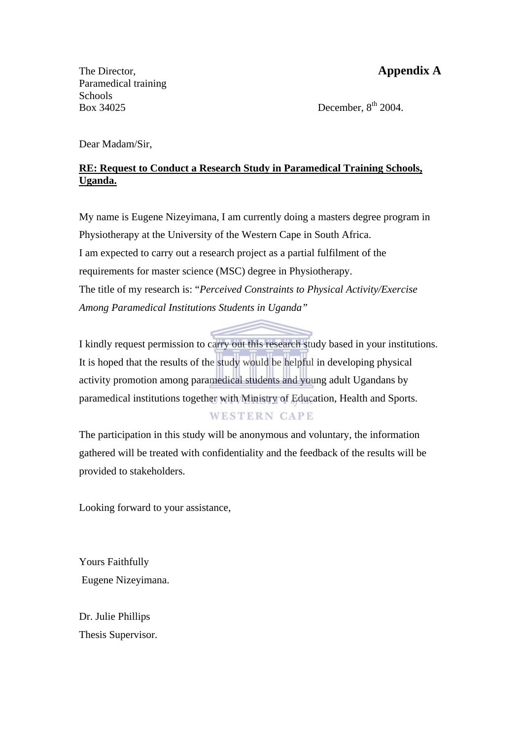The Director, **Appendix A** Paramedical training Schools Box 34025 December,  $8<sup>th</sup>$  2004.

Dear Madam/Sir,

### **RE: Request to Conduct a Research Study in Paramedical Training Schools, Uganda.**

My name is Eugene Nizeyimana, I am currently doing a masters degree program in Physiotherapy at the University of the Western Cape in South Africa. I am expected to carry out a research project as a partial fulfilment of the requirements for master science (MSC) degree in Physiotherapy. The title of my research is: "*Perceived Constraints to Physical Activity/Exercise Among Paramedical Institutions Students in Uganda"*

I kindly request permission to carry out this research study based in your institutions. It is hoped that the results of the study would be helpful in developing physical activity promotion among paramedical students and young adult Ugandans by paramedical institutions together with Ministry of Education, Health and Sports.

### **WESTERN CAPE**

The participation in this study will be anonymous and voluntary, the information gathered will be treated with confidentiality and the feedback of the results will be provided to stakeholders.

Looking forward to your assistance,

Yours Faithfully Eugene Nizeyimana.

Dr. Julie Phillips Thesis Supervisor.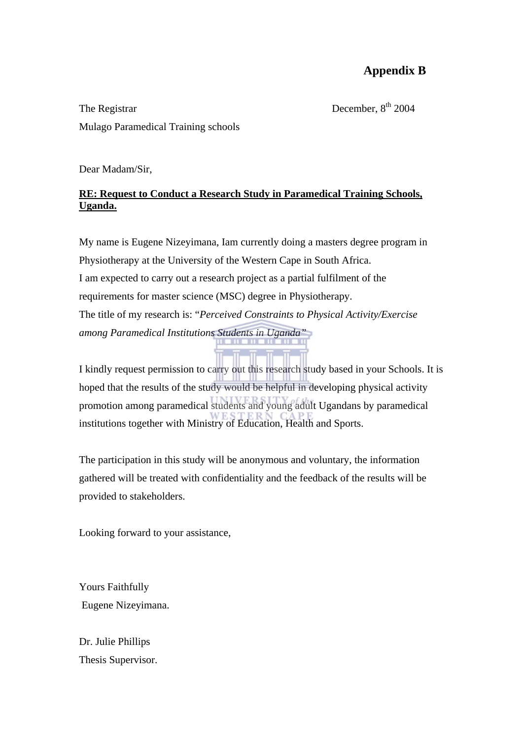# **Appendix B**

The Registrar December,  $8<sup>th</sup> 2004$ Mulago Paramedical Training schools

Dear Madam/Sir,

#### **RE: Request to Conduct a Research Study in Paramedical Training Schools, Uganda.**

My name is Eugene Nizeyimana, Iam currently doing a masters degree program in Physiotherapy at the University of the Western Cape in South Africa. I am expected to carry out a research project as a partial fulfilment of the requirements for master science (MSC) degree in Physiotherapy. The title of my research is: "*Perceived Constraints to Physical Activity/Exercise among Paramedical Institutions Students in Uganda"* 

I kindly request permission to carry out this research study based in your Schools. It is hoped that the results of the study would be helpful in developing physical activity promotion among paramedical students and young adult Ugandans by paramedical institutions together with Ministry of Education, Health and Sports.

The participation in this study will be anonymous and voluntary, the information gathered will be treated with confidentiality and the feedback of the results will be provided to stakeholders.

Looking forward to your assistance,

Yours Faithfully Eugene Nizeyimana.

Dr. Julie Phillips Thesis Supervisor.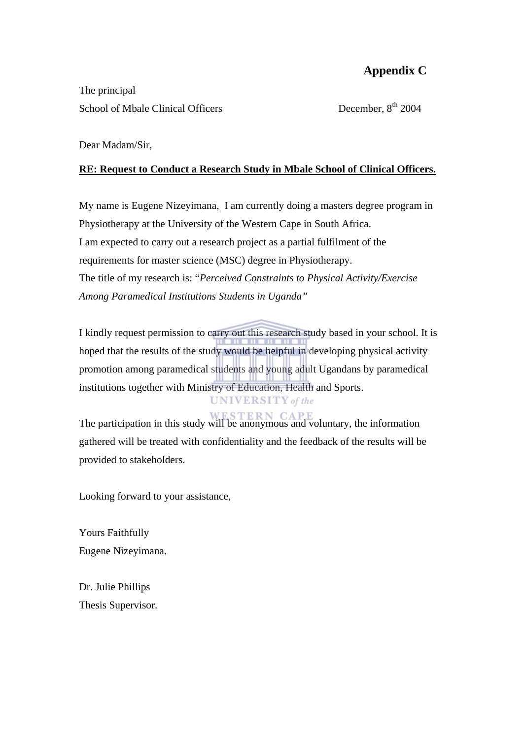## **Appendix C**

The principal School of Mbale Clinical Officers December,  $8<sup>th</sup>$  2004

Dear Madam/Sir,

#### **RE: Request to Conduct a Research Study in Mbale School of Clinical Officers.**

My name is Eugene Nizeyimana, I am currently doing a masters degree program in Physiotherapy at the University of the Western Cape in South Africa. I am expected to carry out a research project as a partial fulfilment of the requirements for master science (MSC) degree in Physiotherapy. The title of my research is: "*Perceived Constraints to Physical Activity/Exercise Among Paramedical Institutions Students in Uganda"* 

I kindly request permission to carry out this research study based in your school. It is hoped that the results of the study would be helpful in developing physical activity promotion among paramedical students and young adult Ugandans by paramedical institutions together with Ministry of Education, Health and Sports.

# **UNIVERSITY** of the

The participation in this study will be anonymous and voluntary, the information gathered will be treated with confidentiality and the feedback of the results will be provided to stakeholders.

Looking forward to your assistance,

Yours Faithfully Eugene Nizeyimana.

Dr. Julie Phillips Thesis Supervisor.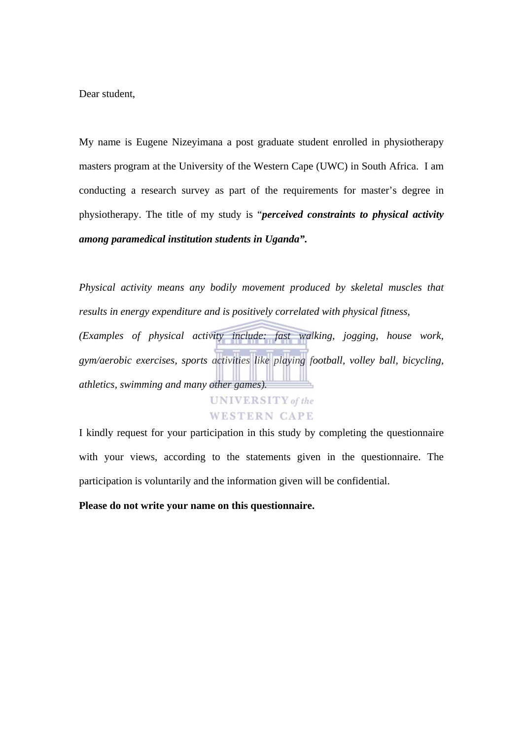Dear student,

My name is Eugene Nizeyimana a post graduate student enrolled in physiotherapy masters program at the University of the Western Cape (UWC) in South Africa. I am conducting a research survey as part of the requirements for master's degree in physiotherapy. The title of my study is "*perceived constraints to physical activity among paramedical institution students in Uganda".* 

*Physical activity means any bodily movement produced by skeletal muscles that results in energy expenditure and is positively correlated with physical fitness, (Examples of physical activity include: fast walking, jogging, house work, gym/aerobic exercises, sports activities like playing football, volley ball, bicycling, athletics, swimming and many other games).* 



I kindly request for your participation in this study by completing the questionnaire with your views, according to the statements given in the questionnaire. The participation is voluntarily and the information given will be confidential.

**Please do not write your name on this questionnaire.**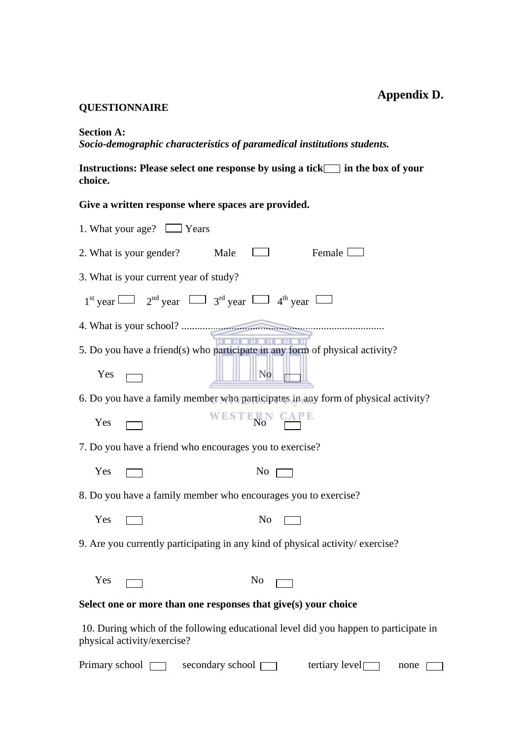#### **QUESTIONNAIRE**

**Section A:** 

*Socio-demographic characteristics of paramedical institutions students.* 

Instructions: Please select one response by using a tick in the box of your **choice.** 

**Give a written response where spaces are provided.** 

| 1. What your age? $\Box$ Years                                                                                                                                                                                                                     |  |  |  |  |
|----------------------------------------------------------------------------------------------------------------------------------------------------------------------------------------------------------------------------------------------------|--|--|--|--|
| Female $\square$<br>$\Box$<br>Male<br>2. What is your gender?                                                                                                                                                                                      |  |  |  |  |
| 3. What is your current year of study?                                                                                                                                                                                                             |  |  |  |  |
| $1st$ year $\Box$ $2nd$ year $\Box$ $3rd$ year $\Box$ $4th$ year $\Box$                                                                                                                                                                            |  |  |  |  |
|                                                                                                                                                                                                                                                    |  |  |  |  |
| ---------<br>5. Do you have a friend(s) who participate in any form of physical activity?                                                                                                                                                          |  |  |  |  |
| Yes $\Box$<br>No <b>the set of the set of the set of the set of the set of the set of the set of the set of the set of the set of the set of the set of the set of the set of the set of the set of the set of the set of the set of the set o</b> |  |  |  |  |
| 6. Do you have a family member who participates in any form of physical activity?                                                                                                                                                                  |  |  |  |  |
| WESTERN CAPE<br>Yes                                                                                                                                                                                                                                |  |  |  |  |
| 7. Do you have a friend who encourages you to exercise?                                                                                                                                                                                            |  |  |  |  |
| Yes<br>$No \Box$                                                                                                                                                                                                                                   |  |  |  |  |
| 8. Do you have a family member who encourages you to exercise?                                                                                                                                                                                     |  |  |  |  |
| Yes<br>$No \ \square$                                                                                                                                                                                                                              |  |  |  |  |
| 9. Are you currently participating in any kind of physical activity/exercise?                                                                                                                                                                      |  |  |  |  |
| Yes<br>No                                                                                                                                                                                                                                          |  |  |  |  |
| Select one or more than one responses that give(s) your choice                                                                                                                                                                                     |  |  |  |  |
|                                                                                                                                                                                                                                                    |  |  |  |  |
| 10. During which of the following educational level did you happen to participate in<br>physical activity/exercise?                                                                                                                                |  |  |  |  |

Primary school  $\Box$  secondary school  $\Box$  tertiary level none  $\Box$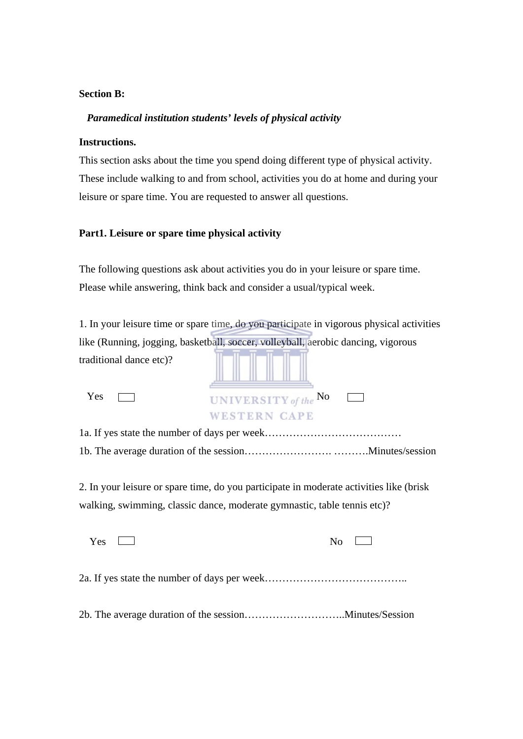#### **Section B:**

#### *Paramedical institution students' levels of physical activity*

#### **Instructions.**

This section asks about the time you spend doing different type of physical activity. These include walking to and from school, activities you do at home and during your leisure or spare time. You are requested to answer all questions.

#### **Part1. Leisure or spare time physical activity**

The following questions ask about activities you do in your leisure or spare time. Please while answering, think back and consider a usual/typical week.

|                         | 1. In your leisure time or spare time, do you participate in vigorous physical activities |
|-------------------------|-------------------------------------------------------------------------------------------|
|                         | like (Running, jogging, basketball, soccer, volleyball, aerobic dancing, vigorous         |
| traditional dance etc)? |                                                                                           |
| Yes                     | UNIVERSITY of the No                                                                      |
|                         | WESTERN CAPE                                                                              |
|                         |                                                                                           |
|                         |                                                                                           |
|                         |                                                                                           |
|                         | 2. In your leisure or spare time, do you participate in moderate activities like (brisk)  |

walking, swimming, classic dance, moderate gymnastic, table tennis etc)?

| <b>Yes</b> | $N_{\Omega}$ |
|------------|--------------|
|            |              |
|            |              |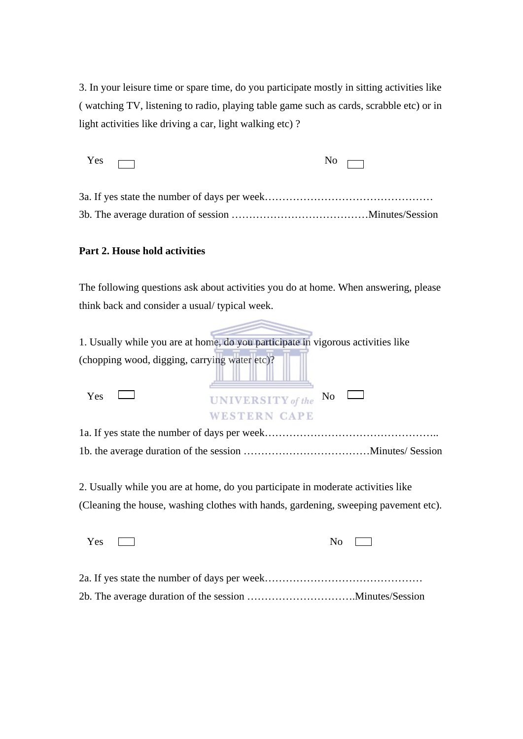3. In your leisure time or spare time, do you participate mostly in sitting activities like ( watching TV, listening to radio, playing table game such as cards, scrabble etc) or in light activities like driving a car, light walking etc) ?

| $Yes \Box$ | $\overline{N_0}$ $\overline{\Box}$ |
|------------|------------------------------------|
|            |                                    |
|            |                                    |

#### **Part 2. House hold activities**

The following questions ask about activities you do at home. When answering, please think back and consider a usual/ typical week.

|                                               | 1. Usually while you are at home, do you participate in vigorous activities like                                                                                        |
|-----------------------------------------------|-------------------------------------------------------------------------------------------------------------------------------------------------------------------------|
| (chopping wood, digging, carrying water etc)? |                                                                                                                                                                         |
| Yes                                           | No<br><b>UNIVERSITY</b> of the<br><b>WESTERN CAPE</b>                                                                                                                   |
|                                               |                                                                                                                                                                         |
|                                               |                                                                                                                                                                         |
|                                               | 2. Usually while you are at home, do you participate in moderate activities like<br>(Cleaning the house, washing clothes with hands, gardening, sweeping pavement etc). |
| Yes                                           | N <sub>o</sub>                                                                                                                                                          |
|                                               |                                                                                                                                                                         |

2b. The average duration of the session ………………………….Minutes/Session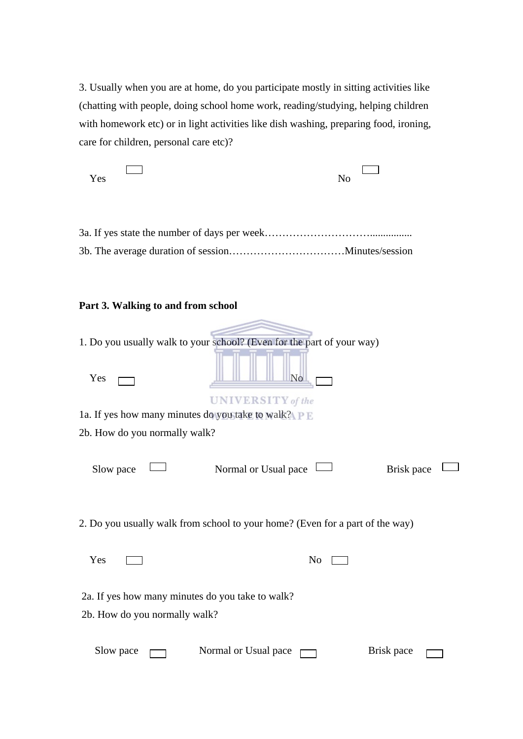3. Usually when you are at home, do you participate mostly in sitting activities like (chatting with people, doing school home work, reading/studying, helping children with homework etc) or in light activities like dish washing, preparing food, ironing, care for children, personal care etc)?

| Yes                                                                               | N <sub>o</sub>                                                                |            |
|-----------------------------------------------------------------------------------|-------------------------------------------------------------------------------|------------|
|                                                                                   |                                                                               |            |
| Part 3. Walking to and from school                                                |                                                                               |            |
|                                                                                   | 1. Do you usually walk to your school? (Even for the part of your way)        |            |
| Yes                                                                               | $\mathbf{N}$                                                                  |            |
| 1a. If yes how many minutes do you take to walk? $P E$                            | <b>UNIVERSITY</b> of the                                                      |            |
| 2b. How do you normally walk?                                                     |                                                                               |            |
| Slow pace                                                                         | Normal or Usual pace                                                          | Brisk pace |
|                                                                                   | 2. Do you usually walk from school to your home? (Even for a part of the way) |            |
| Yes                                                                               | N <sub>0</sub>                                                                |            |
| 2a. If yes how many minutes do you take to walk?<br>2b. How do you normally walk? |                                                                               |            |
| Slow pace                                                                         | Normal or Usual pace                                                          | Brisk pace |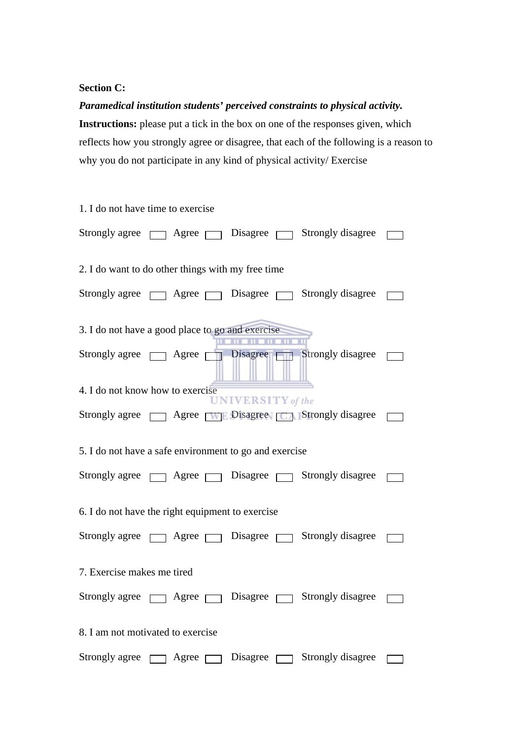#### **Section C:**

*Paramedical institution students' perceived constraints to physical activity.*  **Instructions:** please put a tick in the box on one of the responses given, which reflects how you strongly agree or disagree, that each of the following is a reason to why you do not participate in any kind of physical activity/ Exercise

| 1. I do not have time to exercise                      |                |  |                          |                                                                      |  |
|--------------------------------------------------------|----------------|--|--------------------------|----------------------------------------------------------------------|--|
|                                                        |                |  |                          | Strongly agree $\Box$ Agree $\Box$ Disagree $\Box$ Strongly disagree |  |
| 2. I do want to do other things with my free time      |                |  |                          |                                                                      |  |
|                                                        |                |  |                          | Strongly agree $\Box$ Agree $\Box$ Disagree $\Box$ Strongly disagree |  |
| 3. I do not have a good place to go and exercise       |                |  |                          |                                                                      |  |
|                                                        |                |  |                          | Strongly agree <b>Agree Disagree</b> Strongly disagree               |  |
| 4. I do not know how to exercise                       |                |  | <b>UNIVERSITY</b> of the |                                                                      |  |
|                                                        |                |  |                          | Strongly agree <b>THE</b> Disagree <b>THE</b> Strongly disagree      |  |
| 5. I do not have a safe environment to go and exercise |                |  |                          |                                                                      |  |
|                                                        |                |  |                          | Strongly agree $\Box$ Agree $\Box$ Disagree $\Box$ Strongly disagree |  |
| 6. I do not have the right equipment to exercise       |                |  |                          |                                                                      |  |
|                                                        |                |  |                          | Strongly agree $\Box$ Agree $\Box$ Disagree $\Box$ Strongly disagree |  |
| 7. Exercise makes me tired                             |                |  |                          |                                                                      |  |
| Strongly agree <a>[</a> Agree <a>[</a>                 |                |  | p Disagree p             | Strongly disagree                                                    |  |
| 8. I am not motivated to exercise                      |                |  |                          |                                                                      |  |
| Strongly agree                                         | Agree $\Gamma$ |  | Disagree                 | Strongly disagree                                                    |  |